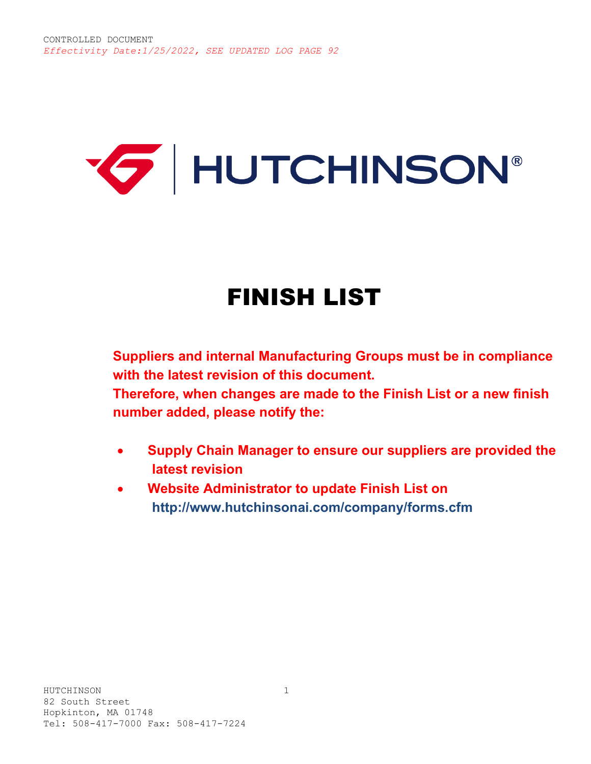# **E** HUTCHINSON®

## FINISH LIST

**Suppliers and internal Manufacturing Groups must be in compliance with the latest revision of this document.**

**Therefore, when changes are made to the Finish List or a new finish number added, please notify the:** 

- **Supply Chain Manager to ensure our suppliers are provided the latest revision**
- **Website Administrator to update Finish List on http://www.hutchinsonai.com/company/forms.cfm**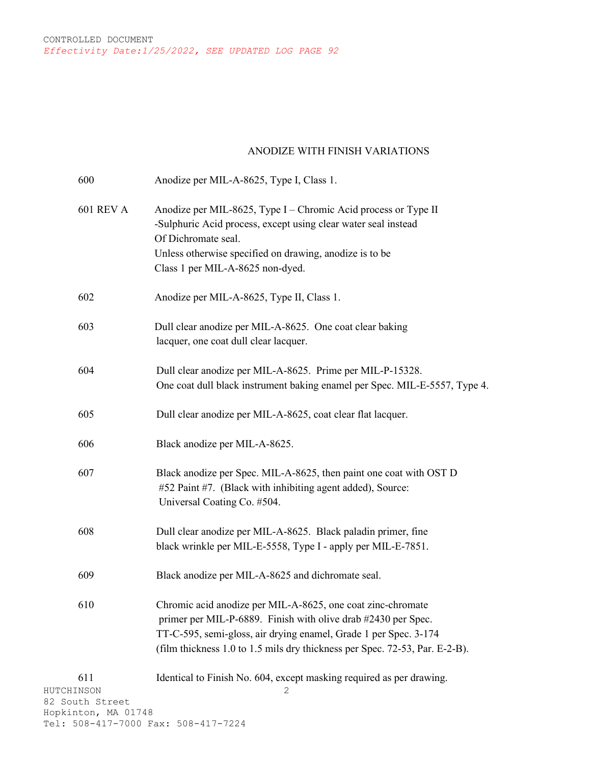#### ANODIZE WITH FINISH VARIATIONS

| 600                                  | Anodize per MIL-A-8625, Type I, Class 1.                                                                                                                                                                                                                                        |
|--------------------------------------|---------------------------------------------------------------------------------------------------------------------------------------------------------------------------------------------------------------------------------------------------------------------------------|
| <b>601 REV A</b>                     | Anodize per MIL-8625, Type I – Chromic Acid process or Type II<br>-Sulphuric Acid process, except using clear water seal instead<br>Of Dichromate seal.<br>Unless otherwise specified on drawing, anodize is to be<br>Class 1 per MIL-A-8625 non-dyed.                          |
| 602                                  | Anodize per MIL-A-8625, Type II, Class 1.                                                                                                                                                                                                                                       |
| 603                                  | Dull clear anodize per MIL-A-8625. One coat clear baking<br>lacquer, one coat dull clear lacquer.                                                                                                                                                                               |
| 604                                  | Dull clear anodize per MIL-A-8625. Prime per MIL-P-15328.<br>One coat dull black instrument baking enamel per Spec. MIL-E-5557, Type 4.                                                                                                                                         |
| 605                                  | Dull clear anodize per MIL-A-8625, coat clear flat lacquer.                                                                                                                                                                                                                     |
| 606                                  | Black anodize per MIL-A-8625.                                                                                                                                                                                                                                                   |
| 607                                  | Black anodize per Spec. MIL-A-8625, then paint one coat with OST D<br>#52 Paint #7. (Black with inhibiting agent added), Source:<br>Universal Coating Co. #504.                                                                                                                 |
| 608                                  | Dull clear anodize per MIL-A-8625. Black paladin primer, fine<br>black wrinkle per MIL-E-5558, Type I - apply per MIL-E-7851.                                                                                                                                                   |
| 609                                  | Black anodize per MIL-A-8625 and dichromate seal.                                                                                                                                                                                                                               |
| 610                                  | Chromic acid anodize per MIL-A-8625, one coat zinc-chromate<br>primer per MIL-P-6889. Finish with olive drab #2430 per Spec.<br>TT-C-595, semi-gloss, air drying enamel, Grade 1 per Spec. 3-174<br>(film thickness 1.0 to 1.5 mils dry thickness per Spec. 72-53, Par. E-2-B). |
| 611<br>HUTCHINSON<br>82 South Street | Identical to Finish No. 604, except masking required as per drawing.<br>2                                                                                                                                                                                                       |

82 South Street Hopkinton, MA 01748 Tel: 508-417-7000 Fax: 508-417-7224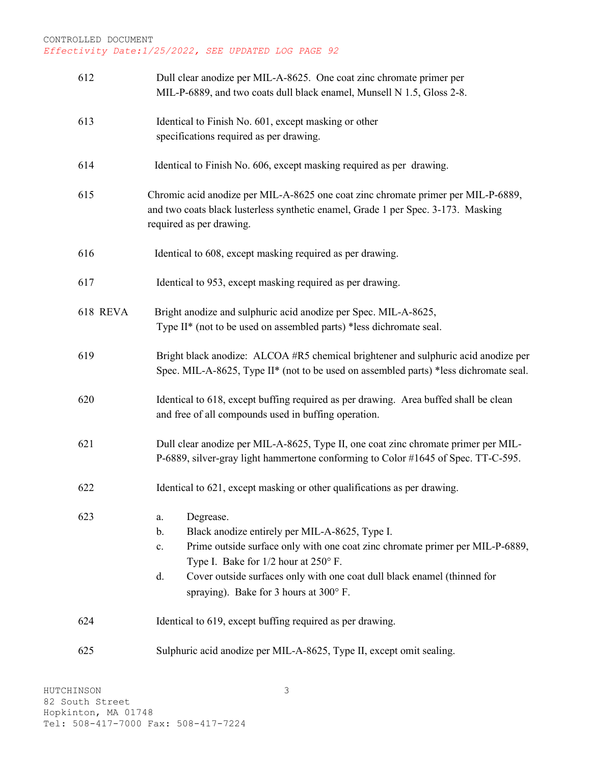| 612      | Dull clear anodize per MIL-A-8625. One coat zinc chromate primer per<br>MIL-P-6889, and two coats dull black enamel, Munsell N 1.5, Gloss 2-8.                                                                                                                                                                                                 |
|----------|------------------------------------------------------------------------------------------------------------------------------------------------------------------------------------------------------------------------------------------------------------------------------------------------------------------------------------------------|
| 613      | Identical to Finish No. 601, except masking or other<br>specifications required as per drawing.                                                                                                                                                                                                                                                |
| 614      | Identical to Finish No. 606, except masking required as per drawing.                                                                                                                                                                                                                                                                           |
| 615      | Chromic acid anodize per MIL-A-8625 one coat zinc chromate primer per MIL-P-6889,<br>and two coats black lusterless synthetic enamel, Grade 1 per Spec. 3-173. Masking<br>required as per drawing.                                                                                                                                             |
| 616      | Identical to 608, except masking required as per drawing.                                                                                                                                                                                                                                                                                      |
| 617      | Identical to 953, except masking required as per drawing.                                                                                                                                                                                                                                                                                      |
| 618 REVA | Bright anodize and sulphuric acid anodize per Spec. MIL-A-8625,<br>Type II* (not to be used on assembled parts) *less dichromate seal.                                                                                                                                                                                                         |
| 619      | Bright black anodize: ALCOA #R5 chemical brightener and sulphuric acid anodize per<br>Spec. MIL-A-8625, Type II* (not to be used on assembled parts) *less dichromate seal.                                                                                                                                                                    |
| 620      | Identical to 618, except buffing required as per drawing. Area buffed shall be clean<br>and free of all compounds used in buffing operation.                                                                                                                                                                                                   |
| 621      | Dull clear anodize per MIL-A-8625, Type II, one coat zinc chromate primer per MIL-<br>P-6889, silver-gray light hammertone conforming to Color #1645 of Spec. TT-C-595.                                                                                                                                                                        |
| 622      | Identical to 621, except masking or other qualifications as per drawing.                                                                                                                                                                                                                                                                       |
| 623      | Degrease.<br>a.<br>Black anodize entirely per MIL-A-8625, Type I.<br>b.<br>Prime outside surface only with one coat zinc chromate primer per MIL-P-6889,<br>$\mathbf{c}$ .<br>Type I. Bake for 1/2 hour at 250° F.<br>Cover outside surfaces only with one coat dull black enamel (thinned for<br>d.<br>spraying). Bake for 3 hours at 300° F. |
| 624      | Identical to 619, except buffing required as per drawing.                                                                                                                                                                                                                                                                                      |
| 625      | Sulphuric acid anodize per MIL-A-8625, Type II, except omit sealing.                                                                                                                                                                                                                                                                           |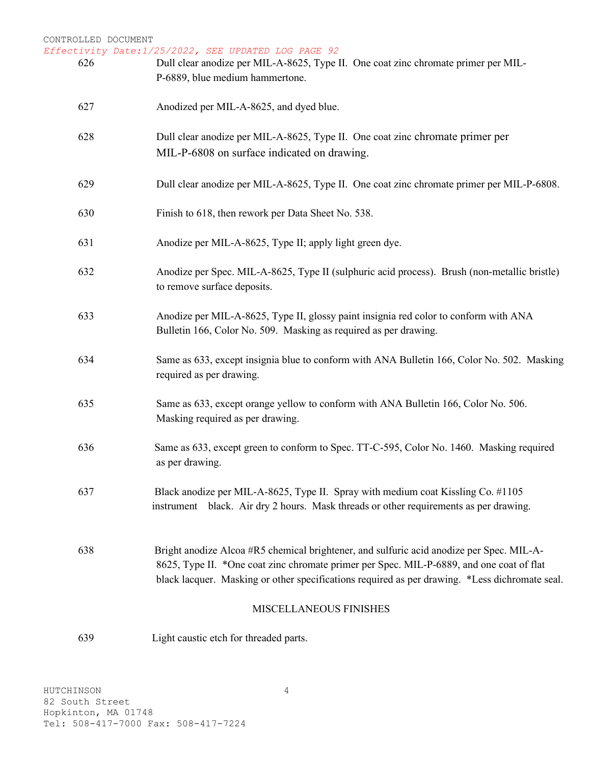| 626 | Effectivity Date:1/25/2022, SEE UPDATED LOG PAGE 92<br>Dull clear anodize per MIL-A-8625, Type II. One coat zinc chromate primer per MIL-<br>P-6889, blue medium hammertone.                                                                                                           |
|-----|----------------------------------------------------------------------------------------------------------------------------------------------------------------------------------------------------------------------------------------------------------------------------------------|
| 627 | Anodized per MIL-A-8625, and dyed blue.                                                                                                                                                                                                                                                |
| 628 | Dull clear anodize per MIL-A-8625, Type II. One coat zinc chromate primer per<br>MIL-P-6808 on surface indicated on drawing.                                                                                                                                                           |
| 629 | Dull clear anodize per MIL-A-8625, Type II. One coat zinc chromate primer per MIL-P-6808.                                                                                                                                                                                              |
| 630 | Finish to 618, then rework per Data Sheet No. 538.                                                                                                                                                                                                                                     |
| 631 | Anodize per MIL-A-8625, Type II; apply light green dye.                                                                                                                                                                                                                                |
| 632 | Anodize per Spec. MIL-A-8625, Type II (sulphuric acid process). Brush (non-metallic bristle)<br>to remove surface deposits.                                                                                                                                                            |
| 633 | Anodize per MIL-A-8625, Type II, glossy paint insignia red color to conform with ANA<br>Bulletin 166, Color No. 509. Masking as required as per drawing.                                                                                                                               |
| 634 | Same as 633, except insignia blue to conform with ANA Bulletin 166, Color No. 502. Masking<br>required as per drawing.                                                                                                                                                                 |
| 635 | Same as 633, except orange yellow to conform with ANA Bulletin 166, Color No. 506.<br>Masking required as per drawing.                                                                                                                                                                 |
| 636 | Same as 633, except green to conform to Spec. TT-C-595, Color No. 1460. Masking required<br>as per drawing.                                                                                                                                                                            |
| 637 | Black anodize per MIL-A-8625, Type II. Spray with medium coat Kissling Co. #1105<br>instrument black. Air dry 2 hours. Mask threads or other requirements as per drawing.                                                                                                              |
| 638 | Bright anodize Alcoa #R5 chemical brightener, and sulfuric acid anodize per Spec. MIL-A-<br>8625, Type II. *One coat zinc chromate primer per Spec. MIL-P-6889, and one coat of flat<br>black lacquer. Masking or other specifications required as per drawing. *Less dichromate seal. |
|     | MISCELLANEOUS FINISHES                                                                                                                                                                                                                                                                 |
| 639 | Light caustic etch for threaded parts.                                                                                                                                                                                                                                                 |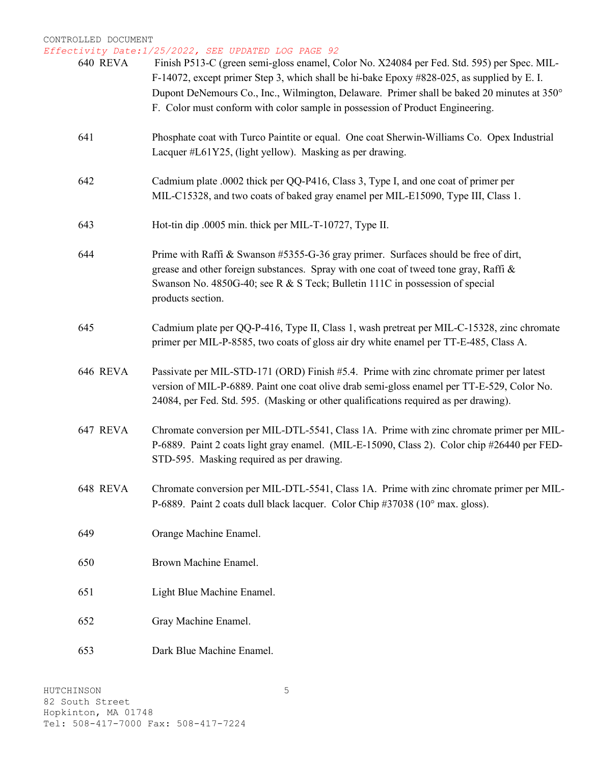*Effectivity Date:1/25/2022, SEE UPDATED LOG PAGE 92*

| 640 REVA        | LIVILY DALE.1/20/2022, OBB OFDAIBD HOG FAGB 92.<br>Finish P513-C (green semi-gloss enamel, Color No. X24084 per Fed. Std. 595) per Spec. MIL-<br>F-14072, except primer Step 3, which shall be hi-bake Epoxy #828-025, as supplied by E. I.<br>Dupont DeNemours Co., Inc., Wilmington, Delaware. Primer shall be baked 20 minutes at 350°<br>F. Color must conform with color sample in possession of Product Engineering. |
|-----------------|----------------------------------------------------------------------------------------------------------------------------------------------------------------------------------------------------------------------------------------------------------------------------------------------------------------------------------------------------------------------------------------------------------------------------|
| 641             | Phosphate coat with Turco Paintite or equal. One coat Sherwin-Williams Co. Opex Industrial<br>Lacquer #L61Y25, (light yellow). Masking as per drawing.                                                                                                                                                                                                                                                                     |
| 642             | Cadmium plate .0002 thick per QQ-P416, Class 3, Type I, and one coat of primer per<br>MIL-C15328, and two coats of baked gray enamel per MIL-E15090, Type III, Class 1.                                                                                                                                                                                                                                                    |
| 643             | Hot-tin dip .0005 min. thick per MIL-T-10727, Type II.                                                                                                                                                                                                                                                                                                                                                                     |
| 644             | Prime with Raffi & Swanson #5355-G-36 gray primer. Surfaces should be free of dirt,<br>grease and other foreign substances. Spray with one coat of tweed tone gray, Raffi &<br>Swanson No. 4850G-40; see R & S Teck; Bulletin 111C in possession of special<br>products section.                                                                                                                                           |
| 645             | Cadmium plate per QQ-P-416, Type II, Class 1, wash pretreat per MIL-C-15328, zinc chromate<br>primer per MIL-P-8585, two coats of gloss air dry white enamel per TT-E-485, Class A.                                                                                                                                                                                                                                        |
| <b>646 REVA</b> | Passivate per MIL-STD-171 (ORD) Finish #5.4. Prime with zinc chromate primer per latest<br>version of MIL-P-6889. Paint one coat olive drab semi-gloss enamel per TT-E-529, Color No.<br>24084, per Fed. Std. 595. (Masking or other qualifications required as per drawing).                                                                                                                                              |
| 647 REVA        | Chromate conversion per MIL-DTL-5541, Class 1A. Prime with zinc chromate primer per MIL-<br>P-6889. Paint 2 coats light gray enamel. (MIL-E-15090, Class 2). Color chip #26440 per FED-<br>STD-595. Masking required as per drawing.                                                                                                                                                                                       |
| 648 REVA        | Chromate conversion per MIL-DTL-5541, Class 1A. Prime with zinc chromate primer per MIL-<br>P-6889. Paint 2 coats dull black lacquer. Color Chip #37038 (10° max. gloss).                                                                                                                                                                                                                                                  |
| 649             | Orange Machine Enamel.                                                                                                                                                                                                                                                                                                                                                                                                     |
| 650             | Brown Machine Enamel.                                                                                                                                                                                                                                                                                                                                                                                                      |
| 651             | Light Blue Machine Enamel.                                                                                                                                                                                                                                                                                                                                                                                                 |
| 652             | Gray Machine Enamel.                                                                                                                                                                                                                                                                                                                                                                                                       |
| 653             | Dark Blue Machine Enamel.                                                                                                                                                                                                                                                                                                                                                                                                  |

5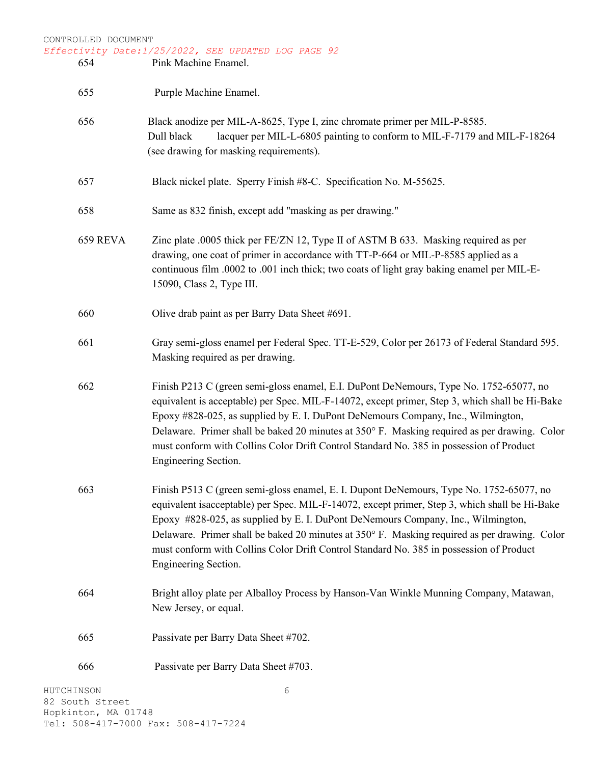| CONTROLLED DOCUMENT<br>Effectivity Date: 1/25/2022, SEE UPDATED LOG PAGE 92 |                                                                                                                                                                                                                                                                                                                                                                                                                                                                                                  |  |
|-----------------------------------------------------------------------------|--------------------------------------------------------------------------------------------------------------------------------------------------------------------------------------------------------------------------------------------------------------------------------------------------------------------------------------------------------------------------------------------------------------------------------------------------------------------------------------------------|--|
| 654                                                                         | Pink Machine Enamel.                                                                                                                                                                                                                                                                                                                                                                                                                                                                             |  |
| 655                                                                         | Purple Machine Enamel.                                                                                                                                                                                                                                                                                                                                                                                                                                                                           |  |
| 656                                                                         | Black anodize per MIL-A-8625, Type I, zinc chromate primer per MIL-P-8585.<br>lacquer per MIL-L-6805 painting to conform to MIL-F-7179 and MIL-F-18264<br>Dull black<br>(see drawing for masking requirements).                                                                                                                                                                                                                                                                                  |  |
| 657                                                                         | Black nickel plate. Sperry Finish #8-C. Specification No. M-55625.                                                                                                                                                                                                                                                                                                                                                                                                                               |  |
| 658                                                                         | Same as 832 finish, except add "masking as per drawing."                                                                                                                                                                                                                                                                                                                                                                                                                                         |  |
| 659 REVA                                                                    | Zinc plate .0005 thick per $FE/ZN$ 12, Type II of ASTM B 633. Masking required as per<br>drawing, one coat of primer in accordance with TT-P-664 or MIL-P-8585 applied as a<br>continuous film .0002 to .001 inch thick; two coats of light gray baking enamel per MIL-E-<br>15090, Class 2, Type III.                                                                                                                                                                                           |  |
| 660                                                                         | Olive drab paint as per Barry Data Sheet #691.                                                                                                                                                                                                                                                                                                                                                                                                                                                   |  |
| 661                                                                         | Gray semi-gloss enamel per Federal Spec. TT-E-529, Color per 26173 of Federal Standard 595.<br>Masking required as per drawing.                                                                                                                                                                                                                                                                                                                                                                  |  |
| 662                                                                         | Finish P213 C (green semi-gloss enamel, E.I. DuPont DeNemours, Type No. 1752-65077, no<br>equivalent is acceptable) per Spec. MIL-F-14072, except primer, Step 3, which shall be Hi-Bake<br>Epoxy #828-025, as supplied by E. I. DuPont DeNemours Company, Inc., Wilmington,<br>Delaware. Primer shall be baked 20 minutes at 350° F. Masking required as per drawing. Color<br>must conform with Collins Color Drift Control Standard No. 385 in possession of Product<br>Engineering Section.  |  |
| 663                                                                         | Finish P513 C (green semi-gloss enamel, E. I. Dupont DeNemours, Type No. 1752-65077, no<br>equivalent is acceptable) per Spec. MIL-F-14072, except primer, Step 3, which shall be Hi-Bake<br>Epoxy #828-025, as supplied by E. I. DuPont DeNemours Company, Inc., Wilmington,<br>Delaware. Primer shall be baked 20 minutes at 350° F. Masking required as per drawing. Color<br>must conform with Collins Color Drift Control Standard No. 385 in possession of Product<br>Engineering Section. |  |
| 664                                                                         | Bright alloy plate per Alballoy Process by Hanson-Van Winkle Munning Company, Matawan,<br>New Jersey, or equal.                                                                                                                                                                                                                                                                                                                                                                                  |  |
| 665                                                                         | Passivate per Barry Data Sheet #702.                                                                                                                                                                                                                                                                                                                                                                                                                                                             |  |
| 666                                                                         | Passivate per Barry Data Sheet #703.                                                                                                                                                                                                                                                                                                                                                                                                                                                             |  |
| HUTCHINSON<br>82 South Street                                               | 6                                                                                                                                                                                                                                                                                                                                                                                                                                                                                                |  |

Hopkinton, MA 01748 Tel: 508-417-7000 Fax: 508-417-7224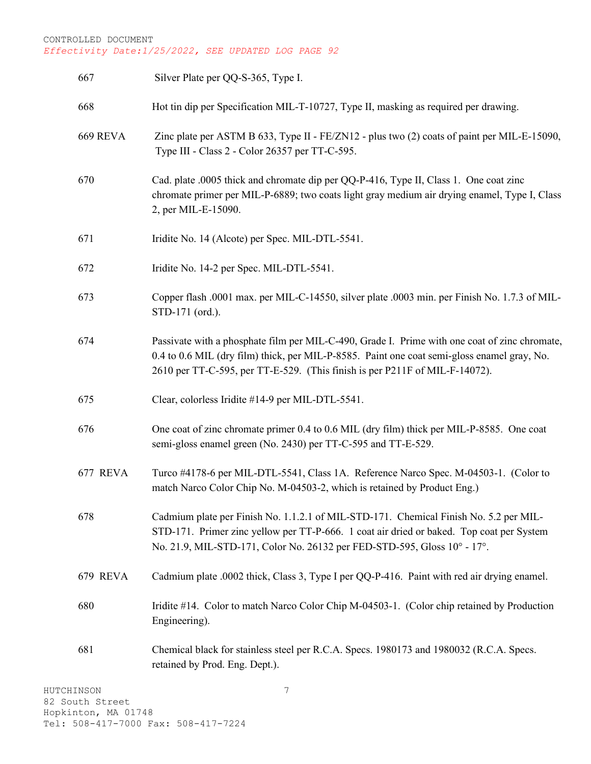| 667      | Silver Plate per QQ-S-365, Type I.                                                                                                                                                                                                                                          |
|----------|-----------------------------------------------------------------------------------------------------------------------------------------------------------------------------------------------------------------------------------------------------------------------------|
| 668      | Hot tin dip per Specification MIL-T-10727, Type II, masking as required per drawing.                                                                                                                                                                                        |
| 669 REVA | Zinc plate per ASTM B 633, Type II - FE/ZN12 - plus two (2) coats of paint per MIL-E-15090,<br>Type III - Class 2 - Color 26357 per TT-C-595.                                                                                                                               |
| 670      | Cad. plate .0005 thick and chromate dip per QQ-P-416, Type II, Class 1. One coat zinc<br>chromate primer per MIL-P-6889; two coats light gray medium air drying enamel, Type I, Class<br>2, per MIL-E-15090.                                                                |
| 671      | Iridite No. 14 (Alcote) per Spec. MIL-DTL-5541.                                                                                                                                                                                                                             |
| 672      | Iridite No. 14-2 per Spec. MIL-DTL-5541.                                                                                                                                                                                                                                    |
| 673      | Copper flash .0001 max. per MIL-C-14550, silver plate .0003 min. per Finish No. 1.7.3 of MIL-<br>STD-171 (ord.).                                                                                                                                                            |
| 674      | Passivate with a phosphate film per MIL-C-490, Grade I. Prime with one coat of zinc chromate,<br>0.4 to 0.6 MIL (dry film) thick, per MIL-P-8585. Paint one coat semi-gloss enamel gray, No.<br>2610 per TT-C-595, per TT-E-529. (This finish is per P211F of MIL-F-14072). |
| 675      | Clear, colorless Iridite #14-9 per MIL-DTL-5541.                                                                                                                                                                                                                            |
| 676      | One coat of zinc chromate primer 0.4 to 0.6 MIL (dry film) thick per MIL-P-8585. One coat<br>semi-gloss enamel green (No. 2430) per TT-C-595 and TT-E-529.                                                                                                                  |
| 677 REVA | Turco #4178-6 per MIL-DTL-5541, Class 1A. Reference Narco Spec. M-04503-1. (Color to<br>match Narco Color Chip No. M-04503-2, which is retained by Product Eng.)                                                                                                            |
| 678      | Cadmium plate per Finish No. 1.1.2.1 of MIL-STD-171. Chemical Finish No. 5.2 per MIL-<br>STD-171. Primer zinc yellow per TT-P-666. 1 coat air dried or baked. Top coat per System<br>No. 21.9, MIL-STD-171, Color No. 26132 per FED-STD-595, Gloss 10° - 17°.               |
| 679 REVA | Cadmium plate .0002 thick, Class 3, Type I per QQ-P-416. Paint with red air drying enamel.                                                                                                                                                                                  |
| 680      | Iridite #14. Color to match Narco Color Chip M-04503-1. (Color chip retained by Production<br>Engineering).                                                                                                                                                                 |
| 681      | Chemical black for stainless steel per R.C.A. Specs. 1980173 and 1980032 (R.C.A. Specs.<br>retained by Prod. Eng. Dept.).                                                                                                                                                   |
|          |                                                                                                                                                                                                                                                                             |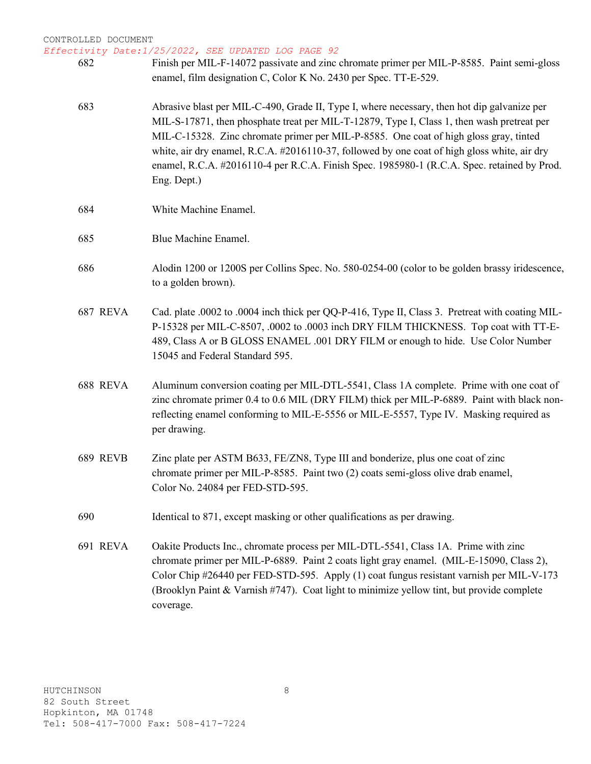*Effectivity Date:1/25/2022, SEE UPDATED LOG PAGE 92*

| 682      | Finish per MIL-F-14072 passivate and zinc chromate primer per MIL-P-8585. Paint semi-gloss<br>enamel, film designation C, Color K No. 2430 per Spec. TT-E-529.                                                                                                                                                                                                                                                                                                                                   |
|----------|--------------------------------------------------------------------------------------------------------------------------------------------------------------------------------------------------------------------------------------------------------------------------------------------------------------------------------------------------------------------------------------------------------------------------------------------------------------------------------------------------|
| 683      | Abrasive blast per MIL-C-490, Grade II, Type I, where necessary, then hot dip galvanize per<br>MIL-S-17871, then phosphate treat per MIL-T-12879, Type I, Class 1, then wash pretreat per<br>MIL-C-15328. Zinc chromate primer per MIL-P-8585. One coat of high gloss gray, tinted<br>white, air dry enamel, R.C.A. #2016110-37, followed by one coat of high gloss white, air dry<br>enamel, R.C.A. #2016110-4 per R.C.A. Finish Spec. 1985980-1 (R.C.A. Spec. retained by Prod.<br>Eng. Dept.) |
| 684      | White Machine Enamel.                                                                                                                                                                                                                                                                                                                                                                                                                                                                            |
| 685      | Blue Machine Enamel.                                                                                                                                                                                                                                                                                                                                                                                                                                                                             |
| 686      | Alodin 1200 or 1200S per Collins Spec. No. 580-0254-00 (color to be golden brassy iridescence,<br>to a golden brown).                                                                                                                                                                                                                                                                                                                                                                            |
| 687 REVA | Cad. plate .0002 to .0004 inch thick per QQ-P-416, Type II, Class 3. Pretreat with coating MIL-<br>P-15328 per MIL-C-8507, .0002 to .0003 inch DRY FILM THICKNESS. Top coat with TT-E-<br>489, Class A or B GLOSS ENAMEL .001 DRY FILM or enough to hide. Use Color Number<br>15045 and Federal Standard 595.                                                                                                                                                                                    |
| 688 REVA | Aluminum conversion coating per MIL-DTL-5541, Class 1A complete. Prime with one coat of<br>zinc chromate primer 0.4 to 0.6 MIL (DRY FILM) thick per MIL-P-6889. Paint with black non-<br>reflecting enamel conforming to MIL-E-5556 or MIL-E-5557, Type IV. Masking required as<br>per drawing.                                                                                                                                                                                                  |
| 689 REVB | Zinc plate per ASTM B633, FE/ZN8, Type III and bonderize, plus one coat of zinc<br>chromate primer per MIL-P-8585. Paint two (2) coats semi-gloss olive drab enamel,<br>Color No. 24084 per FED-STD-595.                                                                                                                                                                                                                                                                                         |
| 690      | Identical to 871, except masking or other qualifications as per drawing.                                                                                                                                                                                                                                                                                                                                                                                                                         |
| 691 REVA | Oakite Products Inc., chromate process per MIL-DTL-5541, Class 1A. Prime with zinc<br>chromate primer per MIL-P-6889. Paint 2 coats light gray enamel. (MIL-E-15090, Class 2),<br>Color Chip #26440 per FED-STD-595. Apply (1) coat fungus resistant varnish per MIL-V-173<br>(Brooklyn Paint & Varnish #747). Coat light to minimize yellow tint, but provide complete<br>coverage.                                                                                                             |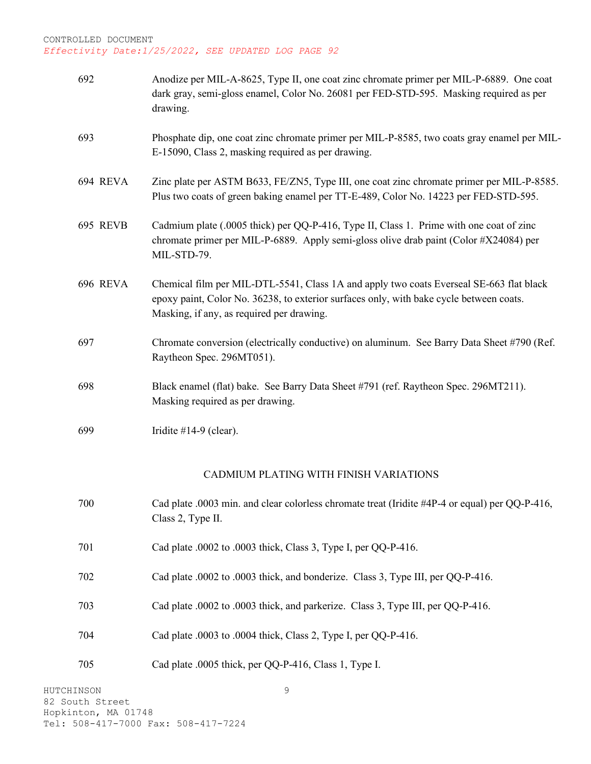| 692      | Anodize per MIL-A-8625, Type II, one coat zinc chromate primer per MIL-P-6889. One coat<br>dark gray, semi-gloss enamel, Color No. 26081 per FED-STD-595. Masking required as per<br>drawing.                                   |
|----------|---------------------------------------------------------------------------------------------------------------------------------------------------------------------------------------------------------------------------------|
| 693      | Phosphate dip, one coat zinc chromate primer per MIL-P-8585, two coats gray enamel per MIL-<br>E-15090, Class 2, masking required as per drawing.                                                                               |
| 694 REVA | Zinc plate per ASTM B633, FE/ZN5, Type III, one coat zinc chromate primer per MIL-P-8585.<br>Plus two coats of green baking enamel per TT-E-489, Color No. 14223 per FED-STD-595.                                               |
| 695 REVB | Cadmium plate (.0005 thick) per QQ-P-416, Type II, Class 1. Prime with one coat of zinc<br>chromate primer per MIL-P-6889. Apply semi-gloss olive drab paint (Color #X24084) per<br>MIL-STD-79.                                 |
| 696 REVA | Chemical film per MIL-DTL-5541, Class 1A and apply two coats Everseal SE-663 flat black<br>epoxy paint, Color No. 36238, to exterior surfaces only, with bake cycle between coats.<br>Masking, if any, as required per drawing. |
| 697      | Chromate conversion (electrically conductive) on aluminum. See Barry Data Sheet #790 (Ref.<br>Raytheon Spec. 296MT051).                                                                                                         |
| 698      | Black enamel (flat) bake. See Barry Data Sheet #791 (ref. Raytheon Spec. 296MT211).<br>Masking required as per drawing.                                                                                                         |
| 699      | Iridite #14-9 (clear).                                                                                                                                                                                                          |
|          | CADMIUM PLATING WITH FINISH VARIATIONS                                                                                                                                                                                          |
| 700      | Cad plate .0003 min. and clear colorless chromate treat (Iridite #4P-4 or equal) per QQ-P-416,<br>Class 2, Type II.                                                                                                             |
| 701      | Cad plate .0002 to .0003 thick, Class 3, Type I, per QQ-P-416.                                                                                                                                                                  |
| 702      | Cad plate .0002 to .0003 thick, and bonderize. Class 3, Type III, per QQ-P-416.                                                                                                                                                 |
| 703      | Cad plate .0002 to .0003 thick, and parkerize. Class 3, Type III, per QQ-P-416.                                                                                                                                                 |
| 704      | Cad plate .0003 to .0004 thick, Class 2, Type I, per QQ-P-416.                                                                                                                                                                  |
| 705      | Cad plate .0005 thick, per QQ-P-416, Class 1, Type I.                                                                                                                                                                           |

9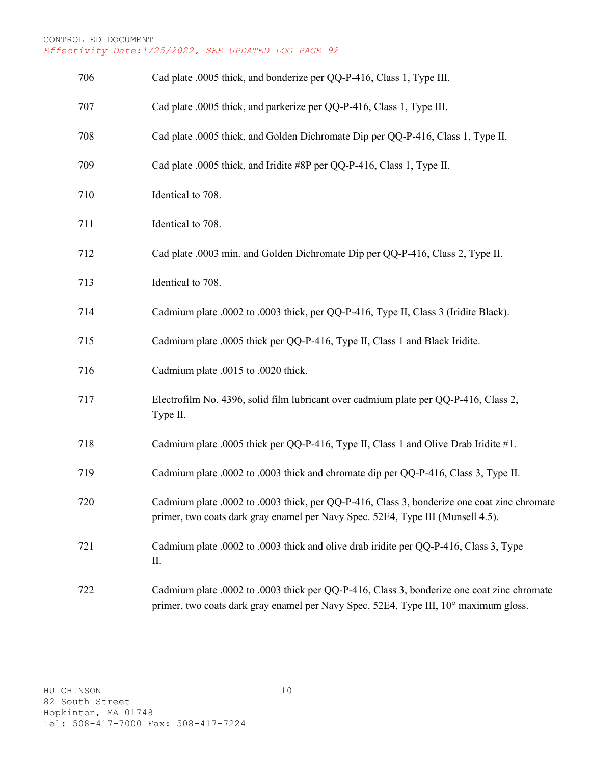| 706 | Cad plate .0005 thick, and bonderize per QQ-P-416, Class 1, Type III.                                                                                                              |
|-----|------------------------------------------------------------------------------------------------------------------------------------------------------------------------------------|
| 707 | Cad plate .0005 thick, and parkerize per QQ-P-416, Class 1, Type III.                                                                                                              |
| 708 | Cad plate .0005 thick, and Golden Dichromate Dip per QQ-P-416, Class 1, Type II.                                                                                                   |
| 709 | Cad plate .0005 thick, and Iridite #8P per QQ-P-416, Class 1, Type II.                                                                                                             |
| 710 | Identical to 708.                                                                                                                                                                  |
| 711 | Identical to 708.                                                                                                                                                                  |
| 712 | Cad plate .0003 min. and Golden Dichromate Dip per QQ-P-416, Class 2, Type II.                                                                                                     |
| 713 | Identical to 708.                                                                                                                                                                  |
| 714 | Cadmium plate .0002 to .0003 thick, per QQ-P-416, Type II, Class 3 (Iridite Black).                                                                                                |
| 715 | Cadmium plate .0005 thick per QQ-P-416, Type II, Class 1 and Black Iridite.                                                                                                        |
| 716 | Cadmium plate .0015 to .0020 thick.                                                                                                                                                |
| 717 | Electrofilm No. 4396, solid film lubricant over cadmium plate per QQ-P-416, Class 2,<br>Type II.                                                                                   |
| 718 | Cadmium plate .0005 thick per QQ-P-416, Type II, Class 1 and Olive Drab Iridite #1.                                                                                                |
| 719 | Cadmium plate .0002 to .0003 thick and chromate dip per QQ-P-416, Class 3, Type II.                                                                                                |
| 720 | Cadmium plate .0002 to .0003 thick, per QQ-P-416, Class 3, bonderize one coat zinc chromate<br>primer, two coats dark gray enamel per Navy Spec. 52E4, Type III (Munsell 4.5).     |
| 721 | Cadmium plate .0002 to .0003 thick and olive drab iridite per QQ-P-416, Class 3, Type<br>П.                                                                                        |
| 722 | Cadmium plate .0002 to .0003 thick per QQ-P-416, Class 3, bonderize one coat zinc chromate<br>primer, two coats dark gray enamel per Navy Spec. 52E4, Type III, 10° maximum gloss. |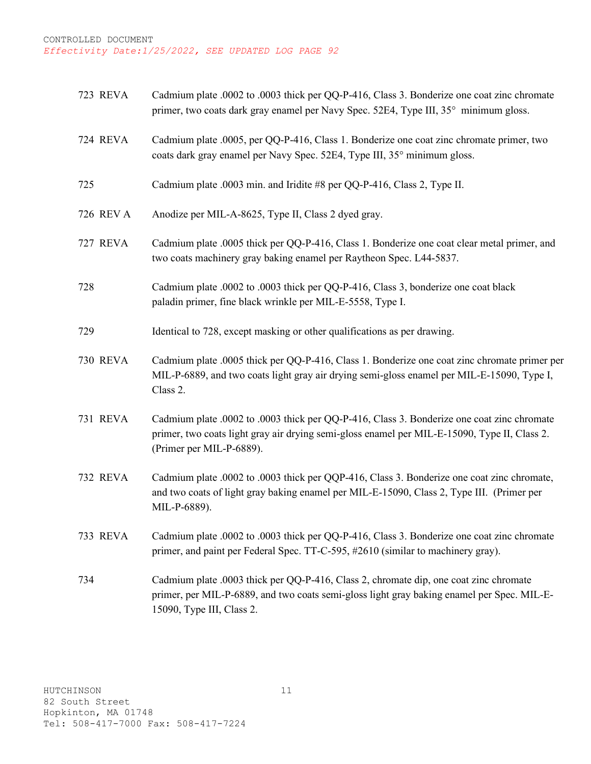| <b>723 REVA</b> | Cadmium plate .0002 to .0003 thick per QQ-P-416, Class 3. Bonderize one coat zinc chromate<br>primer, two coats dark gray enamel per Navy Spec. 52E4, Type III, 35° minimum gloss.                                     |
|-----------------|------------------------------------------------------------------------------------------------------------------------------------------------------------------------------------------------------------------------|
| 724 REVA        | Cadmium plate .0005, per QQ-P-416, Class 1. Bonderize one coat zinc chromate primer, two<br>coats dark gray enamel per Navy Spec. 52E4, Type III, 35° minimum gloss.                                                   |
| 725             | Cadmium plate .0003 min. and Iridite #8 per QQ-P-416, Class 2, Type II.                                                                                                                                                |
| 726 REV A       | Anodize per MIL-A-8625, Type II, Class 2 dyed gray.                                                                                                                                                                    |
| 727 REVA        | Cadmium plate .0005 thick per QQ-P-416, Class 1. Bonderize one coat clear metal primer, and<br>two coats machinery gray baking enamel per Raytheon Spec. L44-5837.                                                     |
| 728             | Cadmium plate .0002 to .0003 thick per QQ-P-416, Class 3, bonderize one coat black<br>paladin primer, fine black wrinkle per MIL-E-5558, Type I.                                                                       |
| 729             | Identical to 728, except masking or other qualifications as per drawing.                                                                                                                                               |
| <b>730 REVA</b> | Cadmium plate .0005 thick per QQ-P-416, Class 1. Bonderize one coat zinc chromate primer per<br>MIL-P-6889, and two coats light gray air drying semi-gloss enamel per MIL-E-15090, Type I,<br>Class 2.                 |
| <b>731 REVA</b> | Cadmium plate .0002 to .0003 thick per QQ-P-416, Class 3. Bonderize one coat zinc chromate<br>primer, two coats light gray air drying semi-gloss enamel per MIL-E-15090, Type II, Class 2.<br>(Primer per MIL-P-6889). |
| 732 REVA        | Cadmium plate .0002 to .0003 thick per QQP-416, Class 3. Bonderize one coat zinc chromate,<br>and two coats of light gray baking enamel per MIL-E-15090, Class 2, Type III. (Primer per<br>MIL-P-6889).                |
| <b>733 REVA</b> | Cadmium plate .0002 to .0003 thick per QQ-P-416, Class 3. Bonderize one coat zinc chromate<br>primer, and paint per Federal Spec. TT-C-595, #2610 (similar to machinery gray).                                         |
| 734             | Cadmium plate .0003 thick per QQ-P-416, Class 2, chromate dip, one coat zinc chromate<br>primer, per MIL-P-6889, and two coats semi-gloss light gray baking enamel per Spec. MIL-E-<br>15090, Type III, Class 2.       |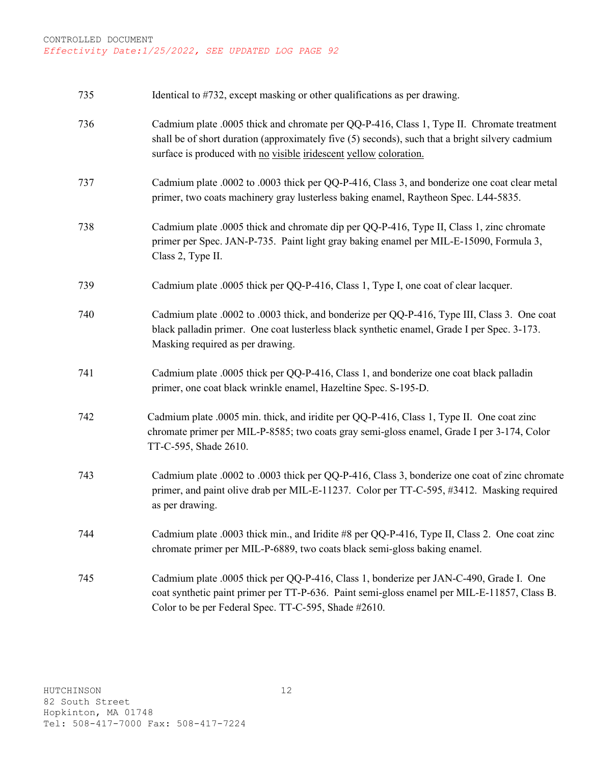| 735 | Identical to #732, except masking or other qualifications as per drawing.                                                                                                                                                                                         |
|-----|-------------------------------------------------------------------------------------------------------------------------------------------------------------------------------------------------------------------------------------------------------------------|
| 736 | Cadmium plate .0005 thick and chromate per QQ-P-416, Class 1, Type II. Chromate treatment<br>shall be of short duration (approximately five (5) seconds), such that a bright silvery cadmium<br>surface is produced with no visible iridescent yellow coloration. |
| 737 | Cadmium plate .0002 to .0003 thick per QQ-P-416, Class 3, and bonderize one coat clear metal<br>primer, two coats machinery gray lusterless baking enamel, Raytheon Spec. L44-5835.                                                                               |
| 738 | Cadmium plate .0005 thick and chromate dip per QQ-P-416, Type II, Class 1, zinc chromate<br>primer per Spec. JAN-P-735. Paint light gray baking enamel per MIL-E-15090, Formula 3,<br>Class 2, Type II.                                                           |
| 739 | Cadmium plate .0005 thick per QQ-P-416, Class 1, Type I, one coat of clear lacquer.                                                                                                                                                                               |
| 740 | Cadmium plate .0002 to .0003 thick, and bonderize per QQ-P-416, Type III, Class 3. One coat<br>black palladin primer. One coat lusterless black synthetic enamel, Grade I per Spec. 3-173.<br>Masking required as per drawing.                                    |
| 741 | Cadmium plate .0005 thick per QQ-P-416, Class 1, and bonderize one coat black palladin<br>primer, one coat black wrinkle enamel, Hazeltine Spec. S-195-D.                                                                                                         |
| 742 | Cadmium plate .0005 min. thick, and iridite per QQ-P-416, Class 1, Type II. One coat zinc<br>chromate primer per MIL-P-8585; two coats gray semi-gloss enamel, Grade I per 3-174, Color<br>TT-C-595, Shade 2610.                                                  |
| 743 | Cadmium plate .0002 to .0003 thick per QQ-P-416, Class 3, bonderize one coat of zinc chromate<br>primer, and paint olive drab per MIL-E-11237. Color per TT-C-595, #3412. Masking required<br>as per drawing.                                                     |
| 744 | Cadmium plate .0003 thick min., and Iridite #8 per QQ-P-416, Type II, Class 2. One coat zinc<br>chromate primer per MIL-P-6889, two coats black semi-gloss baking enamel.                                                                                         |
| 745 | Cadmium plate .0005 thick per QQ-P-416, Class 1, bonderize per JAN-C-490, Grade I. One<br>coat synthetic paint primer per TT-P-636. Paint semi-gloss enamel per MIL-E-11857, Class B.<br>Color to be per Federal Spec. TT-C-595, Shade #2610.                     |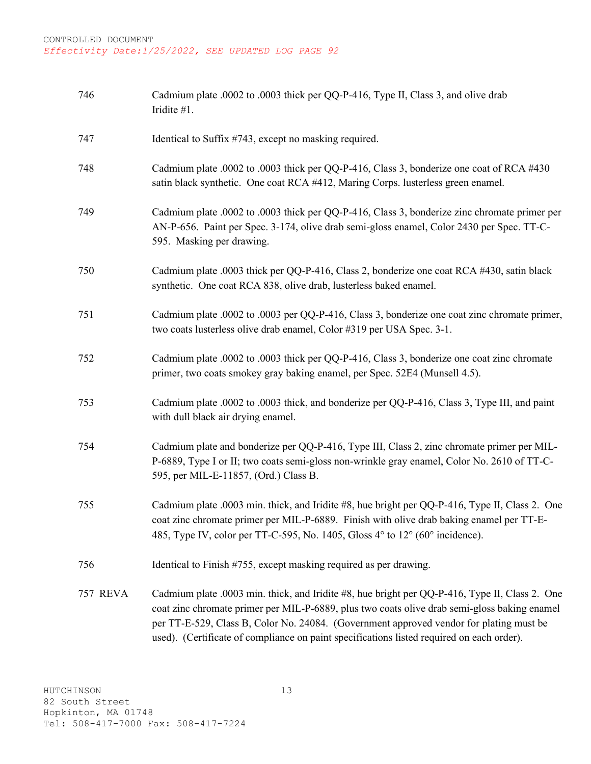| 746             | Cadmium plate .0002 to .0003 thick per QQ-P-416, Type II, Class 3, and olive drab<br>Iridite #1.                                                                                                                                                                                                                                                                                       |
|-----------------|----------------------------------------------------------------------------------------------------------------------------------------------------------------------------------------------------------------------------------------------------------------------------------------------------------------------------------------------------------------------------------------|
| 747             | Identical to Suffix #743, except no masking required.                                                                                                                                                                                                                                                                                                                                  |
| 748             | Cadmium plate .0002 to .0003 thick per QQ-P-416, Class 3, bonderize one coat of RCA #430<br>satin black synthetic. One coat RCA #412, Maring Corps. lusterless green enamel.                                                                                                                                                                                                           |
| 749             | Cadmium plate .0002 to .0003 thick per QQ-P-416, Class 3, bonderize zinc chromate primer per<br>AN-P-656. Paint per Spec. 3-174, olive drab semi-gloss enamel, Color 2430 per Spec. TT-C-<br>595. Masking per drawing.                                                                                                                                                                 |
| 750             | Cadmium plate .0003 thick per QQ-P-416, Class 2, bonderize one coat RCA #430, satin black<br>synthetic. One coat RCA 838, olive drab, lusterless baked enamel.                                                                                                                                                                                                                         |
| 751             | Cadmium plate .0002 to .0003 per QQ-P-416, Class 3, bonderize one coat zinc chromate primer,<br>two coats lusterless olive drab enamel, Color #319 per USA Spec. 3-1.                                                                                                                                                                                                                  |
| 752             | Cadmium plate .0002 to .0003 thick per QQ-P-416, Class 3, bonderize one coat zinc chromate<br>primer, two coats smokey gray baking enamel, per Spec. 52E4 (Munsell 4.5).                                                                                                                                                                                                               |
| 753             | Cadmium plate .0002 to .0003 thick, and bonderize per QQ-P-416, Class 3, Type III, and paint<br>with dull black air drying enamel.                                                                                                                                                                                                                                                     |
| 754             | Cadmium plate and bonderize per QQ-P-416, Type III, Class 2, zinc chromate primer per MIL-<br>P-6889, Type I or II; two coats semi-gloss non-wrinkle gray enamel, Color No. 2610 of TT-C-<br>595, per MIL-E-11857, (Ord.) Class B.                                                                                                                                                     |
| 755             | Cadmium plate .0003 min. thick, and Iridite #8, hue bright per QQ-P-416, Type II, Class 2. One<br>coat zinc chromate primer per MIL-P-6889. Finish with olive drab baking enamel per TT-E-<br>485, Type IV, color per TT-C-595, No. 1405, Gloss 4° to 12° (60° incidence).                                                                                                             |
| 756             | Identical to Finish #755, except masking required as per drawing.                                                                                                                                                                                                                                                                                                                      |
| <b>757 REVA</b> | Cadmium plate .0003 min. thick, and Iridite #8, hue bright per QQ-P-416, Type II, Class 2. One<br>coat zinc chromate primer per MIL-P-6889, plus two coats olive drab semi-gloss baking enamel<br>per TT-E-529, Class B, Color No. 24084. (Government approved vendor for plating must be<br>used). (Certificate of compliance on paint specifications listed required on each order). |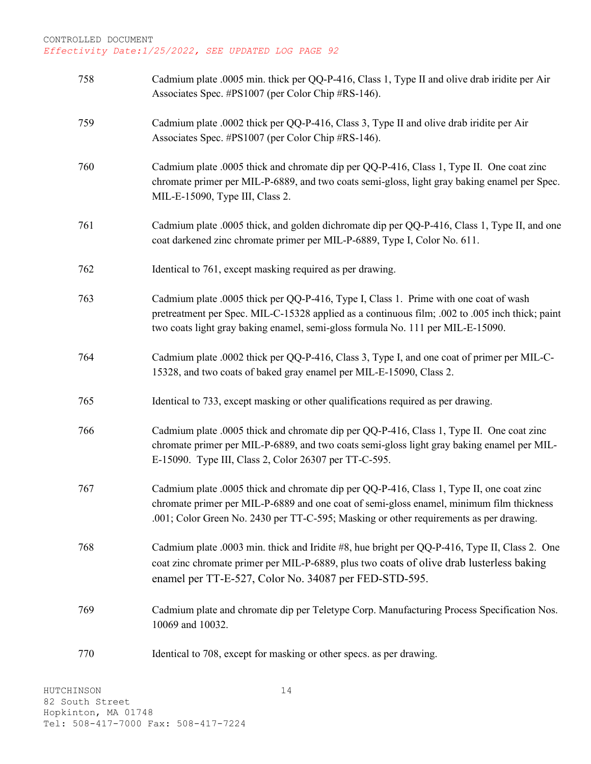| 758 | Cadmium plate .0005 min. thick per QQ-P-416, Class 1, Type II and olive drab iridite per Air<br>Associates Spec. #PS1007 (per Color Chip #RS-146).                                                                                                                             |
|-----|--------------------------------------------------------------------------------------------------------------------------------------------------------------------------------------------------------------------------------------------------------------------------------|
| 759 | Cadmium plate .0002 thick per QQ-P-416, Class 3, Type II and olive drab iridite per Air<br>Associates Spec. #PS1007 (per Color Chip #RS-146).                                                                                                                                  |
| 760 | Cadmium plate .0005 thick and chromate dip per QQ-P-416, Class 1, Type II. One coat zinc<br>chromate primer per MIL-P-6889, and two coats semi-gloss, light gray baking enamel per Spec.<br>MIL-E-15090, Type III, Class 2.                                                    |
| 761 | Cadmium plate .0005 thick, and golden dichromate dip per QQ-P-416, Class 1, Type II, and one<br>coat darkened zinc chromate primer per MIL-P-6889, Type I, Color No. 611.                                                                                                      |
| 762 | Identical to 761, except masking required as per drawing.                                                                                                                                                                                                                      |
| 763 | Cadmium plate .0005 thick per QQ-P-416, Type I, Class 1. Prime with one coat of wash<br>pretreatment per Spec. MIL-C-15328 applied as a continuous film; .002 to .005 inch thick; paint<br>two coats light gray baking enamel, semi-gloss formula No. 111 per MIL-E-15090.     |
| 764 | Cadmium plate .0002 thick per QQ-P-416, Class 3, Type I, and one coat of primer per MIL-C-<br>15328, and two coats of baked gray enamel per MIL-E-15090, Class 2.                                                                                                              |
| 765 | Identical to 733, except masking or other qualifications required as per drawing.                                                                                                                                                                                              |
| 766 | Cadmium plate .0005 thick and chromate dip per QQ-P-416, Class 1, Type II. One coat zinc<br>chromate primer per MIL-P-6889, and two coats semi-gloss light gray baking enamel per MIL-<br>E-15090. Type III, Class 2, Color 26307 per TT-C-595.                                |
| 767 | Cadmium plate .0005 thick and chromate dip per QQ-P-416, Class 1, Type II, one coat zinc<br>chromate primer per MIL-P-6889 and one coat of semi-gloss enamel, minimum film thickness<br>.001; Color Green No. 2430 per TT-C-595; Masking or other requirements as per drawing. |
| 768 | Cadmium plate .0003 min. thick and Iridite #8, hue bright per QQ-P-416, Type II, Class 2. One<br>coat zinc chromate primer per MIL-P-6889, plus two coats of olive drab lusterless baking<br>enamel per TT-E-527, Color No. 34087 per FED-STD-595.                             |
| 769 | Cadmium plate and chromate dip per Teletype Corp. Manufacturing Process Specification Nos.<br>10069 and 10032.                                                                                                                                                                 |
| 770 | Identical to 708, except for masking or other specs. as per drawing.                                                                                                                                                                                                           |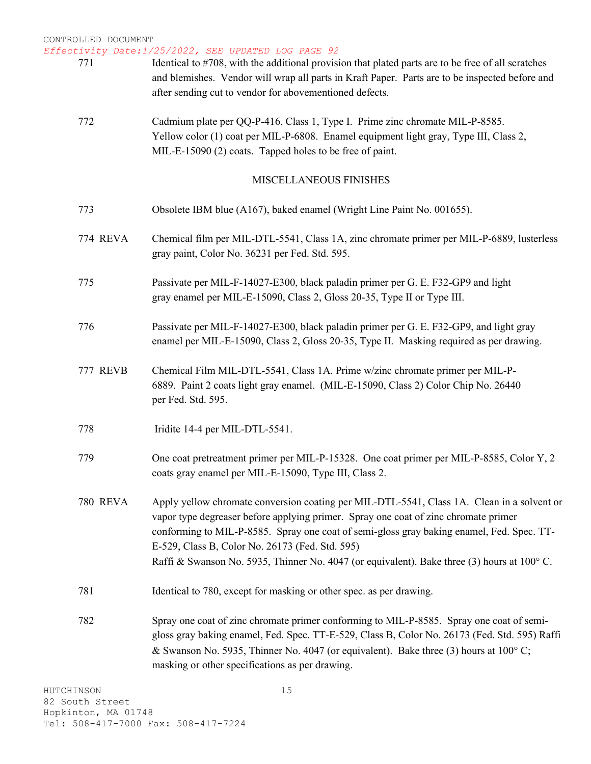*Effectivity Date:1/25/2022, SEE UPDATED LOG PAGE 92*

- 771 Identical to #708, with the additional provision that plated parts are to be free of all scratches and blemishes. Vendor will wrap all parts in Kraft Paper. Parts are to be inspected before and after sending cut to vendor for abovementioned defects.
	- 772 Cadmium plate per QQ-P-416, Class 1, Type I. Prime zinc chromate MIL-P-8585. Yellow color (1) coat per MIL-P-6808. Enamel equipment light gray, Type III, Class 2, MIL-E-15090 (2) coats. Tapped holes to be free of paint.

#### MISCELLANEOUS FINISHES

| 773             | Obsolete IBM blue (A167), baked enamel (Wright Line Paint No. 001655).                                                                                                                                                                                                                                                                                                                                                           |
|-----------------|----------------------------------------------------------------------------------------------------------------------------------------------------------------------------------------------------------------------------------------------------------------------------------------------------------------------------------------------------------------------------------------------------------------------------------|
| <b>774 REVA</b> | Chemical film per MIL-DTL-5541, Class 1A, zinc chromate primer per MIL-P-6889, lusterless<br>gray paint, Color No. 36231 per Fed. Std. 595.                                                                                                                                                                                                                                                                                      |
| 775             | Passivate per MIL-F-14027-E300, black paladin primer per G. E. F32-GP9 and light<br>gray enamel per MIL-E-15090, Class 2, Gloss 20-35, Type II or Type III.                                                                                                                                                                                                                                                                      |
| 776             | Passivate per MIL-F-14027-E300, black paladin primer per G. E. F32-GP9, and light gray<br>enamel per MIL-E-15090, Class 2, Gloss 20-35, Type II. Masking required as per drawing.                                                                                                                                                                                                                                                |
| <b>777 REVB</b> | Chemical Film MIL-DTL-5541, Class 1A. Prime w/zinc chromate primer per MIL-P-<br>6889. Paint 2 coats light gray enamel. (MIL-E-15090, Class 2) Color Chip No. 26440<br>per Fed. Std. 595.                                                                                                                                                                                                                                        |
| 778             | Iridite 14-4 per MIL-DTL-5541.                                                                                                                                                                                                                                                                                                                                                                                                   |
| 779             | One coat pretreatment primer per MIL-P-15328. One coat primer per MIL-P-8585, Color Y, 2<br>coats gray enamel per MIL-E-15090, Type III, Class 2.                                                                                                                                                                                                                                                                                |
| <b>780 REVA</b> | Apply yellow chromate conversion coating per MIL-DTL-5541, Class 1A. Clean in a solvent or<br>vapor type degreaser before applying primer. Spray one coat of zinc chromate primer<br>conforming to MIL-P-8585. Spray one coat of semi-gloss gray baking enamel, Fed. Spec. TT-<br>E-529, Class B, Color No. 26173 (Fed. Std. 595)<br>Raffi & Swanson No. 5935, Thinner No. 4047 (or equivalent). Bake three (3) hours at 100° C. |
| 781             | Identical to 780, except for masking or other spec. as per drawing.                                                                                                                                                                                                                                                                                                                                                              |
| 782             | Spray one coat of zinc chromate primer conforming to MIL-P-8585. Spray one coat of semi-<br>gloss gray baking enamel, Fed. Spec. TT-E-529, Class B, Color No. 26173 (Fed. Std. 595) Raffi<br>& Swanson No. 5935, Thinner No. 4047 (or equivalent). Bake three (3) hours at $100^{\circ}$ C;<br>masking or other specifications as per drawing.                                                                                   |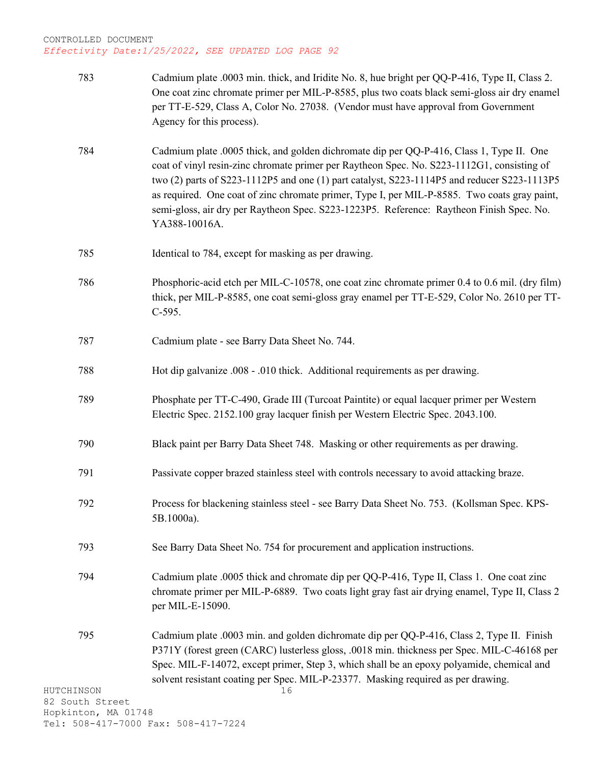| 783                                    | Cadmium plate .0003 min. thick, and Iridite No. 8, hue bright per QQ-P-416, Type II, Class 2.<br>One coat zinc chromate primer per MIL-P-8585, plus two coats black semi-gloss air dry enamel<br>per TT-E-529, Class A, Color No. 27038. (Vendor must have approval from Government<br>Agency for this process).                                                                                                                                                                                   |
|----------------------------------------|----------------------------------------------------------------------------------------------------------------------------------------------------------------------------------------------------------------------------------------------------------------------------------------------------------------------------------------------------------------------------------------------------------------------------------------------------------------------------------------------------|
| 784                                    | Cadmium plate .0005 thick, and golden dichromate dip per QQ-P-416, Class 1, Type II. One<br>coat of vinyl resin-zinc chromate primer per Raytheon Spec. No. S223-1112G1, consisting of<br>two (2) parts of S223-1112P5 and one (1) part catalyst, S223-1114P5 and reducer S223-1113P5<br>as required. One coat of zinc chromate primer, Type I, per MIL-P-8585. Two coats gray paint,<br>semi-gloss, air dry per Raytheon Spec. S223-1223P5. Reference: Raytheon Finish Spec. No.<br>YA388-10016A. |
| 785                                    | Identical to 784, except for masking as per drawing.                                                                                                                                                                                                                                                                                                                                                                                                                                               |
| 786                                    | Phosphoric-acid etch per MIL-C-10578, one coat zinc chromate primer 0.4 to 0.6 mil. (dry film)<br>thick, per MIL-P-8585, one coat semi-gloss gray enamel per TT-E-529, Color No. 2610 per TT-<br>$C-595.$                                                                                                                                                                                                                                                                                          |
| 787                                    | Cadmium plate - see Barry Data Sheet No. 744.                                                                                                                                                                                                                                                                                                                                                                                                                                                      |
| 788                                    | Hot dip galvanize .008 - .010 thick. Additional requirements as per drawing.                                                                                                                                                                                                                                                                                                                                                                                                                       |
| 789                                    | Phosphate per TT-C-490, Grade III (Turcoat Paintite) or equal lacquer primer per Western<br>Electric Spec. 2152.100 gray lacquer finish per Western Electric Spec. 2043.100.                                                                                                                                                                                                                                                                                                                       |
| 790                                    | Black paint per Barry Data Sheet 748. Masking or other requirements as per drawing.                                                                                                                                                                                                                                                                                                                                                                                                                |
| 791                                    | Passivate copper brazed stainless steel with controls necessary to avoid attacking braze.                                                                                                                                                                                                                                                                                                                                                                                                          |
| 792                                    | Process for blackening stainless steel - see Barry Data Sheet No. 753. (Kollsman Spec. KPS-<br>5B.1000a).                                                                                                                                                                                                                                                                                                                                                                                          |
| 793                                    | See Barry Data Sheet No. 754 for procurement and application instructions.                                                                                                                                                                                                                                                                                                                                                                                                                         |
| 794                                    | Cadmium plate .0005 thick and chromate dip per QQ-P-416, Type II, Class 1. One coat zinc<br>chromate primer per MIL-P-6889. Two coats light gray fast air drying enamel, Type II, Class 2<br>per MIL-E-15090.                                                                                                                                                                                                                                                                                      |
| 795<br>HUTCHINSON                      | Cadmium plate .0003 min. and golden dichromate dip per QQ-P-416, Class 2, Type II. Finish<br>P371Y (forest green (CARC) lusterless gloss, .0018 min. thickness per Spec. MIL-C-46168 per<br>Spec. MIL-F-14072, except primer, Step 3, which shall be an epoxy polyamide, chemical and<br>solvent resistant coating per Spec. MIL-P-23377. Masking required as per drawing.<br>16                                                                                                                   |
| 82 South Street<br>Hopkinton, MA 01748 |                                                                                                                                                                                                                                                                                                                                                                                                                                                                                                    |
|                                        | Tel: 508-417-7000 Fax: 508-417-7224                                                                                                                                                                                                                                                                                                                                                                                                                                                                |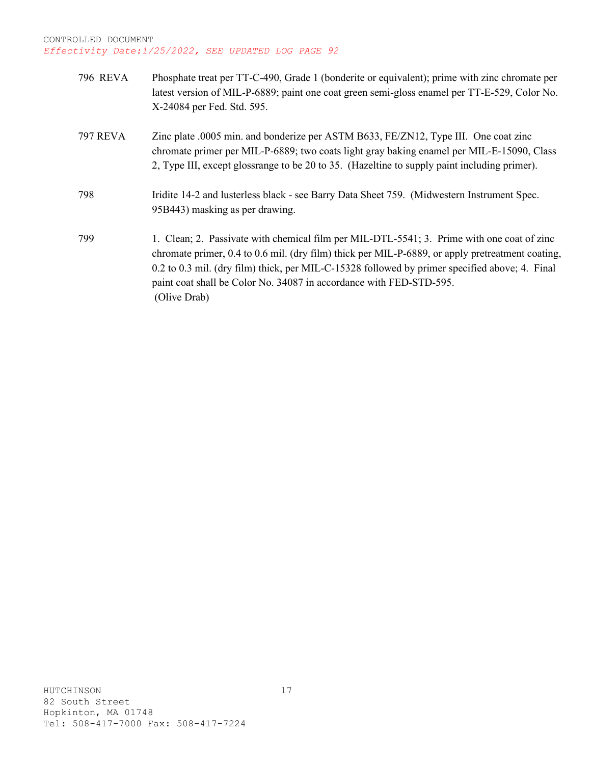| <b>796 REVA</b> | Phosphate treat per TT-C-490, Grade 1 (bonderite or equivalent); prime with zinc chromate per<br>latest version of MIL-P-6889; paint one coat green semi-gloss enamel per TT-E-529, Color No.<br>X-24084 per Fed. Std. 595.                                                                                                                                                             |
|-----------------|-----------------------------------------------------------------------------------------------------------------------------------------------------------------------------------------------------------------------------------------------------------------------------------------------------------------------------------------------------------------------------------------|
| <b>797 REVA</b> | Zinc plate .0005 min. and bonderize per ASTM B633, FE/ZN12, Type III. One coat zinc<br>chromate primer per MIL-P-6889; two coats light gray baking enamel per MIL-E-15090, Class<br>2, Type III, except glossrange to be 20 to 35. (Hazeltine to supply paint including primer).                                                                                                        |
| 798             | Iridite 14-2 and lusterless black - see Barry Data Sheet 759. (Midwestern Instrument Spec.<br>95B443) masking as per drawing.                                                                                                                                                                                                                                                           |
| 799             | 1. Clean; 2. Passivate with chemical film per MIL-DTL-5541; 3. Prime with one coat of zinc<br>chromate primer, 0.4 to 0.6 mil. (dry film) thick per MIL-P-6889, or apply pretreatment coating,<br>0.2 to 0.3 mil. (dry film) thick, per MIL-C-15328 followed by primer specified above; 4. Final<br>paint coat shall be Color No. 34087 in accordance with FED-STD-595.<br>(Olive Drab) |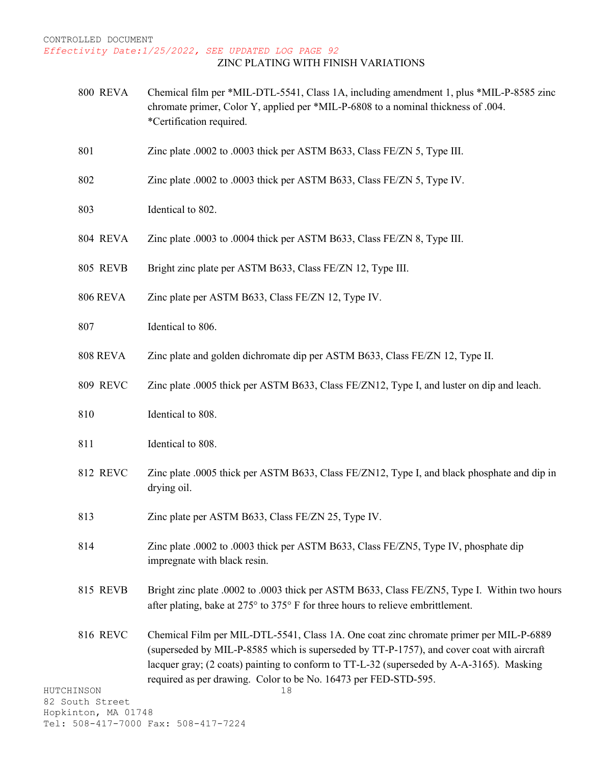#### *Effectivity Date:1/25/2022, SEE UPDATED LOG PAGE 92* ZINC PLATING WITH FINISH VARIATIONS

- 800 REVA Chemical film per \*MIL-DTL-5541, Class 1A, including amendment 1, plus \*MIL-P-8585 zinc chromate primer, Color Y, applied per \*MIL-P-6808 to a nominal thickness of .004. \*Certification required.
- 801 Zinc plate .0002 to .0003 thick per ASTM B633, Class FE/ZN 5, Type III.
- 802 Zinc plate .0002 to .0003 thick per ASTM B633, Class FE/ZN 5, Type IV.
- 803 Identical to 802.
- 804 REVA Zinc plate .0003 to .0004 thick per ASTM B633, Class FE/ZN 8, Type III.
- 805 REVB Bright zinc plate per ASTM B633, Class FE/ZN 12, Type III.
- 806 REVA Zinc plate per ASTM B633, Class FE/ZN 12, Type IV.
- 807 Identical to 806.
- 808 REVA Zinc plate and golden dichromate dip per ASTM B633, Class FE/ZN 12, Type II.
- 809 REVC Zinc plate .0005 thick per ASTM B633, Class FE/ZN12, Type I, and luster on dip and leach.
- 810 Identical to 808.
- 811 Identical to 808.
- 812 REVC Zinc plate .0005 thick per ASTM B633, Class FE/ZN12, Type I, and black phosphate and dip in drying oil.
- 813 Zinc plate per ASTM B633, Class FE/ZN 25, Type IV.
- 814 Zinc plate .0002 to .0003 thick per ASTM B633, Class FE/ZN5, Type IV, phosphate dip impregnate with black resin.
- 815 REVB Bright zinc plate .0002 to .0003 thick per ASTM B633, Class FE/ZN5, Type I. Within two hours after plating, bake at 275° to 375° F for three hours to relieve embrittlement.
- 816 REVC Chemical Film per MIL-DTL-5541, Class 1A. One coat zinc chromate primer per MIL-P-6889 (superseded by MIL-P-8585 which is superseded by TT-P-1757), and cover coat with aircraft lacquer gray; (2 coats) painting to conform to TT-L-32 (superseded by A-A-3165). Masking required as per drawing. Color to be No. 16473 per FED-STD-595.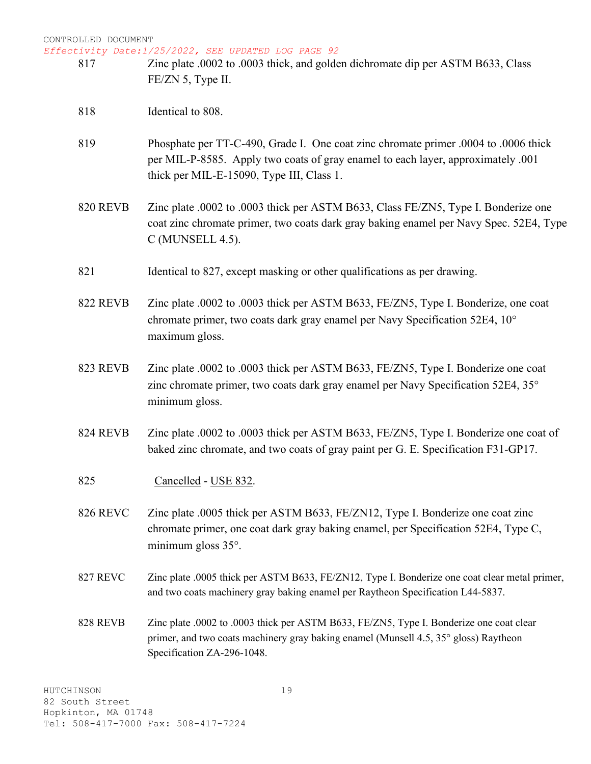*Effectivity Date:1/25/2022, SEE UPDATED LOG PAGE 92*

- 817 Zinc plate .0002 to .0003 thick, and golden dichromate dip per ASTM B633, Class FE/ZN 5, Type II.
	- 818 Identical to 808.
	- 819 Phosphate per TT-C-490, Grade I. One coat zinc chromate primer .0004 to .0006 thick per MIL-P-8585. Apply two coats of gray enamel to each layer, approximately .001 thick per MIL-E-15090, Type III, Class 1.
	- 820 REVB Zinc plate .0002 to .0003 thick per ASTM B633, Class FE/ZN5, Type I. Bonderize one coat zinc chromate primer, two coats dark gray baking enamel per Navy Spec. 52E4, Type C (MUNSELL 4.5).
	- 821 Identical to 827, except masking or other qualifications as per drawing.
	- 822 REVB Zinc plate .0002 to .0003 thick per ASTM B633, FE/ZN5, Type I. Bonderize, one coat chromate primer, two coats dark gray enamel per Navy Specification 52E4, 10° maximum gloss.
	- 823 REVB Zinc plate .0002 to .0003 thick per ASTM B633, FE/ZN5, Type I. Bonderize one coat zinc chromate primer, two coats dark gray enamel per Navy Specification 52E4, 35° minimum gloss.
	- 824 REVB Zinc plate .0002 to .0003 thick per ASTM B633, FE/ZN5, Type I. Bonderize one coat of baked zinc chromate, and two coats of gray paint per G. E. Specification F31-GP17.
	- 825 Cancelled USE 832.
	- 826 REVC Zinc plate .0005 thick per ASTM B633, FE/ZN12, Type I. Bonderize one coat zinc chromate primer, one coat dark gray baking enamel, per Specification 52E4, Type C, minimum gloss 35°.
	- 827 REVC Zinc plate .0005 thick per ASTM B633, FE/ZN12, Type I. Bonderize one coat clear metal primer, and two coats machinery gray baking enamel per Raytheon Specification L44-5837.
	- 828 REVB Zinc plate .0002 to .0003 thick per ASTM B633, FE/ZN5, Type I. Bonderize one coat clear primer, and two coats machinery gray baking enamel (Munsell 4.5, 35° gloss) Raytheon Specification ZA-296-1048.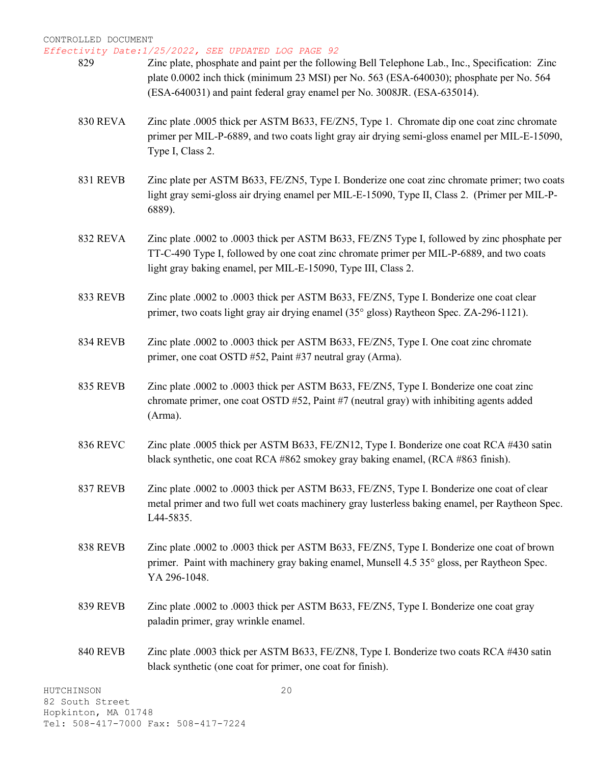*Effectivity Date:1/25/2022, SEE UPDATED LOG PAGE 92*

- 829 Zinc plate, phosphate and paint per the following Bell Telephone Lab., Inc., Specification: Zinc plate 0.0002 inch thick (minimum 23 MSI) per No. 563 (ESA-640030); phosphate per No. 564 (ESA-640031) and paint federal gray enamel per No. 3008JR. (ESA-635014).
	- 830 REVA Zinc plate .0005 thick per ASTM B633, FE/ZN5, Type 1. Chromate dip one coat zinc chromate primer per MIL-P-6889, and two coats light gray air drying semi-gloss enamel per MIL-E-15090, Type I, Class 2.
	- 831 REVB Zinc plate per ASTM B633, FE/ZN5, Type I. Bonderize one coat zinc chromate primer; two coats light gray semi-gloss air drying enamel per MIL-E-15090, Type II, Class 2. (Primer per MIL-P-6889).
	- 832 REVA Zinc plate .0002 to .0003 thick per ASTM B633, FE/ZN5 Type I, followed by zinc phosphate per TT-C-490 Type I, followed by one coat zinc chromate primer per MIL-P-6889, and two coats light gray baking enamel, per MIL-E-15090, Type III, Class 2.
	- 833 REVB Zinc plate .0002 to .0003 thick per ASTM B633, FE/ZN5, Type I. Bonderize one coat clear primer, two coats light gray air drying enamel (35° gloss) Raytheon Spec. ZA-296-1121).
	- 834 REVB Zinc plate .0002 to .0003 thick per ASTM B633, FE/ZN5, Type I. One coat zinc chromate primer, one coat OSTD #52, Paint #37 neutral gray (Arma).
	- 835 REVB Zinc plate .0002 to .0003 thick per ASTM B633, FE/ZN5, Type I. Bonderize one coat zinc chromate primer, one coat OSTD #52, Paint #7 (neutral gray) with inhibiting agents added (Arma).
	- 836 REVC Zinc plate .0005 thick per ASTM B633, FE/ZN12, Type I. Bonderize one coat RCA #430 satin black synthetic, one coat RCA #862 smokey gray baking enamel, (RCA #863 finish).
	- 837 REVB Zinc plate .0002 to .0003 thick per ASTM B633, FE/ZN5, Type I. Bonderize one coat of clear metal primer and two full wet coats machinery gray lusterless baking enamel, per Raytheon Spec. L44-5835.
	- 838 REVB Zinc plate .0002 to .0003 thick per ASTM B633, FE/ZN5, Type I. Bonderize one coat of brown primer. Paint with machinery gray baking enamel, Munsell 4.5 35° gloss, per Raytheon Spec. YA 296-1048.
	- 839 REVB Zinc plate .0002 to .0003 thick per ASTM B633, FE/ZN5, Type I. Bonderize one coat gray paladin primer, gray wrinkle enamel.
	- 840 REVB Zinc plate .0003 thick per ASTM B633, FE/ZN8, Type I. Bonderize two coats RCA #430 satin black synthetic (one coat for primer, one coat for finish).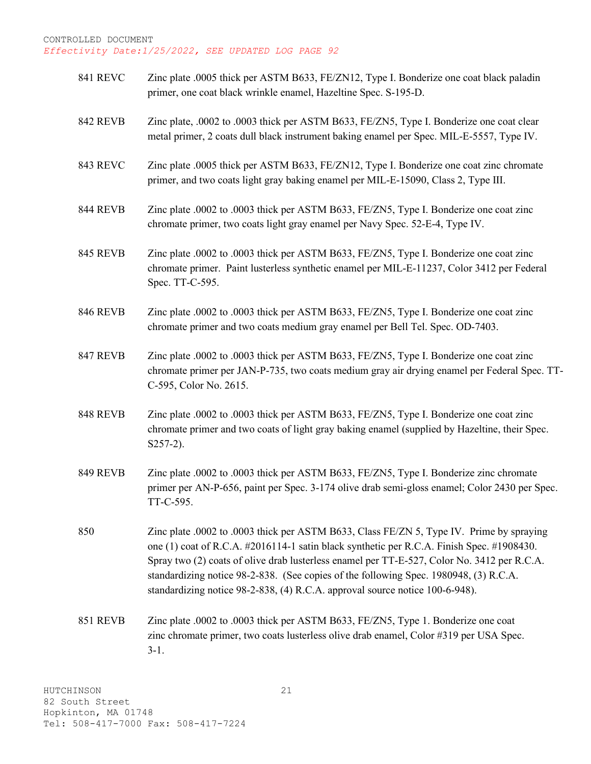- 841 REVC Zinc plate .0005 thick per ASTM B633, FE/ZN12, Type I. Bonderize one coat black paladin primer, one coat black wrinkle enamel, Hazeltine Spec. S-195-D.
- 842 REVB Zinc plate, .0002 to .0003 thick per ASTM B633, FE/ZN5, Type I. Bonderize one coat clear metal primer, 2 coats dull black instrument baking enamel per Spec. MIL-E-5557, Type IV.
- 843 REVC Zinc plate .0005 thick per ASTM B633, FE/ZN12, Type I. Bonderize one coat zinc chromate primer, and two coats light gray baking enamel per MIL-E-15090, Class 2, Type III.
- 844 REVB Zinc plate .0002 to .0003 thick per ASTM B633, FE/ZN5, Type I. Bonderize one coat zinc chromate primer, two coats light gray enamel per Navy Spec. 52-E-4, Type IV.
- 845 REVB Zinc plate .0002 to .0003 thick per ASTM B633, FE/ZN5, Type I. Bonderize one coat zinc chromate primer. Paint lusterless synthetic enamel per MIL-E-11237, Color 3412 per Federal Spec. TT-C-595.
- 846 REVB Zinc plate .0002 to .0003 thick per ASTM B633, FE/ZN5, Type I. Bonderize one coat zinc chromate primer and two coats medium gray enamel per Bell Tel. Spec. OD-7403.
- 847 REVB Zinc plate .0002 to .0003 thick per ASTM B633, FE/ZN5, Type I. Bonderize one coat zinc chromate primer per JAN-P-735, two coats medium gray air drying enamel per Federal Spec. TT-C-595, Color No. 2615.
- 848 REVB Zinc plate .0002 to .0003 thick per ASTM B633, FE/ZN5, Type I. Bonderize one coat zinc chromate primer and two coats of light gray baking enamel (supplied by Hazeltine, their Spec. S257-2).
- 849 REVB Zinc plate .0002 to .0003 thick per ASTM B633, FE/ZN5, Type I. Bonderize zinc chromate primer per AN-P-656, paint per Spec. 3-174 olive drab semi-gloss enamel; Color 2430 per Spec. TT-C-595.

850 Zinc plate .0002 to .0003 thick per ASTM B633, Class FE/ZN 5, Type IV. Prime by spraying one (1) coat of R.C.A. #2016114-1 satin black synthetic per R.C.A. Finish Spec. #1908430. Spray two (2) coats of olive drab lusterless enamel per TT-E-527, Color No. 3412 per R.C.A. standardizing notice 98-2-838. (See copies of the following Spec. 1980948, (3) R.C.A. standardizing notice 98-2-838, (4) R.C.A. approval source notice 100-6-948).

851 REVB Zinc plate .0002 to .0003 thick per ASTM B633, FE/ZN5, Type 1. Bonderize one coat zinc chromate primer, two coats lusterless olive drab enamel, Color #319 per USA Spec. 3-1.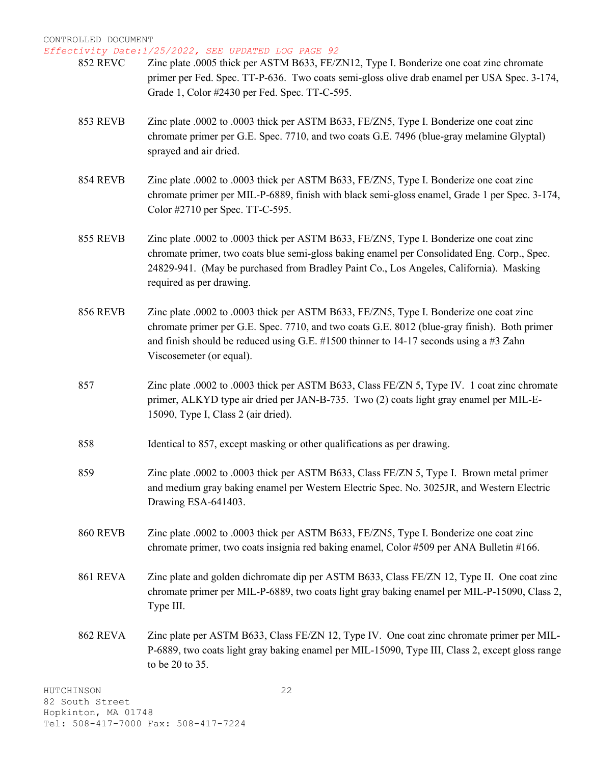- 852 REVC Zinc plate .0005 thick per ASTM B633, FE/ZN12, Type I. Bonderize one coat zinc chromate primer per Fed. Spec. TT-P-636. Two coats semi-gloss olive drab enamel per USA Spec. 3-174, Grade 1, Color #2430 per Fed. Spec. TT-C-595.
- 853 REVB Zinc plate .0002 to .0003 thick per ASTM B633, FE/ZN5, Type I. Bonderize one coat zinc chromate primer per G.E. Spec. 7710, and two coats G.E. 7496 (blue-gray melamine Glyptal) sprayed and air dried.
- 854 REVB Zinc plate .0002 to .0003 thick per ASTM B633, FE/ZN5, Type I. Bonderize one coat zinc chromate primer per MIL-P-6889, finish with black semi-gloss enamel, Grade 1 per Spec. 3-174, Color #2710 per Spec. TT-C-595.
- 855 REVB Zinc plate .0002 to .0003 thick per ASTM B633, FE/ZN5, Type I. Bonderize one coat zinc chromate primer, two coats blue semi-gloss baking enamel per Consolidated Eng. Corp., Spec. 24829-941. (May be purchased from Bradley Paint Co., Los Angeles, California). Masking required as per drawing.
- 856 REVB Zinc plate .0002 to .0003 thick per ASTM B633, FE/ZN5, Type I. Bonderize one coat zinc chromate primer per G.E. Spec. 7710, and two coats G.E. 8012 (blue-gray finish). Both primer and finish should be reduced using G.E.  $\#1500$  thinner to 14-17 seconds using a  $\#3$  Zahn Viscosemeter (or equal).
- 857 Zinc plate .0002 to .0003 thick per ASTM B633, Class FE/ZN 5, Type IV. 1 coat zinc chromate primer, ALKYD type air dried per JAN-B-735. Two (2) coats light gray enamel per MIL-E-15090, Type I, Class 2 (air dried).
- 858 Identical to 857, except masking or other qualifications as per drawing.
- 859 Zinc plate .0002 to .0003 thick per ASTM B633, Class FE/ZN 5, Type I. Brown metal primer and medium gray baking enamel per Western Electric Spec. No. 3025JR, and Western Electric Drawing ESA-641403.
- 860 REVB Zinc plate .0002 to .0003 thick per ASTM B633, FE/ZN5, Type I. Bonderize one coat zinc chromate primer, two coats insignia red baking enamel, Color #509 per ANA Bulletin #166.
- 861 REVA Zinc plate and golden dichromate dip per ASTM B633, Class FE/ZN 12, Type II. One coat zinc chromate primer per MIL-P-6889, two coats light gray baking enamel per MIL-P-15090, Class 2, Type III.
- 862 REVA Zinc plate per ASTM B633, Class FE/ZN 12, Type IV. One coat zinc chromate primer per MIL-P-6889, two coats light gray baking enamel per MIL-15090, Type III, Class 2, except gloss range to be 20 to 35.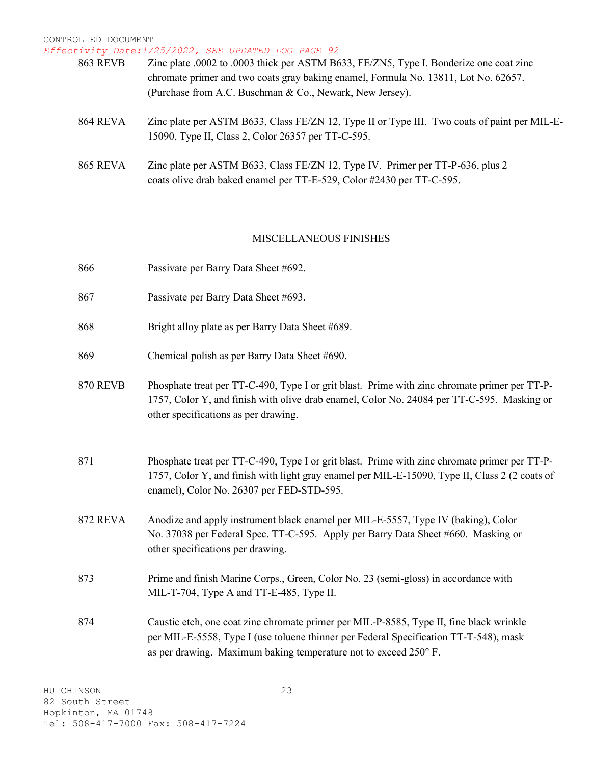| 863 REVB        | Zinc plate .0002 to .0003 thick per ASTM B633, FE/ZN5, Type I. Bonderize one coat zinc       |
|-----------------|----------------------------------------------------------------------------------------------|
|                 | chromate primer and two coats gray baking enamel, Formula No. 13811, Lot No. 62657.          |
|                 | (Purchase from A.C. Buschman & Co., Newark, New Jersey).                                     |
| <b>864 REVA</b> | Zinc plate per ASTM B633, Class FE/ZN 12, Type II or Type III. Two coats of paint per MIL-E- |
|                 | 15090, Type II, Class 2, Color 26357 per TT-C-595.                                           |
| <b>865 REVA</b> | Zinc plate per ASTM B633, Class FE/ZN 12, Type IV. Primer per TT-P-636, plus 2               |
|                 | coats olive drab baked enamel per TT-E-529, Color #2430 per TT-C-595.                        |

#### MISCELLANEOUS FINISHES

| 866             | Passivate per Barry Data Sheet #692.                                                                                                                                                                                                                 |
|-----------------|------------------------------------------------------------------------------------------------------------------------------------------------------------------------------------------------------------------------------------------------------|
| 867             | Passivate per Barry Data Sheet #693.                                                                                                                                                                                                                 |
| 868             | Bright alloy plate as per Barry Data Sheet #689.                                                                                                                                                                                                     |
| 869             | Chemical polish as per Barry Data Sheet #690.                                                                                                                                                                                                        |
| <b>870 REVB</b> | Phosphate treat per TT-C-490, Type I or grit blast. Prime with zinc chromate primer per TT-P-<br>1757, Color Y, and finish with olive drab enamel, Color No. 24084 per TT-C-595. Masking or<br>other specifications as per drawing.                  |
| 871             | Phosphate treat per TT-C-490, Type I or grit blast. Prime with zinc chromate primer per TT-P-<br>1757, Color Y, and finish with light gray enamel per MIL-E-15090, Type II, Class 2 (2 coats of<br>enamel), Color No. 26307 per FED-STD-595.         |
| <b>872 REVA</b> | Anodize and apply instrument black enamel per MIL-E-5557, Type IV (baking), Color<br>No. 37038 per Federal Spec. TT-C-595. Apply per Barry Data Sheet #660. Masking or<br>other specifications per drawing.                                          |
| 873             | Prime and finish Marine Corps., Green, Color No. 23 (semi-gloss) in accordance with<br>MIL-T-704, Type A and TT-E-485, Type II.                                                                                                                      |
| 874             | Caustic etch, one coat zinc chromate primer per MIL-P-8585, Type II, fine black wrinkle<br>per MIL-E-5558, Type I (use toluene thinner per Federal Specification TT-T-548), mask<br>as per drawing. Maximum baking temperature not to exceed 250° F. |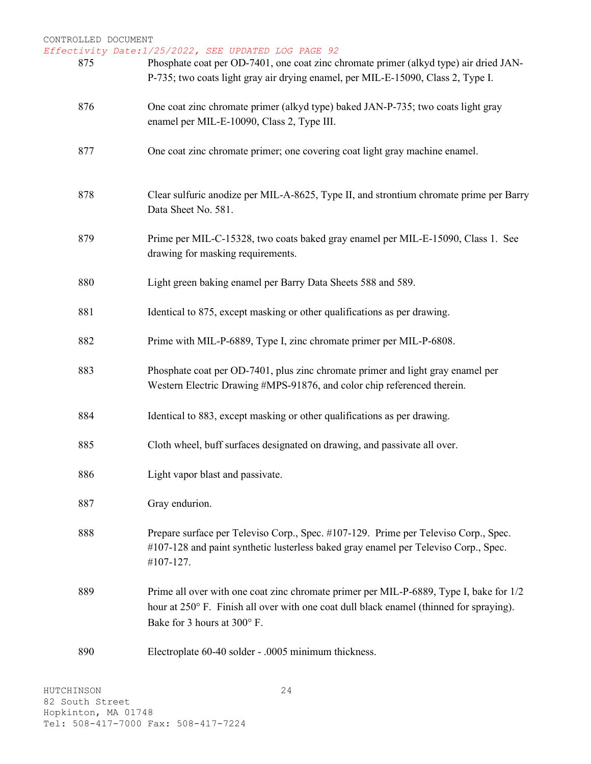*Effectivity Date:1/25/2022, SEE UPDATED LOG PAGE 92*

| 875 | Phosphate coat per OD-7401, one coat zinc chromate primer (alkyd type) air dried JAN-<br>P-735; two coats light gray air drying enamel, per MIL-E-15090, Class 2, Type I.                                        |
|-----|------------------------------------------------------------------------------------------------------------------------------------------------------------------------------------------------------------------|
| 876 | One coat zinc chromate primer (alkyd type) baked JAN-P-735; two coats light gray<br>enamel per MIL-E-10090, Class 2, Type III.                                                                                   |
| 877 | One coat zinc chromate primer; one covering coat light gray machine enamel.                                                                                                                                      |
| 878 | Clear sulfuric anodize per MIL-A-8625, Type II, and strontium chromate prime per Barry<br>Data Sheet No. 581.                                                                                                    |
| 879 | Prime per MIL-C-15328, two coats baked gray enamel per MIL-E-15090, Class 1. See<br>drawing for masking requirements.                                                                                            |
| 880 | Light green baking enamel per Barry Data Sheets 588 and 589.                                                                                                                                                     |
| 881 | Identical to 875, except masking or other qualifications as per drawing.                                                                                                                                         |
| 882 | Prime with MIL-P-6889, Type I, zinc chromate primer per MIL-P-6808.                                                                                                                                              |
| 883 | Phosphate coat per OD-7401, plus zinc chromate primer and light gray enamel per<br>Western Electric Drawing #MPS-91876, and color chip referenced therein.                                                       |
| 884 | Identical to 883, except masking or other qualifications as per drawing.                                                                                                                                         |
| 885 | Cloth wheel, buff surfaces designated on drawing, and passivate all over.                                                                                                                                        |
| 886 | Light vapor blast and passivate.                                                                                                                                                                                 |
| 887 | Gray endurion.                                                                                                                                                                                                   |
| 888 | Prepare surface per Televiso Corp., Spec. #107-129. Prime per Televiso Corp., Spec.<br>#107-128 and paint synthetic lusterless baked gray enamel per Televiso Corp., Spec.<br>#107-127.                          |
| 889 | Prime all over with one coat zinc chromate primer per MIL-P-6889, Type I, bake for 1/2<br>hour at 250° F. Finish all over with one coat dull black enamel (thinned for spraying).<br>Bake for 3 hours at 300° F. |
| 890 | Electroplate 60-40 solder - .0005 minimum thickness.                                                                                                                                                             |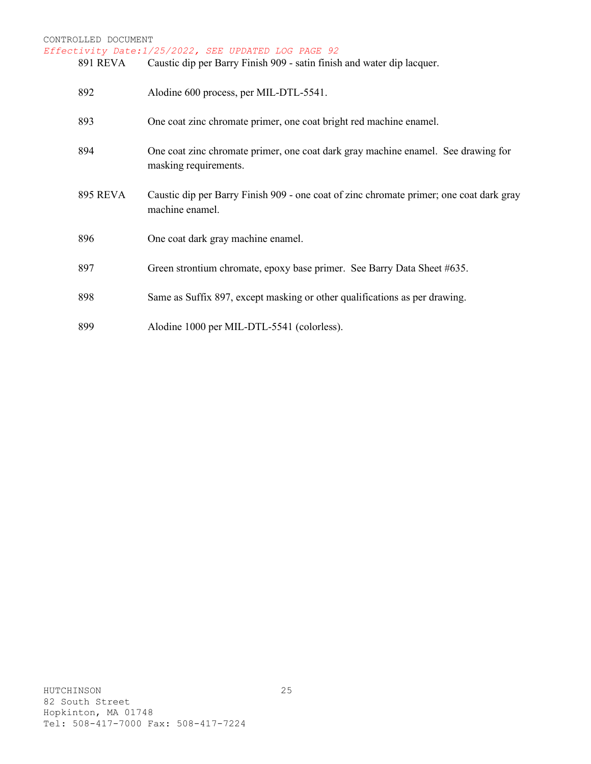### CONTROLLED DOCUMENT *Effectivity Date:1/25/2022, SEE UPDATED LOG PAGE 92* Caustic dip per Barry Finish 909 - satin finish and water dip lacquer. 892 Alodine 600 process, per MIL-DTL-5541. 893 One coat zinc chromate primer, one coat bright red machine enamel. 894 One coat zinc chromate primer, one coat dark gray machine enamel. See drawing for masking requirements. 895 REVA Caustic dip per Barry Finish 909 - one coat of zinc chromate primer; one coat dark gray machine enamel. 896 One coat dark gray machine enamel. 897 Green strontium chromate, epoxy base primer. See Barry Data Sheet #635. 898 Same as Suffix 897, except masking or other qualifications as per drawing. 899 Alodine 1000 per MIL-DTL-5541 (colorless).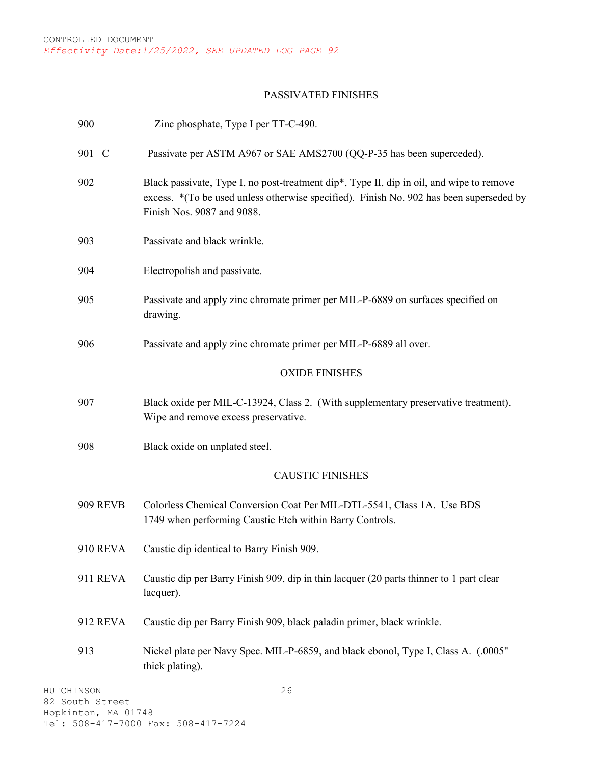#### PASSIVATED FINISHES

| 900                           | Zinc phosphate, Type I per TT-C-490.                                                                                                                                                                               |
|-------------------------------|--------------------------------------------------------------------------------------------------------------------------------------------------------------------------------------------------------------------|
| 901 C                         | Passivate per ASTM A967 or SAE AMS2700 (QQ-P-35 has been superceded).                                                                                                                                              |
| 902                           | Black passivate, Type I, no post-treatment dip*, Type II, dip in oil, and wipe to remove<br>excess. * (To be used unless otherwise specified). Finish No. 902 has been superseded by<br>Finish Nos. 9087 and 9088. |
| 903                           | Passivate and black wrinkle.                                                                                                                                                                                       |
| 904                           | Electropolish and passivate.                                                                                                                                                                                       |
| 905                           | Passivate and apply zinc chromate primer per MIL-P-6889 on surfaces specified on<br>drawing.                                                                                                                       |
| 906                           | Passivate and apply zinc chromate primer per MIL-P-6889 all over.                                                                                                                                                  |
|                               | <b>OXIDE FINISHES</b>                                                                                                                                                                                              |
| 907                           | Black oxide per MIL-C-13924, Class 2. (With supplementary preservative treatment).<br>Wipe and remove excess preservative.                                                                                         |
| 908                           | Black oxide on unplated steel.                                                                                                                                                                                     |
|                               | <b>CAUSTIC FINISHES</b>                                                                                                                                                                                            |
| <b>909 REVB</b>               | Colorless Chemical Conversion Coat Per MIL-DTL-5541, Class 1A. Use BDS<br>1749 when performing Caustic Etch within Barry Controls.                                                                                 |
| 910 REVA                      | Caustic dip identical to Barry Finish 909.                                                                                                                                                                         |
| 911 REVA                      | Caustic dip per Barry Finish 909, dip in thin lacquer (20 parts thinner to 1 part clear<br>lacquer).                                                                                                               |
| 912 REVA                      | Caustic dip per Barry Finish 909, black paladin primer, black wrinkle.                                                                                                                                             |
| 913                           | Nickel plate per Navy Spec. MIL-P-6859, and black ebonol, Type I, Class A. (.0005"<br>thick plating).                                                                                                              |
| HUTCHINSON<br>82 South Street | 26                                                                                                                                                                                                                 |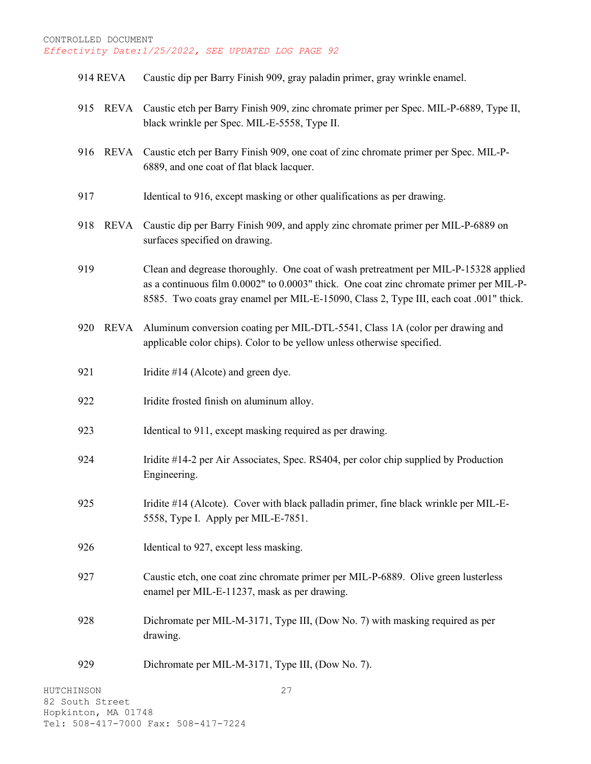- 914 REVA Caustic dip per Barry Finish 909, gray paladin primer, gray wrinkle enamel.
- 915 REVA Caustic etch per Barry Finish 909, zinc chromate primer per Spec. MIL-P-6889, Type II, black wrinkle per Spec. MIL-E-5558, Type II.
- 916 REVA Caustic etch per Barry Finish 909, one coat of zinc chromate primer per Spec. MIL-P-6889, and one coat of flat black lacquer.
- 917 Identical to 916, except masking or other qualifications as per drawing.
- 918 REVA Caustic dip per Barry Finish 909, and apply zinc chromate primer per MIL-P-6889 on surfaces specified on drawing.
- 919 Clean and degrease thoroughly. One coat of wash pretreatment per MIL-P-15328 applied as a continuous film 0.0002" to 0.0003" thick. One coat zinc chromate primer per MIL-P-8585. Two coats gray enamel per MIL-E-15090, Class 2, Type III, each coat .001" thick.
- 920 REVA Aluminum conversion coating per MIL-DTL-5541, Class 1A (color per drawing and applicable color chips). Color to be yellow unless otherwise specified.
- 921 Iridite #14 (Alcote) and green dye.
- 922 Iridite frosted finish on aluminum alloy.
- 923 Identical to 911, except masking required as per drawing.
- 924 Iridite #14-2 per Air Associates, Spec. RS404, per color chip supplied by Production Engineering.
- 925 Iridite #14 (Alcote). Cover with black palladin primer, fine black wrinkle per MIL-E-5558, Type I. Apply per MIL-E-7851.
- 926 Identical to 927, except less masking.
- 927 Caustic etch, one coat zinc chromate primer per MIL-P-6889. Olive green lusterless enamel per MIL-E-11237, mask as per drawing.
- 928 Dichromate per MIL-M-3171, Type III, (Dow No. 7) with masking required as per drawing.
- 929 Dichromate per MIL-M-3171, Type III, (Dow No. 7).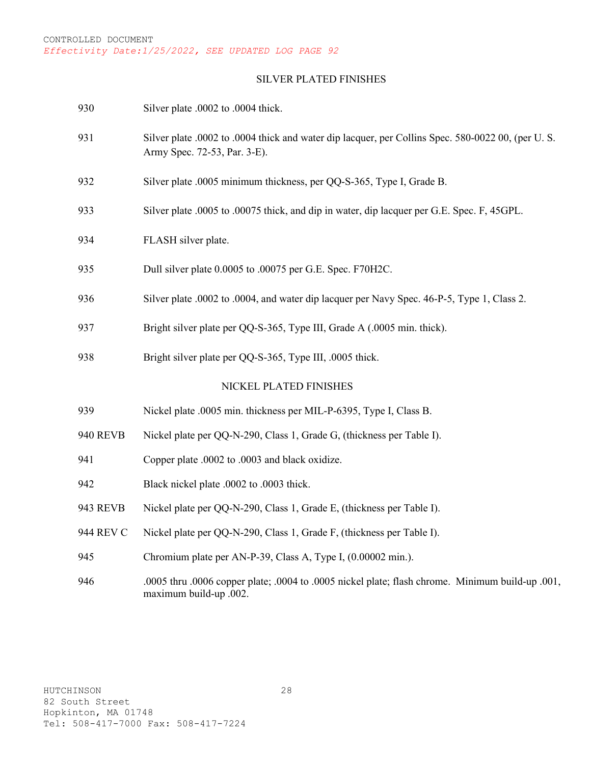#### SILVER PLATED FINISHES

| 930             | Silver plate .0002 to .0004 thick.                                                                                                |
|-----------------|-----------------------------------------------------------------------------------------------------------------------------------|
| 931             | Silver plate .0002 to .0004 thick and water dip lacquer, per Collins Spec. 580-0022 00, (per U.S.<br>Army Spec. 72-53, Par. 3-E). |
| 932             | Silver plate .0005 minimum thickness, per QQ-S-365, Type I, Grade B.                                                              |
| 933             | Silver plate .0005 to .00075 thick, and dip in water, dip lacquer per G.E. Spec. F, 45GPL.                                        |
| 934             | FLASH silver plate.                                                                                                               |
| 935             | Dull silver plate 0.0005 to .00075 per G.E. Spec. F70H2C.                                                                         |
| 936             | Silver plate .0002 to .0004, and water dip lacquer per Navy Spec. 46-P-5, Type 1, Class 2.                                        |
| 937             | Bright silver plate per QQ-S-365, Type III, Grade A (.0005 min. thick).                                                           |
| 938             | Bright silver plate per QQ-S-365, Type III, .0005 thick.                                                                          |
|                 | NICKEL PLATED FINISHES                                                                                                            |
| 939             | Nickel plate .0005 min. thickness per MIL-P-6395, Type I, Class B.                                                                |
| <b>940 REVB</b> | Nickel plate per QQ-N-290, Class 1, Grade G, (thickness per Table I).                                                             |
| 941             | Copper plate .0002 to .0003 and black oxidize.                                                                                    |
| 942             | Black nickel plate .0002 to .0003 thick.                                                                                          |
| <b>943 REVB</b> | Nickel plate per QQ-N-290, Class 1, Grade E, (thickness per Table I).                                                             |
| 944 REV C       | Nickel plate per QQ-N-290, Class 1, Grade F, (thickness per Table I).                                                             |
| 945             | Chromium plate per AN-P-39, Class A, Type I, (0.00002 min.).                                                                      |
| 946             | .0005 thru .0006 copper plate; .0004 to .0005 nickel plate; flash chrome. Minimum build-up .001,<br>maximum build-up .002.        |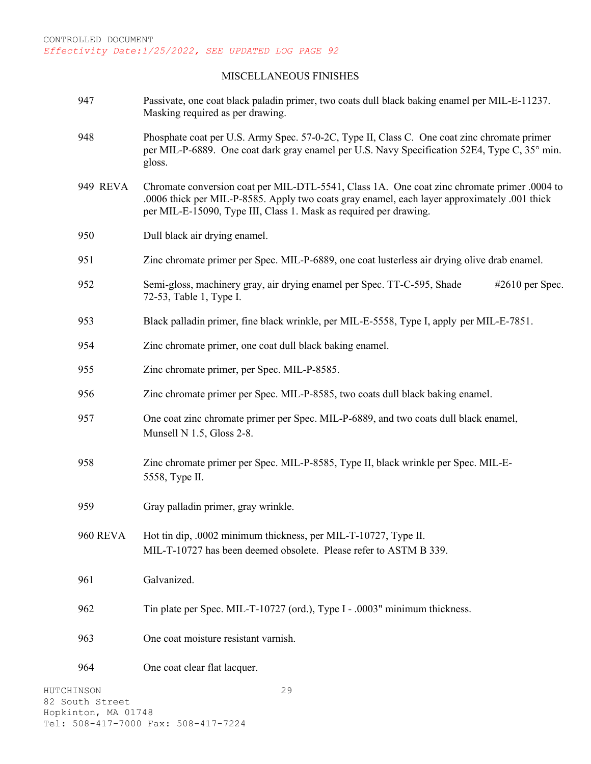#### MISCELLANEOUS FINISHES

- 947 Passivate, one coat black paladin primer, two coats dull black baking enamel per MIL-E-11237. Masking required as per drawing.
- 948 Phosphate coat per U.S. Army Spec. 57-0-2C, Type II, Class C. One coat zinc chromate primer per MIL-P-6889. One coat dark gray enamel per U.S. Navy Specification 52E4, Type C, 35° min. gloss.
- 949 REVA Chromate conversion coat per MIL-DTL-5541, Class 1A. One coat zinc chromate primer .0004 to .0006 thick per MIL-P-8585. Apply two coats gray enamel, each layer approximately .001 thick per MIL-E-15090, Type III, Class 1. Mask as required per drawing.
- 950 Dull black air drying enamel.
- 951 Zinc chromate primer per Spec. MIL-P-6889, one coat lusterless air drying olive drab enamel.
- 952 Semi-gloss, machinery gray, air drying enamel per Spec. TT-C-595, Shade #2610 per Spec. 72-53, Table 1, Type I.
- 953 Black palladin primer, fine black wrinkle, per MIL-E-5558, Type I, apply per MIL-E-7851.
- 954 Zinc chromate primer, one coat dull black baking enamel.
- 955 Zinc chromate primer, per Spec. MIL-P-8585.
- 956 Zinc chromate primer per Spec. MIL-P-8585, two coats dull black baking enamel.
- 957 One coat zinc chromate primer per Spec. MIL-P-6889, and two coats dull black enamel, Munsell N 1.5, Gloss 2-8.
- 958 Zinc chromate primer per Spec. MIL-P-8585, Type II, black wrinkle per Spec. MIL-E-5558, Type II.
- 959 Gray palladin primer, gray wrinkle.
- 960 REVA Hot tin dip, .0002 minimum thickness, per MIL-T-10727, Type II. MIL-T-10727 has been deemed obsolete. Please refer to ASTM B 339.
- 961 Galvanized.
- 962 Tin plate per Spec. MIL-T-10727 (ord.), Type I .0003" minimum thickness.
- 963 One coat moisture resistant varnish.
- 964 One coat clear flat lacquer.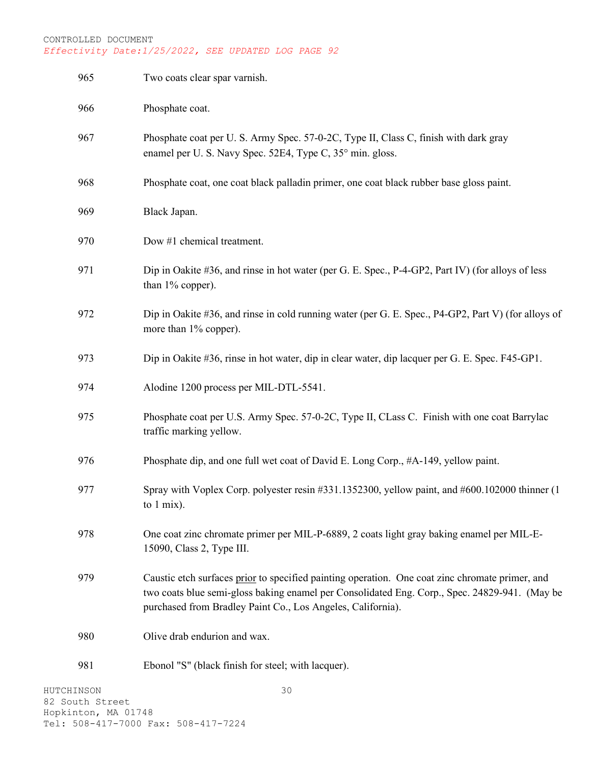| HUTCHINSON | 30                                                                                                                                                                                                                                                              |
|------------|-----------------------------------------------------------------------------------------------------------------------------------------------------------------------------------------------------------------------------------------------------------------|
| 981        | Ebonol "S" (black finish for steel; with lacquer).                                                                                                                                                                                                              |
| 980        | Olive drab endurion and wax.                                                                                                                                                                                                                                    |
| 979        | Caustic etch surfaces prior to specified painting operation. One coat zinc chromate primer, and<br>two coats blue semi-gloss baking enamel per Consolidated Eng. Corp., Spec. 24829-941. (May be<br>purchased from Bradley Paint Co., Los Angeles, California). |
| 978        | One coat zinc chromate primer per MIL-P-6889, 2 coats light gray baking enamel per MIL-E-<br>15090, Class 2, Type III.                                                                                                                                          |
| 977        | Spray with Voplex Corp. polyester resin #331.1352300, yellow paint, and #600.102000 thinner (1<br>to 1 mix).                                                                                                                                                    |
| 976        | Phosphate dip, and one full wet coat of David E. Long Corp., #A-149, yellow paint.                                                                                                                                                                              |
| 975        | Phosphate coat per U.S. Army Spec. 57-0-2C, Type II, CLass C. Finish with one coat Barrylac<br>traffic marking yellow.                                                                                                                                          |
| 974        | Alodine 1200 process per MIL-DTL-5541.                                                                                                                                                                                                                          |
| 973        | Dip in Oakite #36, rinse in hot water, dip in clear water, dip lacquer per G. E. Spec. F45-GP1.                                                                                                                                                                 |
| 972        | Dip in Oakite #36, and rinse in cold running water (per G. E. Spec., P4-GP2, Part V) (for alloys of<br>more than 1% copper).                                                                                                                                    |
| 971        | Dip in Oakite #36, and rinse in hot water (per G. E. Spec., P-4-GP2, Part IV) (for alloys of less<br>than 1% copper).                                                                                                                                           |
| 970        | Dow #1 chemical treatment.                                                                                                                                                                                                                                      |
| 969        | Black Japan.                                                                                                                                                                                                                                                    |
| 968        | Phosphate coat, one coat black palladin primer, one coat black rubber base gloss paint.                                                                                                                                                                         |
| 967        | Phosphate coat per U.S. Army Spec. 57-0-2C, Type II, Class C, finish with dark gray<br>enamel per U. S. Navy Spec. 52E4, Type C, 35° min. gloss.                                                                                                                |
| 966        | Phosphate coat.                                                                                                                                                                                                                                                 |
| 965        | Two coats clear spar varnish.                                                                                                                                                                                                                                   |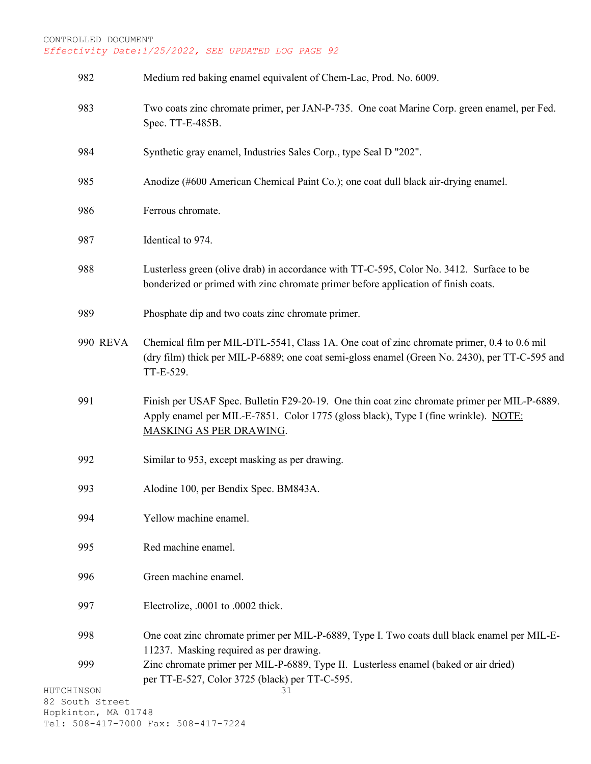| 982                                    | Medium red baking enamel equivalent of Chem-Lac, Prod. No. 6009.                                                                                                                                               |
|----------------------------------------|----------------------------------------------------------------------------------------------------------------------------------------------------------------------------------------------------------------|
| 983                                    | Two coats zinc chromate primer, per JAN-P-735. One coat Marine Corp. green enamel, per Fed.<br>Spec. TT-E-485B.                                                                                                |
| 984                                    | Synthetic gray enamel, Industries Sales Corp., type Seal D "202".                                                                                                                                              |
| 985                                    | Anodize (#600 American Chemical Paint Co.); one coat dull black air-drying enamel.                                                                                                                             |
| 986                                    | Ferrous chromate.                                                                                                                                                                                              |
| 987                                    | Identical to 974.                                                                                                                                                                                              |
| 988                                    | Lusterless green (olive drab) in accordance with TT-C-595, Color No. 3412. Surface to be<br>bonderized or primed with zinc chromate primer before application of finish coats.                                 |
| 989                                    | Phosphate dip and two coats zinc chromate primer.                                                                                                                                                              |
| <b>990 REVA</b>                        | Chemical film per MIL-DTL-5541, Class 1A. One coat of zinc chromate primer, 0.4 to 0.6 mil<br>(dry film) thick per MIL-P-6889; one coat semi-gloss enamel (Green No. 2430), per TT-C-595 and<br>TT-E-529.      |
| 991                                    | Finish per USAF Spec. Bulletin F29-20-19. One thin coat zinc chromate primer per MIL-P-6889.<br>Apply enamel per MIL-E-7851. Color 1775 (gloss black), Type I (fine wrinkle). NOTE:<br>MASKING AS PER DRAWING. |
| 992                                    | Similar to 953, except masking as per drawing.                                                                                                                                                                 |
| 993                                    | Alodine 100, per Bendix Spec. BM843A.                                                                                                                                                                          |
| 994                                    | Yellow machine enamel.                                                                                                                                                                                         |
| 995                                    | Red machine enamel.                                                                                                                                                                                            |
| 996                                    | Green machine enamel.                                                                                                                                                                                          |
| 997                                    | Electrolize, .0001 to .0002 thick.                                                                                                                                                                             |
| 998                                    | One coat zinc chromate primer per MIL-P-6889, Type I. Two coats dull black enamel per MIL-E-<br>11237. Masking required as per drawing.                                                                        |
| 999                                    | Zinc chromate primer per MIL-P-6889, Type II. Lusterless enamel (baked or air dried)<br>per TT-E-527, Color 3725 (black) per TT-C-595.                                                                         |
| HUTCHINSON                             | 31                                                                                                                                                                                                             |
| 82 South Street<br>Hopkinton, MA 01748 |                                                                                                                                                                                                                |
|                                        | Tel: 508-417-7000 Fax: 508-417-7224                                                                                                                                                                            |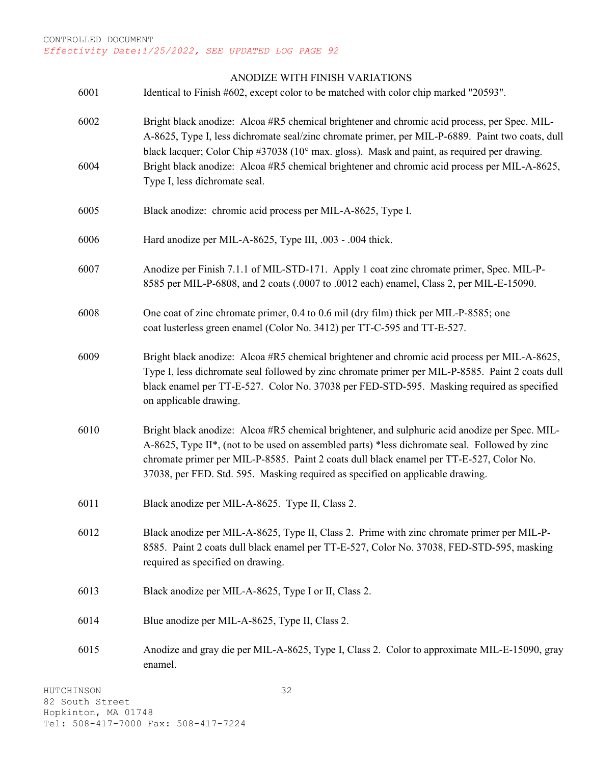#### ANODIZE WITH FINISH VARIATIONS

6001 Identical to Finish #602, except color to be matched with color chip marked "20593".

- 6002 Bright black anodize: Alcoa #R5 chemical brightener and chromic acid process, per Spec. MIL-A-8625, Type I, less dichromate seal/zinc chromate primer, per MIL-P-6889. Paint two coats, dull black lacquer; Color Chip #37038 (10° max. gloss). Mask and paint, as required per drawing. 6004 Bright black anodize: Alcoa #R5 chemical brightener and chromic acid process per MIL-A-8625, Type I, less dichromate seal.
- 6005 Black anodize: chromic acid process per MIL-A-8625, Type I.

6006 Hard anodize per MIL-A-8625, Type III, .003 - .004 thick.

- 6007 Anodize per Finish 7.1.1 of MIL-STD-171. Apply 1 coat zinc chromate primer, Spec. MIL-P-8585 per MIL-P-6808, and 2 coats (.0007 to .0012 each) enamel, Class 2, per MIL-E-15090.
- 6008 One coat of zinc chromate primer, 0.4 to 0.6 mil (dry film) thick per MIL-P-8585; one coat lusterless green enamel (Color No. 3412) per TT-C-595 and TT-E-527.
- 6009 Bright black anodize: Alcoa #R5 chemical brightener and chromic acid process per MIL-A-8625, Type I, less dichromate seal followed by zinc chromate primer per MIL-P-8585. Paint 2 coats dull black enamel per TT-E-527. Color No. 37038 per FED-STD-595. Masking required as specified on applicable drawing.
- 6010 Bright black anodize: Alcoa #R5 chemical brightener, and sulphuric acid anodize per Spec. MIL-A-8625, Type II\*, (not to be used on assembled parts) \*less dichromate seal. Followed by zinc chromate primer per MIL-P-8585. Paint 2 coats dull black enamel per TT-E-527, Color No. 37038, per FED. Std. 595. Masking required as specified on applicable drawing.
- 6011 Black anodize per MIL-A-8625. Type II, Class 2.
- 6012 Black anodize per MIL-A-8625, Type II, Class 2. Prime with zinc chromate primer per MIL-P-8585. Paint 2 coats dull black enamel per TT-E-527, Color No. 37038, FED-STD-595, masking required as specified on drawing.
- 6013 Black anodize per MIL-A-8625, Type I or II, Class 2.
- 6014 Blue anodize per MIL-A-8625, Type II, Class 2.
- 6015 Anodize and gray die per MIL-A-8625, Type I, Class 2. Color to approximate MIL-E-15090, gray enamel.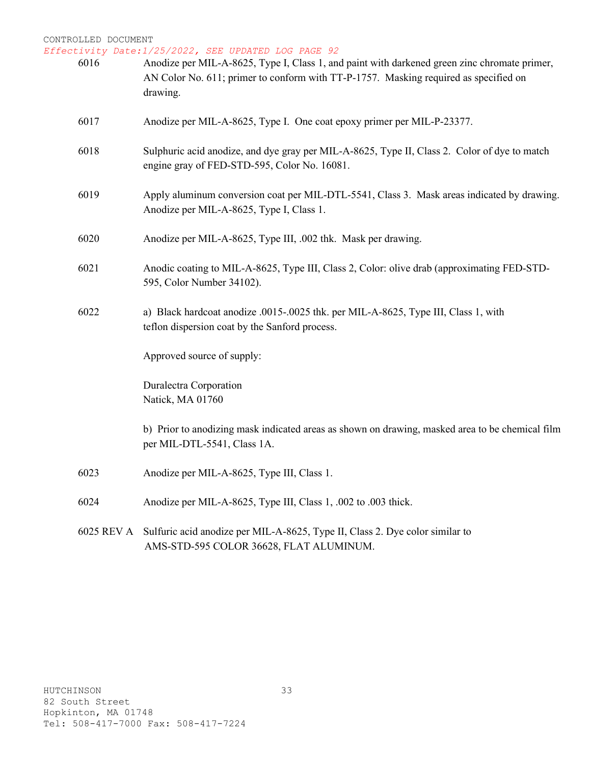*Effectivity Date:1/25/2022, SEE UPDATED LOG PAGE 92*

| 6016 | Anodize per MIL-A-8625, Type I, Class 1, and paint with darkened green zinc chromate primer,<br>AN Color No. 611; primer to conform with TT-P-1757. Masking required as specified on<br>drawing. |
|------|--------------------------------------------------------------------------------------------------------------------------------------------------------------------------------------------------|
| 6017 | Anodize per MIL-A-8625, Type I. One coat epoxy primer per MIL-P-23377.                                                                                                                           |
| 6018 | Sulphuric acid anodize, and dye gray per MIL-A-8625, Type II, Class 2. Color of dye to match<br>engine gray of FED-STD-595, Color No. 16081.                                                     |
| 6019 | Apply aluminum conversion coat per MIL-DTL-5541, Class 3. Mask areas indicated by drawing.<br>Anodize per MIL-A-8625, Type I, Class 1.                                                           |
| 6020 | Anodize per MIL-A-8625, Type III, .002 thk. Mask per drawing.                                                                                                                                    |
| 6021 | Anodic coating to MIL-A-8625, Type III, Class 2, Color: olive drab (approximating FED-STD-<br>595, Color Number 34102).                                                                          |
| 6022 | a) Black hardcoat anodize .0015-.0025 thk. per MIL-A-8625, Type III, Class 1, with<br>teflon dispersion coat by the Sanford process.                                                             |
|      | Approved source of supply:                                                                                                                                                                       |
|      | Duralectra Corporation<br>Natick, MA 01760                                                                                                                                                       |
|      | b) Prior to anodizing mask indicated areas as shown on drawing, masked area to be chemical film<br>per MIL-DTL-5541, Class 1A.                                                                   |
| 6023 | Anodize per MIL-A-8625, Type III, Class 1.                                                                                                                                                       |
| 6024 | Anodize per MIL-A-8625, Type III, Class 1, .002 to .003 thick.                                                                                                                                   |
|      | 6025 REV A Sulfuric acid anodize per MIL-A-8625, Type II, Class 2. Dye color similar to                                                                                                          |

AMS-STD-595 COLOR 36628, FLAT ALUMINUM.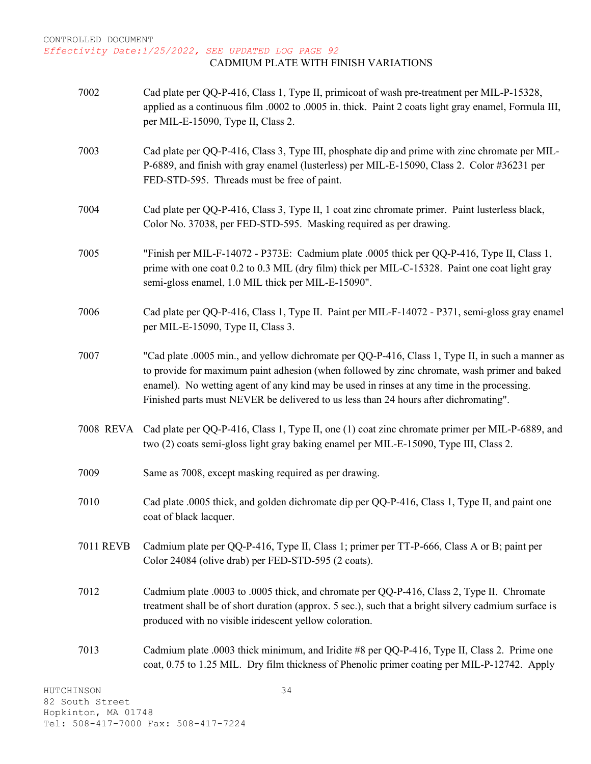*Effectivity Date:1/25/2022, SEE UPDATED LOG PAGE 92* CADMIUM PLATE WITH FINISH VARIATIONS

7002 Cad plate per QQ-P-416, Class 1, Type II, primicoat of wash pre-treatment per MIL-P-15328, applied as a continuous film .0002 to .0005 in. thick. Paint 2 coats light gray enamel, Formula III, per MIL-E-15090, Type II, Class 2. 7003 Cad plate per QQ-P-416, Class 3, Type III, phosphate dip and prime with zinc chromate per MIL-P-6889, and finish with gray enamel (lusterless) per MIL-E-15090, Class 2. Color #36231 per FED-STD-595. Threads must be free of paint. 7004 Cad plate per QQ-P-416, Class 3, Type II, 1 coat zinc chromate primer. Paint lusterless black, Color No. 37038, per FED-STD-595. Masking required as per drawing. 7005 "Finish per MIL-F-14072 - P373E: Cadmium plate .0005 thick per QQ-P-416, Type II, Class 1, prime with one coat 0.2 to 0.3 MIL (dry film) thick per MIL-C-15328. Paint one coat light gray semi-gloss enamel, 1.0 MIL thick per MIL-E-15090". 7006 Cad plate per QQ-P-416, Class 1, Type II. Paint per MIL-F-14072 - P371, semi-gloss gray enamel per MIL-E-15090, Type II, Class 3. 7007 "Cad plate .0005 min., and yellow dichromate per QQ-P-416, Class 1, Type II, in such a manner as to provide for maximum paint adhesion (when followed by zinc chromate, wash primer and baked enamel). No wetting agent of any kind may be used in rinses at any time in the processing. Finished parts must NEVER be delivered to us less than 24 hours after dichromating". 7008 REVA Cad plate per QQ-P-416, Class 1, Type II, one (1) coat zinc chromate primer per MIL-P-6889, and two (2) coats semi-gloss light gray baking enamel per MIL-E-15090, Type III, Class 2. 7009 Same as 7008, except masking required as per drawing. 7010 Cad plate .0005 thick, and golden dichromate dip per QQ-P-416, Class 1, Type II, and paint one coat of black lacquer. 7011 REVB Cadmium plate per QQ-P-416, Type II, Class 1; primer per TT-P-666, Class A or B; paint per Color 24084 (olive drab) per FED-STD-595 (2 coats). 7012 Cadmium plate .0003 to .0005 thick, and chromate per QQ-P-416, Class 2, Type II. Chromate treatment shall be of short duration (approx. 5 sec.), such that a bright silvery cadmium surface is produced with no visible iridescent yellow coloration. 7013 Cadmium plate .0003 thick minimum, and Iridite #8 per QQ-P-416, Type II, Class 2. Prime one coat, 0.75 to 1.25 MIL. Dry film thickness of Phenolic primer coating per MIL-P-12742. Apply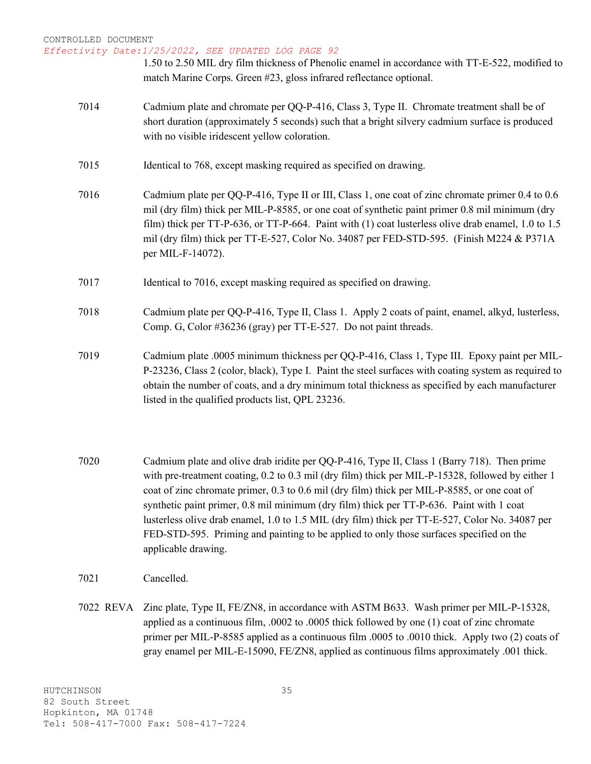#### *Effectivity Date:1/25/2022, SEE UPDATED LOG PAGE 92*

1.50 to 2.50 MIL dry film thickness of Phenolic enamel in accordance with TT-E-522, modified to match Marine Corps. Green #23, gloss infrared reflectance optional.

- 7014 Cadmium plate and chromate per QQ-P-416, Class 3, Type II. Chromate treatment shall be of short duration (approximately 5 seconds) such that a bright silvery cadmium surface is produced with no visible iridescent yellow coloration.
- 7015 Identical to 768, except masking required as specified on drawing.
- 7016 Cadmium plate per QQ-P-416, Type II or III, Class 1, one coat of zinc chromate primer 0.4 to 0.6 mil (dry film) thick per MIL-P-8585, or one coat of synthetic paint primer 0.8 mil minimum (dry film) thick per TT-P-636, or TT-P-664. Paint with (1) coat lusterless olive drab enamel, 1.0 to 1.5 mil (dry film) thick per TT-E-527, Color No. 34087 per FED-STD-595. (Finish M224 & P371A per MIL-F-14072).
- 7017 Identical to 7016, except masking required as specified on drawing.
- 7018 Cadmium plate per QQ-P-416, Type II, Class 1. Apply 2 coats of paint, enamel, alkyd, lusterless, Comp. G, Color #36236 (gray) per TT-E-527. Do not paint threads.
- 7019 Cadmium plate .0005 minimum thickness per QQ-P-416, Class 1, Type III. Epoxy paint per MIL-P-23236, Class 2 (color, black), Type I. Paint the steel surfaces with coating system as required to obtain the number of coats, and a dry minimum total thickness as specified by each manufacturer listed in the qualified products list, QPL 23236.
- 7020 Cadmium plate and olive drab iridite per QQ-P-416, Type II, Class 1 (Barry 718). Then prime with pre-treatment coating, 0.2 to 0.3 mil (dry film) thick per MIL-P-15328, followed by either 1 coat of zinc chromate primer, 0.3 to 0.6 mil (dry film) thick per MIL-P-8585, or one coat of synthetic paint primer, 0.8 mil minimum (dry film) thick per TT-P-636. Paint with 1 coat lusterless olive drab enamel, 1.0 to 1.5 MIL (dry film) thick per TT-E-527, Color No. 34087 per FED-STD-595. Priming and painting to be applied to only those surfaces specified on the applicable drawing.
- 7021 Cancelled.
- 7022 REVA Zinc plate, Type II, FE/ZN8, in accordance with ASTM B633. Wash primer per MIL-P-15328, applied as a continuous film, .0002 to .0005 thick followed by one (1) coat of zinc chromate primer per MIL-P-8585 applied as a continuous film .0005 to .0010 thick. Apply two (2) coats of gray enamel per MIL-E-15090, FE/ZN8, applied as continuous films approximately .001 thick.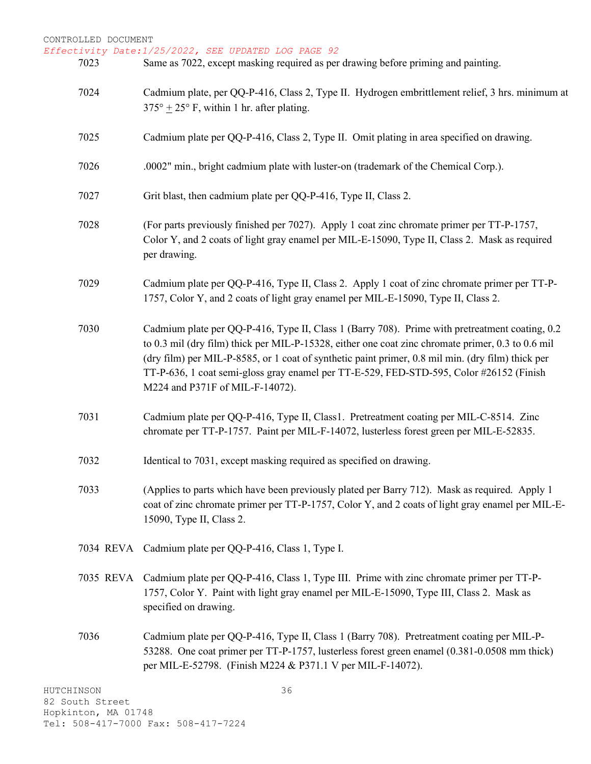*Effectivity Date:1/25/2022, SEE UPDATED LOG PAGE 92*

- 7023 Same as 7022, except masking required as per drawing before priming and painting.
	- 7024 Cadmium plate, per QQ-P-416, Class 2, Type II. Hydrogen embrittlement relief, 3 hrs. minimum at  $375^{\circ}$  + 25° F, within 1 hr. after plating.
	- 7025 Cadmium plate per QQ-P-416, Class 2, Type II. Omit plating in area specified on drawing.
	- 7026 .0002" min., bright cadmium plate with luster-on (trademark of the Chemical Corp.).
	- 7027 Grit blast, then cadmium plate per QQ-P-416, Type II, Class 2.
	- 7028 (For parts previously finished per 7027). Apply 1 coat zinc chromate primer per TT-P-1757, Color Y, and 2 coats of light gray enamel per MIL-E-15090, Type II, Class 2. Mask as required per drawing.
	- 7029 Cadmium plate per QQ-P-416, Type II, Class 2. Apply 1 coat of zinc chromate primer per TT-P-1757, Color Y, and 2 coats of light gray enamel per MIL-E-15090, Type II, Class 2.
	- 7030 Cadmium plate per QQ-P-416, Type II, Class 1 (Barry 708). Prime with pretreatment coating, 0.2 to 0.3 mil (dry film) thick per MIL-P-15328, either one coat zinc chromate primer, 0.3 to 0.6 mil (dry film) per MIL-P-8585, or 1 coat of synthetic paint primer, 0.8 mil min. (dry film) thick per TT-P-636, 1 coat semi-gloss gray enamel per TT-E-529, FED-STD-595, Color #26152 (Finish M224 and P371F of MIL-F-14072).
	- 7031 Cadmium plate per QQ-P-416, Type II, Class1. Pretreatment coating per MIL-C-8514. Zinc chromate per TT-P-1757. Paint per MIL-F-14072, lusterless forest green per MIL-E-52835.
	- 7032 Identical to 7031, except masking required as specified on drawing.
	- 7033 (Applies to parts which have been previously plated per Barry 712). Mask as required. Apply 1 coat of zinc chromate primer per TT-P-1757, Color Y, and 2 coats of light gray enamel per MIL-E-15090, Type II, Class 2.
	- 7034 REVA Cadmium plate per QQ-P-416, Class 1, Type I.
	- 7035 REVA Cadmium plate per QQ-P-416, Class 1, Type III. Prime with zinc chromate primer per TT-P-1757, Color Y. Paint with light gray enamel per MIL-E-15090, Type III, Class 2. Mask as specified on drawing.
	- 7036 Cadmium plate per QQ-P-416, Type II, Class 1 (Barry 708). Pretreatment coating per MIL-P-53288. One coat primer per TT-P-1757, lusterless forest green enamel (0.381-0.0508 mm thick) per MIL-E-52798. (Finish M224 & P371.1 V per MIL-F-14072).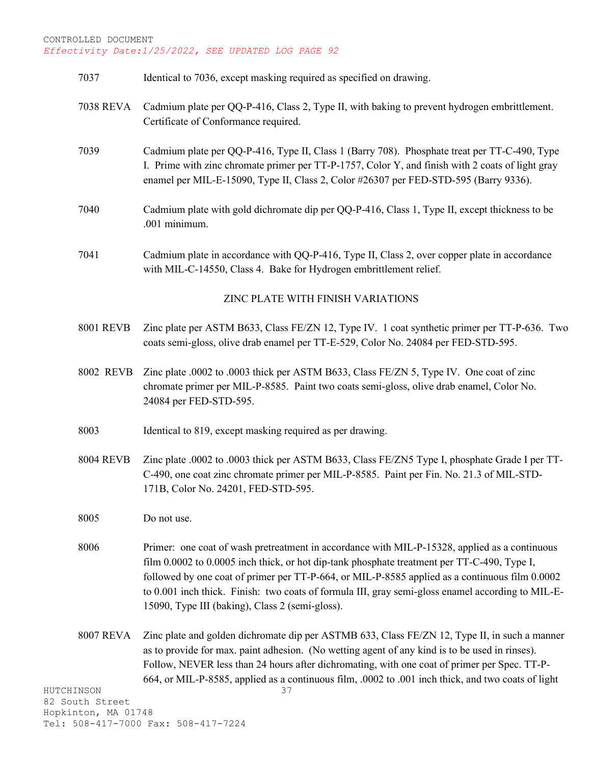- 7037 Identical to 7036, except masking required as specified on drawing.
- 7038 REVA Cadmium plate per QQ-P-416, Class 2, Type II, with baking to prevent hydrogen embrittlement. Certificate of Conformance required.
- 7039 Cadmium plate per QQ-P-416, Type II, Class 1 (Barry 708). Phosphate treat per TT-C-490, Type I. Prime with zinc chromate primer per TT-P-1757, Color Y, and finish with 2 coats of light gray enamel per MIL-E-15090, Type II, Class 2, Color #26307 per FED-STD-595 (Barry 9336).
- 7040 Cadmium plate with gold dichromate dip per QQ-P-416, Class 1, Type II, except thickness to be .001 minimum.
- 7041 Cadmium plate in accordance with QQ-P-416, Type II, Class 2, over copper plate in accordance with MIL-C-14550, Class 4. Bake for Hydrogen embrittlement relief.

## ZINC PLATE WITH FINISH VARIATIONS

- 8001 REVB Zinc plate per ASTM B633, Class FE/ZN 12, Type IV. 1 coat synthetic primer per TT-P-636. Two coats semi-gloss, olive drab enamel per TT-E-529, Color No. 24084 per FED-STD-595.
- 8002 REVB Zinc plate .0002 to .0003 thick per ASTM B633, Class FE/ZN 5, Type IV. One coat of zinc chromate primer per MIL-P-8585. Paint two coats semi-gloss, olive drab enamel, Color No. 24084 per FED-STD-595.
- 8003 Identical to 819, except masking required as per drawing.
- 8004 REVB Zinc plate .0002 to .0003 thick per ASTM B633, Class FE/ZN5 Type I, phosphate Grade I per TT-C-490, one coat zinc chromate primer per MIL-P-8585. Paint per Fin. No. 21.3 of MIL-STD-171B, Color No. 24201, FED-STD-595.

8005 Do not use.

- 8006 Primer: one coat of wash pretreatment in accordance with MIL-P-15328, applied as a continuous film 0.0002 to 0.0005 inch thick, or hot dip-tank phosphate treatment per TT-C-490, Type I, followed by one coat of primer per TT-P-664, or MIL-P-8585 applied as a continuous film 0.0002 to 0.001 inch thick. Finish: two coats of formula III, gray semi-gloss enamel according to MIL-E-15090, Type III (baking), Class 2 (semi-gloss).
- 8007 REVA Zinc plate and golden dichromate dip per ASTMB 633, Class FE/ZN 12, Type II, in such a manner as to provide for max. paint adhesion. (No wetting agent of any kind is to be used in rinses). Follow, NEVER less than 24 hours after dichromating, with one coat of primer per Spec. TT-P-664, or MIL-P-8585, applied as a continuous film, .0002 to .001 inch thick, and two coats of light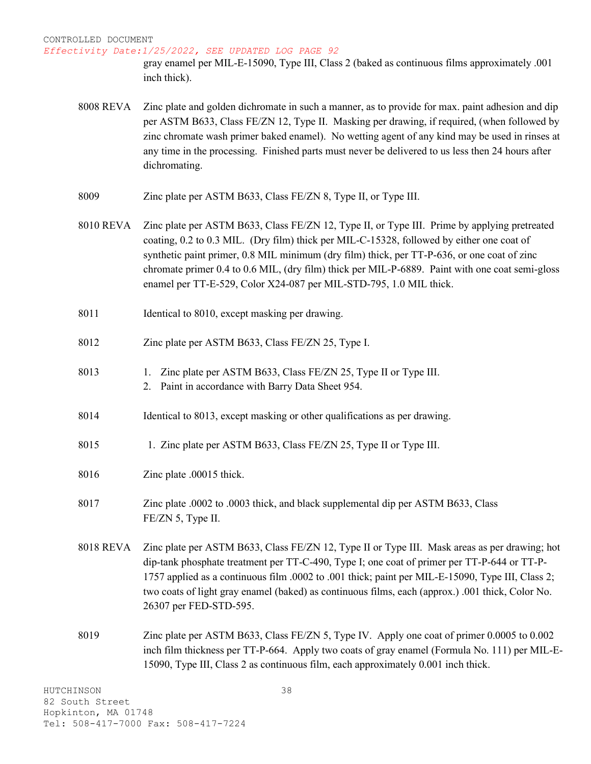gray enamel per MIL-E-15090, Type III, Class 2 (baked as continuous films approximately .001 inch thick).

- 8008 REVA Zinc plate and golden dichromate in such a manner, as to provide for max. paint adhesion and dip per ASTM B633, Class FE/ZN 12, Type II. Masking per drawing, if required, (when followed by zinc chromate wash primer baked enamel). No wetting agent of any kind may be used in rinses at any time in the processing. Finished parts must never be delivered to us less then 24 hours after dichromating.
- 8009 Zinc plate per ASTM B633, Class FE/ZN 8, Type II, or Type III.
- 8010 REVA Zinc plate per ASTM B633, Class FE/ZN 12, Type II, or Type III. Prime by applying pretreated coating, 0.2 to 0.3 MIL. (Dry film) thick per MIL-C-15328, followed by either one coat of synthetic paint primer, 0.8 MIL minimum (dry film) thick, per TT-P-636, or one coat of zinc chromate primer 0.4 to 0.6 MIL, (dry film) thick per MIL-P-6889. Paint with one coat semi-gloss enamel per TT-E-529, Color X24-087 per MIL-STD-795, 1.0 MIL thick.
- 8011 Identical to 8010, except masking per drawing.
- 8012 Zinc plate per ASTM B633, Class FE/ZN 25, Type I.
- 8013 1. Zinc plate per ASTM B633, Class FE/ZN 25, Type II or Type III.
	- 2. Paint in accordance with Barry Data Sheet 954.
- 8014 Identical to 8013, except masking or other qualifications as per drawing.
- 8015 1. Zinc plate per ASTM B633, Class FE/ZN 25, Type II or Type III.
- 8016 Zinc plate .00015 thick.
- 8017 Zinc plate .0002 to .0003 thick, and black supplemental dip per ASTM B633, Class FE/ZN 5, Type II.
- 8018 REVA Zinc plate per ASTM B633, Class FE/ZN 12, Type II or Type III. Mask areas as per drawing; hot dip-tank phosphate treatment per TT-C-490, Type I; one coat of primer per TT-P-644 or TT-P-1757 applied as a continuous film .0002 to .001 thick; paint per MIL-E-15090, Type III, Class 2; two coats of light gray enamel (baked) as continuous films, each (approx.) .001 thick, Color No. 26307 per FED-STD-595.
- 8019 Zinc plate per ASTM B633, Class FE/ZN 5, Type IV. Apply one coat of primer 0.0005 to 0.002 inch film thickness per TT-P-664. Apply two coats of gray enamel (Formula No. 111) per MIL-E-15090, Type III, Class 2 as continuous film, each approximately 0.001 inch thick.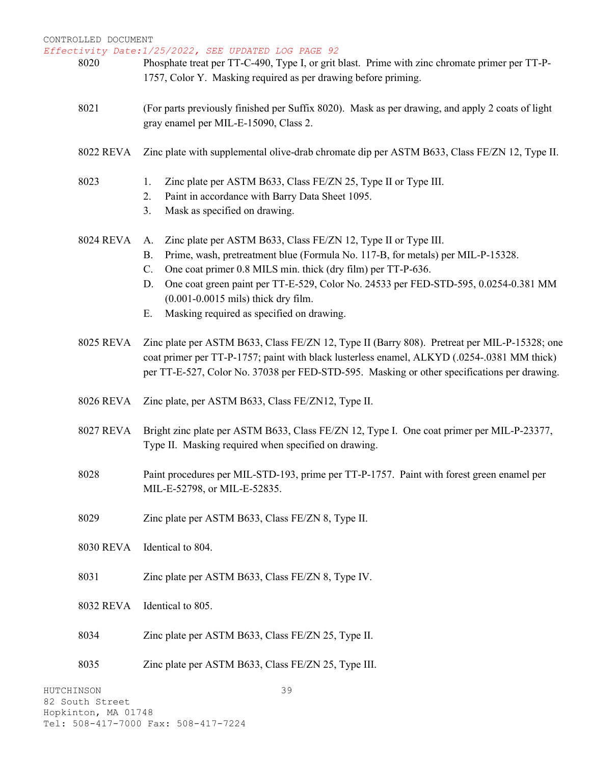*Effectivity Date:1/25/2022, SEE UPDATED LOG PAGE 92* HUTCHINSON 82 South Street 39 8020 Phosphate treat per TT-C-490, Type I, or grit blast. Prime with zinc chromate primer per TT-P-1757, Color Y. Masking required as per drawing before priming. 8021 (For parts previously finished per Suffix 8020). Mask as per drawing, and apply 2 coats of light gray enamel per MIL-E-15090, Class 2. 8022 REVA Zinc plate with supplemental olive-drab chromate dip per ASTM B633, Class FE/ZN 12, Type II. 8023 1. Zinc plate per ASTM B633, Class FE/ZN 25, Type II or Type III. 2. Paint in accordance with Barry Data Sheet 1095. 3. Mask as specified on drawing. 8024 REVA A. Zinc plate per ASTM B633, Class FE/ZN 12, Type II or Type III. B. Prime, wash, pretreatment blue (Formula No. 117-B, for metals) per MIL-P-15328. C. One coat primer 0.8 MILS min. thick (dry film) per TT-P-636. D. One coat green paint per TT-E-529, Color No. 24533 per FED-STD-595, 0.0254-0.381 MM (0.001-0.0015 mils) thick dry film. E. Masking required as specified on drawing. 8025 REVA Zinc plate per ASTM B633, Class FE/ZN 12, Type II (Barry 808). Pretreat per MIL-P-15328; one coat primer per TT-P-1757; paint with black lusterless enamel, ALKYD (.0254-.0381 MM thick) per TT-E-527, Color No. 37038 per FED-STD-595. Masking or other specifications per drawing. 8026 REVA Zinc plate, per ASTM B633, Class FE/ZN12, Type II. 8027 REVA Bright zinc plate per ASTM B633, Class FE/ZN 12, Type I. One coat primer per MIL-P-23377, Type II. Masking required when specified on drawing. 8028 Paint procedures per MIL-STD-193, prime per TT-P-1757. Paint with forest green enamel per MIL-E-52798, or MIL-E-52835. 8029 Zinc plate per ASTM B633, Class FE/ZN 8, Type II. 8030 REVA Identical to 804. 8031 Zinc plate per ASTM B633, Class FE/ZN 8, Type IV. 8032 REVA Identical to 805. 8034 Zinc plate per ASTM B633, Class FE/ZN 25, Type II. 8035 Zinc plate per ASTM B633, Class FE/ZN 25, Type III.

Hopkinton, MA 01748 Tel: 508-417-7000 Fax: 508-417-7224

CONTROLLED DOCUMENT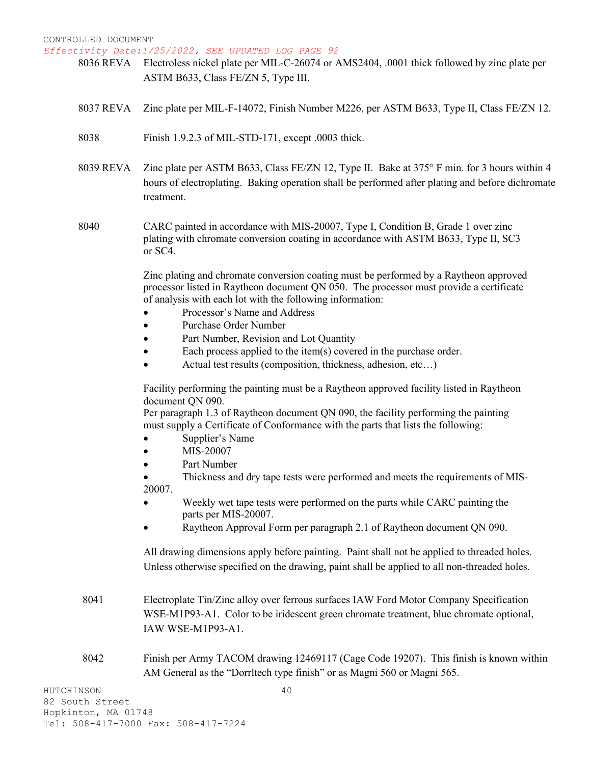*Effectivity Date:1/25/2022, SEE UPDATED LOG PAGE 92*

- 8036 REVA Electroless nickel plate per MIL-C-26074 or AMS2404, .0001 thick followed by zinc plate per ASTM B633, Class FE/ZN 5, Type III.
- 8037 REVA Zinc plate per MIL-F-14072, Finish Number M226, per ASTM B633, Type II, Class FE/ZN 12.
- 8038 Finish 1.9.2.3 of MIL-STD-171, except .0003 thick.
- 8039 REVA Zinc plate per ASTM B633, Class FE/ZN 12, Type II. Bake at 375° F min. for 3 hours within 4 hours of electroplating. Baking operation shall be performed after plating and before dichromate treatment.
- 8040 CARC painted in accordance with MIS-20007, Type I, Condition B, Grade 1 over zinc plating with chromate conversion coating in accordance with ASTM B633, Type II, SC3 or SC4.

Zinc plating and chromate conversion coating must be performed by a Raytheon approved processor listed in Raytheon document QN 050. The processor must provide a certificate of analysis with each lot with the following information:

- Processor's Name and Address
- Purchase Order Number
- Part Number, Revision and Lot Quantity
- Each process applied to the item $(s)$  covered in the purchase order.
- Actual test results (composition, thickness, adhesion, etc…)

Facility performing the painting must be a Raytheon approved facility listed in Raytheon document QN 090.

Per paragraph 1.3 of Raytheon document QN 090, the facility performing the painting must supply a Certificate of Conformance with the parts that lists the following:

- Supplier's Name
- MIS-20007
- Part Number

• Thickness and dry tape tests were performed and meets the requirements of MIS-20007.

- Weekly wet tape tests were performed on the parts while CARC painting the parts per MIS-20007.
- Raytheon Approval Form per paragraph 2.1 of Raytheon document QN 090.

All drawing dimensions apply before painting. Paint shall not be applied to threaded holes. Unless otherwise specified on the drawing, paint shall be applied to all non-threaded holes.

- 8041 Electroplate Tin/Zinc alloy over ferrous surfaces IAW Ford Motor Company Specification WSE-M1P93-A1. Color to be iridescent green chromate treatment, blue chromate optional, IAW WSE-M1P93-A1.
- 8042 Finish per Army TACOM drawing 12469117 (Cage Code 19207). This finish is known within AM General as the "Dorrltech type finish" or as Magni 560 or Magni 565.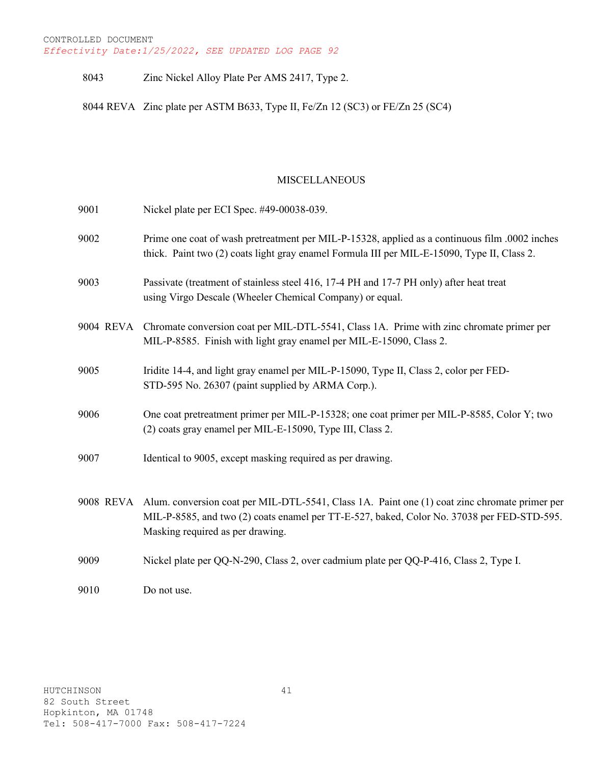## 8043 Zinc Nickel Alloy Plate Per AMS 2417, Type 2.

8044 REVA Zinc plate per ASTM B633, Type II, Fe/Zn 12 (SC3) or FE/Zn 25 (SC4)

## MISCELLANEOUS

| 9001 | Nickel plate per ECI Spec. #49-00038-039.                                                                                                                                                                                                 |
|------|-------------------------------------------------------------------------------------------------------------------------------------------------------------------------------------------------------------------------------------------|
| 9002 | Prime one coat of wash pretreatment per MIL-P-15328, applied as a continuous film .0002 inches<br>thick. Paint two (2) coats light gray enamel Formula III per MIL-E-15090, Type II, Class 2.                                             |
| 9003 | Passivate (treatment of stainless steel 416, 17-4 PH and 17-7 PH only) after heat treat<br>using Virgo Descale (Wheeler Chemical Company) or equal.                                                                                       |
|      | 9004 REVA Chromate conversion coat per MIL-DTL-5541, Class 1A. Prime with zinc chromate primer per<br>MIL-P-8585. Finish with light gray enamel per MIL-E-15090, Class 2.                                                                 |
| 9005 | Iridite 14-4, and light gray enamel per MIL-P-15090, Type II, Class 2, color per FED-<br>STD-595 No. 26307 (paint supplied by ARMA Corp.).                                                                                                |
| 9006 | One coat pretreatment primer per MIL-P-15328; one coat primer per MIL-P-8585, Color Y; two<br>(2) coats gray enamel per MIL-E-15090, Type III, Class 2.                                                                                   |
| 9007 | Identical to 9005, except masking required as per drawing.                                                                                                                                                                                |
|      | 9008 REVA Alum. conversion coat per MIL-DTL-5541, Class 1A. Paint one (1) coat zinc chromate primer per<br>MIL-P-8585, and two (2) coats enamel per TT-E-527, baked, Color No. 37038 per FED-STD-595.<br>Masking required as per drawing. |
| 9009 | Nickel plate per QQ-N-290, Class 2, over cadmium plate per QQ-P-416, Class 2, Type I.                                                                                                                                                     |
| 9010 | Do not use.                                                                                                                                                                                                                               |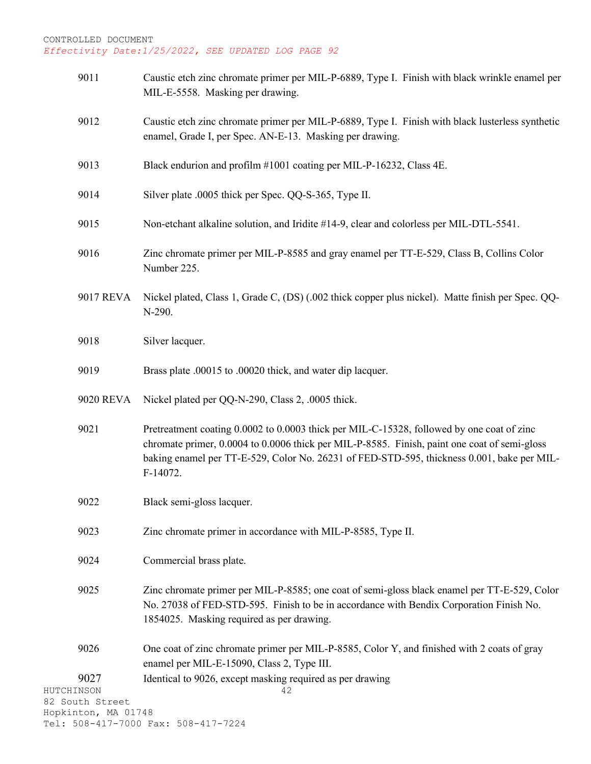| 9011                                   |                  | Caustic etch zinc chromate primer per MIL-P-6889, Type I. Finish with black wrinkle enamel per<br>MIL-E-5558. Masking per drawing.                                                                                                                                                                  |
|----------------------------------------|------------------|-----------------------------------------------------------------------------------------------------------------------------------------------------------------------------------------------------------------------------------------------------------------------------------------------------|
| 9012                                   |                  | Caustic etch zinc chromate primer per MIL-P-6889, Type I. Finish with black lusterless synthetic<br>enamel, Grade I, per Spec. AN-E-13. Masking per drawing.                                                                                                                                        |
| 9013                                   |                  | Black endurion and profilm #1001 coating per MIL-P-16232, Class 4E.                                                                                                                                                                                                                                 |
| 9014                                   |                  | Silver plate .0005 thick per Spec. QQ-S-365, Type II.                                                                                                                                                                                                                                               |
| 9015                                   |                  | Non-etchant alkaline solution, and Iridite #14-9, clear and colorless per MIL-DTL-5541.                                                                                                                                                                                                             |
| 9016                                   |                  | Zinc chromate primer per MIL-P-8585 and gray enamel per TT-E-529, Class B, Collins Color<br>Number 225.                                                                                                                                                                                             |
|                                        | 9017 REVA        | Nickel plated, Class 1, Grade C, (DS) (.002 thick copper plus nickel). Matte finish per Spec. QQ-<br>N-290.                                                                                                                                                                                         |
| 9018                                   |                  | Silver lacquer.                                                                                                                                                                                                                                                                                     |
| 9019                                   |                  | Brass plate .00015 to .00020 thick, and water dip lacquer.                                                                                                                                                                                                                                          |
|                                        | <b>9020 REVA</b> | Nickel plated per QQ-N-290, Class 2, .0005 thick.                                                                                                                                                                                                                                                   |
| 9021                                   |                  | Pretreatment coating 0.0002 to 0.0003 thick per MIL-C-15328, followed by one coat of zinc<br>chromate primer, 0.0004 to 0.0006 thick per MIL-P-8585. Finish, paint one coat of semi-gloss<br>baking enamel per TT-E-529, Color No. 26231 of FED-STD-595, thickness 0.001, bake per MIL-<br>F-14072. |
| 9022                                   |                  | Black semi-gloss lacquer.                                                                                                                                                                                                                                                                           |
| 9023                                   |                  | Zinc chromate primer in accordance with MIL-P-8585, Type II.                                                                                                                                                                                                                                        |
| 9024                                   |                  | Commercial brass plate.                                                                                                                                                                                                                                                                             |
| 9025                                   |                  | Zinc chromate primer per MIL-P-8585; one coat of semi-gloss black enamel per TT-E-529, Color<br>No. 27038 of FED-STD-595. Finish to be in accordance with Bendix Corporation Finish No.<br>1854025. Masking required as per drawing.                                                                |
| 9026                                   |                  | One coat of zinc chromate primer per MIL-P-8585, Color Y, and finished with 2 coats of gray<br>enamel per MIL-E-15090, Class 2, Type III.                                                                                                                                                           |
| 9027                                   |                  | Identical to 9026, except masking required as per drawing                                                                                                                                                                                                                                           |
| HUTCHINSON                             |                  | 42                                                                                                                                                                                                                                                                                                  |
| 82 South Street<br>Hopkinton, MA 01748 |                  |                                                                                                                                                                                                                                                                                                     |
|                                        |                  | Tel: 508-417-7000 Fax: 508-417-7224                                                                                                                                                                                                                                                                 |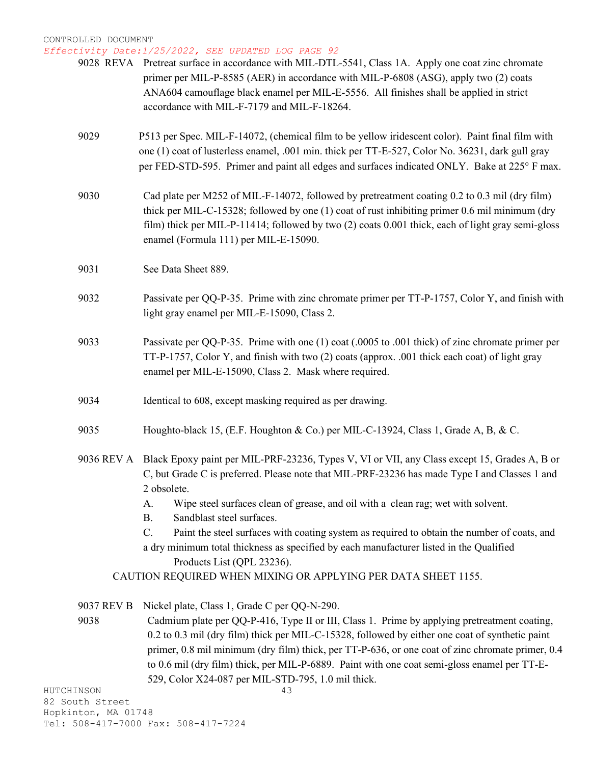# *Effectivity Date:1/25/2022, SEE UPDATED LOG PAGE 92*

|            |                 | 9028 REVA Pretreat surface in accordance with MIL-DTL-5541, Class 1A. Apply one coat zinc chromate<br>primer per MIL-P-8585 (AER) in accordance with MIL-P-6808 (ASG), apply two (2) coats<br>ANA604 camouflage black enamel per MIL-E-5556. All finishes shall be applied in strict<br>accordance with MIL-F-7179 and MIL-F-18264.           |
|------------|-----------------|-----------------------------------------------------------------------------------------------------------------------------------------------------------------------------------------------------------------------------------------------------------------------------------------------------------------------------------------------|
|            | 9029            | P513 per Spec. MIL-F-14072, (chemical film to be yellow iridescent color). Paint final film with<br>one (1) coat of lusterless enamel, .001 min. thick per TT-E-527, Color No. 36231, dark gull gray<br>per FED-STD-595. Primer and paint all edges and surfaces indicated ONLY. Bake at 225° F max.                                          |
|            | 9030            | Cad plate per M252 of MIL-F-14072, followed by pretreatment coating 0.2 to 0.3 mil (dry film)<br>thick per MIL-C-15328; followed by one (1) coat of rust inhibiting primer 0.6 mil minimum (dry<br>film) thick per MIL-P-11414; followed by two (2) coats 0.001 thick, each of light gray semi-gloss<br>enamel (Formula 111) per MIL-E-15090. |
|            | 9031            | See Data Sheet 889.                                                                                                                                                                                                                                                                                                                           |
|            | 9032            | Passivate per QQ-P-35. Prime with zinc chromate primer per TT-P-1757, Color Y, and finish with<br>light gray enamel per MIL-E-15090, Class 2.                                                                                                                                                                                                 |
|            | 9033            | Passivate per QQ-P-35. Prime with one (1) coat (.0005 to .001 thick) of zinc chromate primer per<br>TT-P-1757, Color Y, and finish with two (2) coats (approx. .001 thick each coat) of light gray<br>enamel per MIL-E-15090, Class 2. Mask where required.                                                                                   |
|            | 9034            | Identical to 608, except masking required as per drawing.                                                                                                                                                                                                                                                                                     |
|            | 9035            | Houghto-black 15, (E.F. Houghton & Co.) per MIL-C-13924, Class 1, Grade A, B, & C.                                                                                                                                                                                                                                                            |
|            | 9036 REV A      | Black Epoxy paint per MIL-PRF-23236, Types V, VI or VII, any Class except 15, Grades A, B or<br>C, but Grade C is preferred. Please note that MIL-PRF-23236 has made Type I and Classes 1 and<br>2 obsolete.                                                                                                                                  |
|            |                 | Wipe steel surfaces clean of grease, and oil with a clean rag; wet with solvent.<br>A.<br><b>B.</b><br>Sandblast steel surfaces.                                                                                                                                                                                                              |
|            |                 | C.<br>Paint the steel surfaces with coating system as required to obtain the number of coats, and                                                                                                                                                                                                                                             |
|            |                 | a dry minimum total thickness as specified by each manufacturer listed in the Qualified                                                                                                                                                                                                                                                       |
|            |                 | Products List (QPL 23236).                                                                                                                                                                                                                                                                                                                    |
|            |                 | CAUTION REQUIRED WHEN MIXING OR APPLYING PER DATA SHEET 1155.                                                                                                                                                                                                                                                                                 |
|            | 9037 REV B      | Nickel plate, Class 1, Grade C per QQ-N-290.                                                                                                                                                                                                                                                                                                  |
|            | 9038            | Cadmium plate per QQ-P-416, Type II or III, Class 1. Prime by applying pretreatment coating,                                                                                                                                                                                                                                                  |
|            |                 | 0.2 to 0.3 mil (dry film) thick per MIL-C-15328, followed by either one coat of synthetic paint                                                                                                                                                                                                                                               |
|            |                 | primer, 0.8 mil minimum (dry film) thick, per TT-P-636, or one coat of zinc chromate primer, 0.4<br>to 0.6 mil (dry film) thick, per MIL-P-6889. Paint with one coat semi-gloss enamel per TT-E-                                                                                                                                              |
|            |                 | 529, Color X24-087 per MIL-STD-795, 1.0 mil thick.                                                                                                                                                                                                                                                                                            |
| HUTCHINSON |                 | 43                                                                                                                                                                                                                                                                                                                                            |
|            | 82 South Street |                                                                                                                                                                                                                                                                                                                                               |

Hopkinton, MA 01748 Tel: 508-417-7000 Fax: 508-417-7224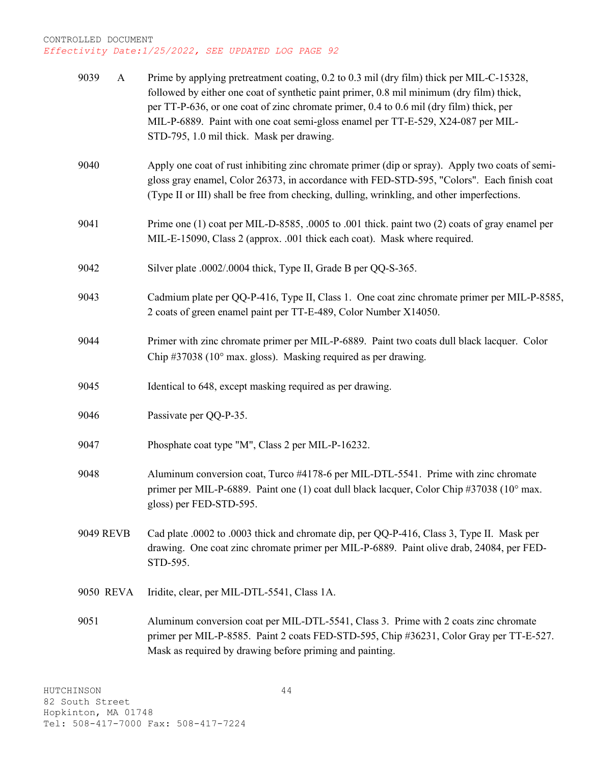| 9039<br>$\mathbf{A}$ | Prime by applying pretreatment coating, 0.2 to 0.3 mil (dry film) thick per MIL-C-15328,<br>followed by either one coat of synthetic paint primer, 0.8 mil minimum (dry film) thick,<br>per TT-P-636, or one coat of zinc chromate primer, 0.4 to 0.6 mil (dry film) thick, per<br>MIL-P-6889. Paint with one coat semi-gloss enamel per TT-E-529, X24-087 per MIL-<br>STD-795, 1.0 mil thick. Mask per drawing. |
|----------------------|------------------------------------------------------------------------------------------------------------------------------------------------------------------------------------------------------------------------------------------------------------------------------------------------------------------------------------------------------------------------------------------------------------------|
| 9040                 | Apply one coat of rust inhibiting zinc chromate primer (dip or spray). Apply two coats of semi-<br>gloss gray enamel, Color 26373, in accordance with FED-STD-595, "Colors". Each finish coat<br>(Type II or III) shall be free from checking, dulling, wrinkling, and other imperfections.                                                                                                                      |
| 9041                 | Prime one (1) coat per MIL-D-8585, .0005 to .001 thick. paint two (2) coats of gray enamel per<br>MIL-E-15090, Class 2 (approx. .001 thick each coat). Mask where required.                                                                                                                                                                                                                                      |
| 9042                 | Silver plate .0002/.0004 thick, Type II, Grade B per QQ-S-365.                                                                                                                                                                                                                                                                                                                                                   |
| 9043                 | Cadmium plate per QQ-P-416, Type II, Class 1. One coat zinc chromate primer per MIL-P-8585,<br>2 coats of green enamel paint per TT-E-489, Color Number X14050.                                                                                                                                                                                                                                                  |
| 9044                 | Primer with zinc chromate primer per MIL-P-6889. Paint two coats dull black lacquer. Color<br>Chip #37038 ( $10^{\circ}$ max. gloss). Masking required as per drawing.                                                                                                                                                                                                                                           |
| 9045                 | Identical to 648, except masking required as per drawing.                                                                                                                                                                                                                                                                                                                                                        |
| 9046                 | Passivate per QQ-P-35.                                                                                                                                                                                                                                                                                                                                                                                           |
| 9047                 | Phosphate coat type "M", Class 2 per MIL-P-16232.                                                                                                                                                                                                                                                                                                                                                                |
| 9048                 | Aluminum conversion coat, Turco #4178-6 per MIL-DTL-5541. Prime with zinc chromate<br>primer per MIL-P-6889. Paint one (1) coat dull black lacquer, Color Chip #37038 (10° max.<br>gloss) per FED-STD-595.                                                                                                                                                                                                       |
| 9049 REVB            | Cad plate .0002 to .0003 thick and chromate dip, per QQ-P-416, Class 3, Type II. Mask per<br>drawing. One coat zinc chromate primer per MIL-P-6889. Paint olive drab, 24084, per FED-<br>STD-595.                                                                                                                                                                                                                |
| 9050 REVA            | Iridite, clear, per MIL-DTL-5541, Class 1A.                                                                                                                                                                                                                                                                                                                                                                      |
| 9051                 | Aluminum conversion coat per MIL-DTL-5541, Class 3. Prime with 2 coats zinc chromate<br>primer per MIL-P-8585. Paint 2 coats FED-STD-595, Chip #36231, Color Gray per TT-E-527.<br>Mask as required by drawing before priming and painting.                                                                                                                                                                      |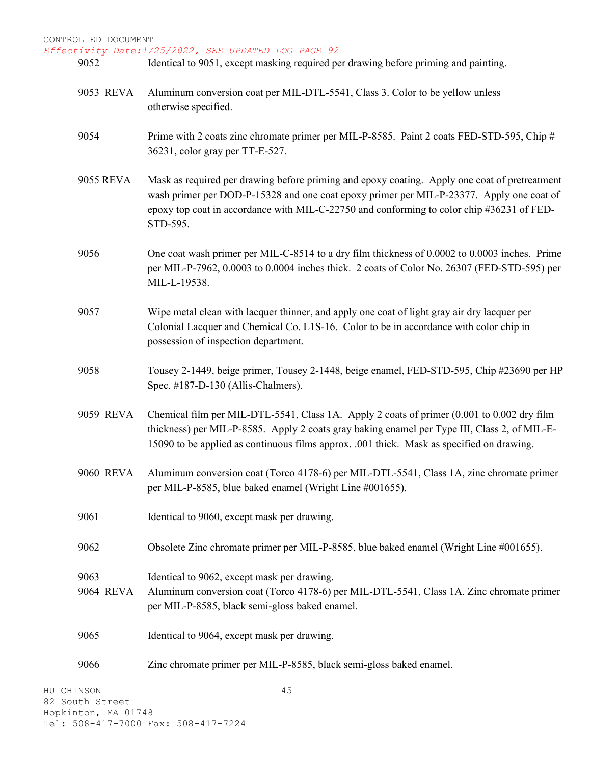- 9052 Identical to 9051, except masking required per drawing before priming and painting.
	- 9053 REVA Aluminum conversion coat per MIL-DTL-5541, Class 3. Color to be yellow unless otherwise specified.
	- 9054 Prime with 2 coats zinc chromate primer per MIL-P-8585. Paint 2 coats FED-STD-595, Chip # 36231, color gray per TT-E-527.
	- 9055 REVA Mask as required per drawing before priming and epoxy coating. Apply one coat of pretreatment wash primer per DOD-P-15328 and one coat epoxy primer per MIL-P-23377. Apply one coat of epoxy top coat in accordance with MIL-C-22750 and conforming to color chip #36231 of FED-STD-595.
	- 9056 One coat wash primer per MIL-C-8514 to a dry film thickness of 0.0002 to 0.0003 inches. Prime per MIL-P-7962, 0.0003 to 0.0004 inches thick. 2 coats of Color No. 26307 (FED-STD-595) per MIL-L-19538.
	- 9057 Wipe metal clean with lacquer thinner, and apply one coat of light gray air dry lacquer per Colonial Lacquer and Chemical Co. L1S-16. Color to be in accordance with color chip in possession of inspection department.
	- 9058 Tousey 2-1449, beige primer, Tousey 2-1448, beige enamel, FED-STD-595, Chip #23690 per HP Spec. #187-D-130 (Allis-Chalmers).
- 9059 REVA Chemical film per MIL-DTL-5541, Class 1A. Apply 2 coats of primer (0.001 to 0.002 dry film thickness) per MIL-P-8585. Apply 2 coats gray baking enamel per Type III, Class 2, of MIL-E-15090 to be applied as continuous films approx. .001 thick. Mask as specified on drawing.
- 9060 REVA Aluminum conversion coat (Torco 4178-6) per MIL-DTL-5541, Class 1A, zinc chromate primer per MIL-P-8585, blue baked enamel (Wright Line #001655).
- 9061 Identical to 9060, except mask per drawing.
- 9062 Obsolete Zinc chromate primer per MIL-P-8585, blue baked enamel (Wright Line #001655).
- 9063 Identical to 9062, except mask per drawing.
- 9064 REVA Aluminum conversion coat (Torco 4178-6) per MIL-DTL-5541, Class 1A. Zinc chromate primer per MIL-P-8585, black semi-gloss baked enamel.
- 9065 Identical to 9064, except mask per drawing.
- 9066 Zinc chromate primer per MIL-P-8585, black semi-gloss baked enamel.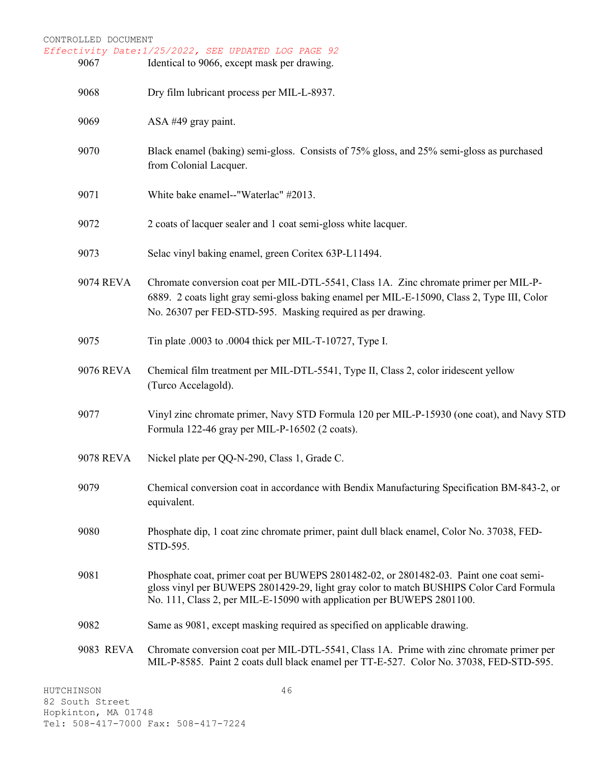| CONTROLLED DOCUMENT<br>Effectivity Date:1/25/2022, SEE UPDATED LOG PAGE 92 |                                                                                                                                                                                                                                                             |  |
|----------------------------------------------------------------------------|-------------------------------------------------------------------------------------------------------------------------------------------------------------------------------------------------------------------------------------------------------------|--|
| 9067                                                                       | Identical to 9066, except mask per drawing.                                                                                                                                                                                                                 |  |
| 9068                                                                       | Dry film lubricant process per MIL-L-8937.                                                                                                                                                                                                                  |  |
| 9069                                                                       | ASA #49 gray paint.                                                                                                                                                                                                                                         |  |
| 9070                                                                       | Black enamel (baking) semi-gloss. Consists of 75% gloss, and 25% semi-gloss as purchased<br>from Colonial Lacquer.                                                                                                                                          |  |
| 9071                                                                       | White bake enamel--"Waterlac" #2013.                                                                                                                                                                                                                        |  |
| 9072                                                                       | 2 coats of lacquer sealer and 1 coat semi-gloss white lacquer.                                                                                                                                                                                              |  |
| 9073                                                                       | Selac vinyl baking enamel, green Coritex 63P-L11494.                                                                                                                                                                                                        |  |
| 9074 REVA                                                                  | Chromate conversion coat per MIL-DTL-5541, Class 1A. Zinc chromate primer per MIL-P-<br>6889. 2 coats light gray semi-gloss baking enamel per MIL-E-15090, Class 2, Type III, Color<br>No. 26307 per FED-STD-595. Masking required as per drawing.          |  |
| 9075                                                                       | Tin plate .0003 to .0004 thick per MIL-T-10727, Type I.                                                                                                                                                                                                     |  |
| 9076 REVA                                                                  | Chemical film treatment per MIL-DTL-5541, Type II, Class 2, color iridescent yellow<br>(Turco Accelagold).                                                                                                                                                  |  |
| 9077                                                                       | Vinyl zinc chromate primer, Navy STD Formula 120 per MIL-P-15930 (one coat), and Navy STD<br>Formula 122-46 gray per MIL-P-16502 (2 coats).                                                                                                                 |  |
| <b>9078 REVA</b>                                                           | Nickel plate per QQ-N-290, Class 1, Grade C.                                                                                                                                                                                                                |  |
| 9079                                                                       | Chemical conversion coat in accordance with Bendix Manufacturing Specification BM-843-2, or<br>equivalent.                                                                                                                                                  |  |
| 9080                                                                       | Phosphate dip, 1 coat zinc chromate primer, paint dull black enamel, Color No. 37038, FED-<br>STD-595.                                                                                                                                                      |  |
| 9081                                                                       | Phosphate coat, primer coat per BUWEPS 2801482-02, or 2801482-03. Paint one coat semi-<br>gloss vinyl per BUWEPS 2801429-29, light gray color to match BUSHIPS Color Card Formula<br>No. 111, Class 2, per MIL-E-15090 with application per BUWEPS 2801100. |  |
| 9082                                                                       | Same as 9081, except masking required as specified on applicable drawing.                                                                                                                                                                                   |  |
| 9083 REVA                                                                  | Chromate conversion coat per MIL-DTL-5541, Class 1A. Prime with zinc chromate primer per<br>MIL-P-8585. Paint 2 coats dull black enamel per TT-E-527. Color No. 37038, FED-STD-595.                                                                         |  |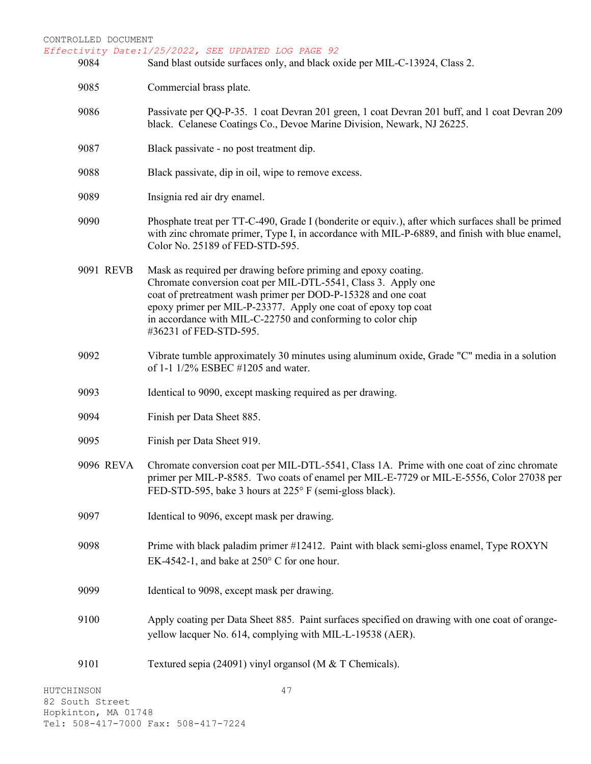- CONTROLLED DOCUMENT *Effectivity Date:1/25/2022, SEE UPDATED LOG PAGE 92* 9084 Sand blast outside surfaces only, and black oxide per MIL-C-13924, Class 2. 9085 Commercial brass plate. 9086 Passivate per QQ-P-35. 1 coat Devran 201 green, 1 coat Devran 201 buff, and 1 coat Devran 209 black. Celanese Coatings Co., Devoe Marine Division, Newark, NJ 26225. 9087 Black passivate - no post treatment dip. 9088 Black passivate, dip in oil, wipe to remove excess. 9089 Insignia red air dry enamel. 9090 Phosphate treat per TT-C-490, Grade I (bonderite or equiv.), after which surfaces shall be primed with zinc chromate primer, Type I, in accordance with MIL-P-6889, and finish with blue enamel, Color No. 25189 of FED-STD-595. 9091 REVB Mask as required per drawing before priming and epoxy coating. Chromate conversion coat per MIL-DTL-5541, Class 3. Apply one coat of pretreatment wash primer per DOD-P-15328 and one coat epoxy primer per MIL-P-23377. Apply one coat of epoxy top coat in accordance with MIL-C-22750 and conforming to color chip #36231 of FED-STD-595. 9092 Vibrate tumble approximately 30 minutes using aluminum oxide, Grade "C" media in a solution of 1-1 1/2% ESBEC #1205 and water. 9093 Identical to 9090, except masking required as per drawing. 9094 Finish per Data Sheet 885. 9095 Finish per Data Sheet 919. 9096 REVA Chromate conversion coat per MIL-DTL-5541, Class 1A. Prime with one coat of zinc chromate primer per MIL-P-8585. Two coats of enamel per MIL-E-7729 or MIL-E-5556, Color 27038 per FED-STD-595, bake 3 hours at 225° F (semi-gloss black). 9097 Identical to 9096, except mask per drawing. 9098 Prime with black paladim primer #12412. Paint with black semi-gloss enamel, Type ROXYN EK-4542-1, and bake at 250° C for one hour. 9099 Identical to 9098, except mask per drawing. 9100 Apply coating per Data Sheet 885. Paint surfaces specified on drawing with one coat of orangeyellow lacquer No. 614, complying with MIL-L-19538 (AER).
- HUTCHINSON 82 South Street Hopkinton, MA 01748 Tel: 508-417-7000 Fax: 508-417-7224

9101 Textured sepia (24091) vinyl organsol (M & T Chemicals).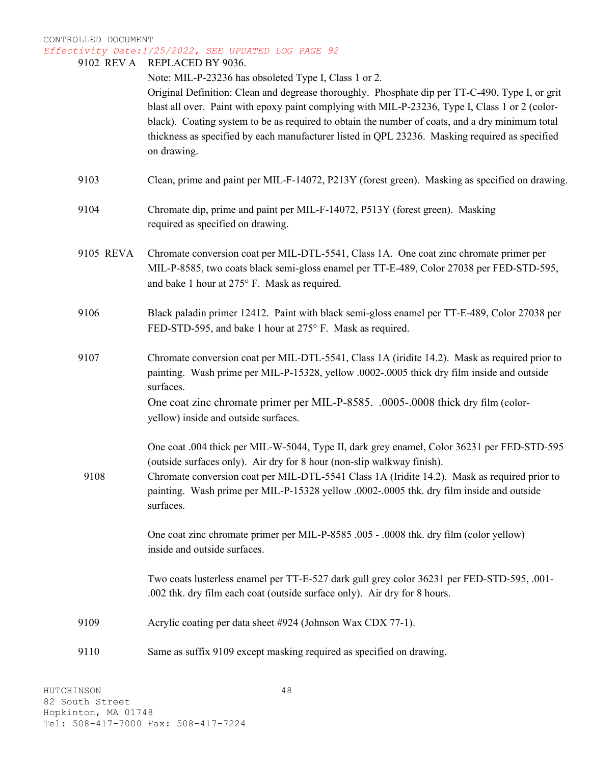|           | 9102 REV A REPLACED BY 9036.<br>Note: MIL-P-23236 has obsoleted Type I, Class 1 or 2.<br>Original Definition: Clean and degrease thoroughly. Phosphate dip per TT-C-490, Type I, or grit<br>blast all over. Paint with epoxy paint complying with MIL-P-23236, Type I, Class 1 or 2 (color-<br>black). Coating system to be as required to obtain the number of coats, and a dry minimum total<br>thickness as specified by each manufacturer listed in QPL 23236. Masking required as specified<br>on drawing. |
|-----------|-----------------------------------------------------------------------------------------------------------------------------------------------------------------------------------------------------------------------------------------------------------------------------------------------------------------------------------------------------------------------------------------------------------------------------------------------------------------------------------------------------------------|
| 9103      | Clean, prime and paint per MIL-F-14072, P213Y (forest green). Masking as specified on drawing.                                                                                                                                                                                                                                                                                                                                                                                                                  |
| 9104      | Chromate dip, prime and paint per MIL-F-14072, P513Y (forest green). Masking<br>required as specified on drawing.                                                                                                                                                                                                                                                                                                                                                                                               |
| 9105 REVA | Chromate conversion coat per MIL-DTL-5541, Class 1A. One coat zinc chromate primer per<br>MIL-P-8585, two coats black semi-gloss enamel per TT-E-489, Color 27038 per FED-STD-595,<br>and bake 1 hour at 275° F. Mask as required.                                                                                                                                                                                                                                                                              |
| 9106      | Black paladin primer 12412. Paint with black semi-gloss enamel per TT-E-489, Color 27038 per<br>FED-STD-595, and bake 1 hour at 275° F. Mask as required.                                                                                                                                                                                                                                                                                                                                                       |
| 9107      | Chromate conversion coat per MIL-DTL-5541, Class 1A (iridite 14.2). Mask as required prior to<br>painting. Wash prime per MIL-P-15328, yellow .0002-.0005 thick dry film inside and outside<br>surfaces.                                                                                                                                                                                                                                                                                                        |
|           | One coat zinc chromate primer per MIL-P-8585. .0005-.0008 thick dry film (color-<br>yellow) inside and outside surfaces.                                                                                                                                                                                                                                                                                                                                                                                        |
|           | One coat .004 thick per MIL-W-5044, Type II, dark grey enamel, Color 36231 per FED-STD-595<br>(outside surfaces only). Air dry for 8 hour (non-slip walkway finish).                                                                                                                                                                                                                                                                                                                                            |
| 9108      | Chromate conversion coat per MIL-DTL-5541 Class 1A (Iridite 14.2). Mask as required prior to<br>painting. Wash prime per MIL-P-15328 yellow .0002-.0005 thk. dry film inside and outside<br>surfaces.                                                                                                                                                                                                                                                                                                           |
|           | One coat zinc chromate primer per MIL-P-8585 .005 - .0008 thk. dry film (color yellow)<br>inside and outside surfaces.                                                                                                                                                                                                                                                                                                                                                                                          |
|           | Two coats lusterless enamel per TT-E-527 dark gull grey color 36231 per FED-STD-595, .001-<br>.002 thk. dry film each coat (outside surface only). Air dry for 8 hours.                                                                                                                                                                                                                                                                                                                                         |
| 9109      | Acrylic coating per data sheet #924 (Johnson Wax CDX 77-1).                                                                                                                                                                                                                                                                                                                                                                                                                                                     |
| 9110      | Same as suffix 9109 except masking required as specified on drawing.                                                                                                                                                                                                                                                                                                                                                                                                                                            |
|           |                                                                                                                                                                                                                                                                                                                                                                                                                                                                                                                 |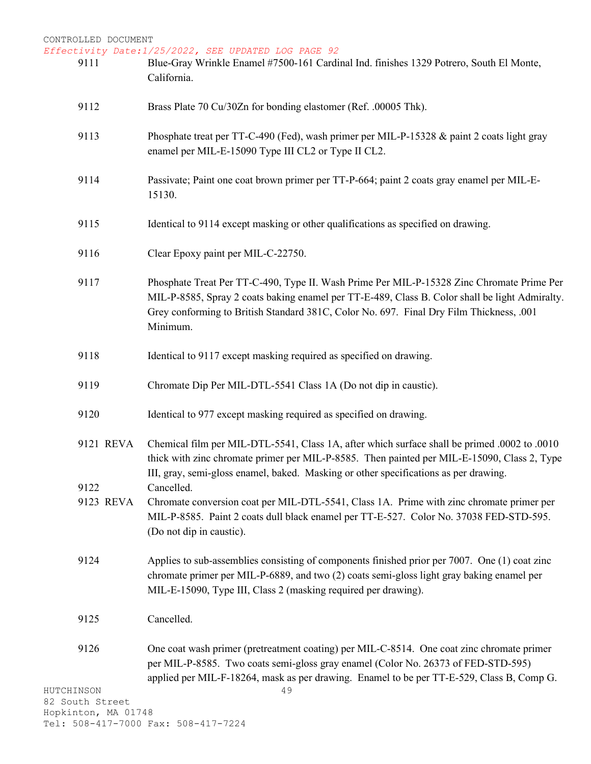Tel: 508-417-7000 Fax: 508-417-7224

| 9111                          | Blue-Gray Wrinkle Enamel #7500-161 Cardinal Ind. finishes 1329 Potrero, South El Monte,<br>California.                                                                                                                                                                                             |
|-------------------------------|----------------------------------------------------------------------------------------------------------------------------------------------------------------------------------------------------------------------------------------------------------------------------------------------------|
| 9112                          | Brass Plate 70 Cu/30Zn for bonding elastomer (Ref. .00005 Thk).                                                                                                                                                                                                                                    |
| 9113                          | Phosphate treat per TT-C-490 (Fed), wash primer per MIL-P-15328 & paint 2 coats light gray<br>enamel per MIL-E-15090 Type III CL2 or Type II CL2.                                                                                                                                                  |
| 9114                          | Passivate; Paint one coat brown primer per TT-P-664; paint 2 coats gray enamel per MIL-E-<br>15130.                                                                                                                                                                                                |
| 9115                          | Identical to 9114 except masking or other qualifications as specified on drawing.                                                                                                                                                                                                                  |
| 9116                          | Clear Epoxy paint per MIL-C-22750.                                                                                                                                                                                                                                                                 |
| 9117                          | Phosphate Treat Per TT-C-490, Type II. Wash Prime Per MIL-P-15328 Zinc Chromate Prime Per<br>MIL-P-8585, Spray 2 coats baking enamel per TT-E-489, Class B. Color shall be light Admiralty.<br>Grey conforming to British Standard 381C, Color No. 697. Final Dry Film Thickness, .001<br>Minimum. |
| 9118                          | Identical to 9117 except masking required as specified on drawing.                                                                                                                                                                                                                                 |
| 9119                          | Chromate Dip Per MIL-DTL-5541 Class 1A (Do not dip in caustic).                                                                                                                                                                                                                                    |
| 9120                          | Identical to 977 except masking required as specified on drawing.                                                                                                                                                                                                                                  |
| 9121 REVA                     | Ool to .0010. Chemical film per MIL-DTL-5541, Class 1A, after which surface shall be primed .0002 to .0010<br>thick with zinc chromate primer per MIL-P-8585. Then painted per MIL-E-15090, Class 2, Type<br>III, gray, semi-gloss enamel, baked. Masking or other specifications as per drawing.  |
| 9122                          | Cancelled.                                                                                                                                                                                                                                                                                         |
| 9123 REVA                     | Chromate conversion coat per MIL-DTL-5541, Class 1A. Prime with zinc chromate primer per<br>MIL-P-8585. Paint 2 coats dull black enamel per TT-E-527. Color No. 37038 FED-STD-595.<br>(Do not dip in caustic).                                                                                     |
| 9124                          | Applies to sub-assemblies consisting of components finished prior per 7007. One (1) coat zinc<br>chromate primer per MIL-P-6889, and two (2) coats semi-gloss light gray baking enamel per<br>MIL-E-15090, Type III, Class 2 (masking required per drawing).                                       |
| 9125                          | Cancelled.                                                                                                                                                                                                                                                                                         |
| 9126                          | One coat wash primer (pretreatment coating) per MIL-C-8514. One coat zinc chromate primer<br>per MIL-P-8585. Two coats semi-gloss gray enamel (Color No. 26373 of FED-STD-595)<br>applied per MIL-F-18264, mask as per drawing. Enamel to be per TT-E-529, Class B, Comp G.                        |
| HUTCHINSON<br>82 South Street | 49                                                                                                                                                                                                                                                                                                 |
| Hopkinton, MA 01748           |                                                                                                                                                                                                                                                                                                    |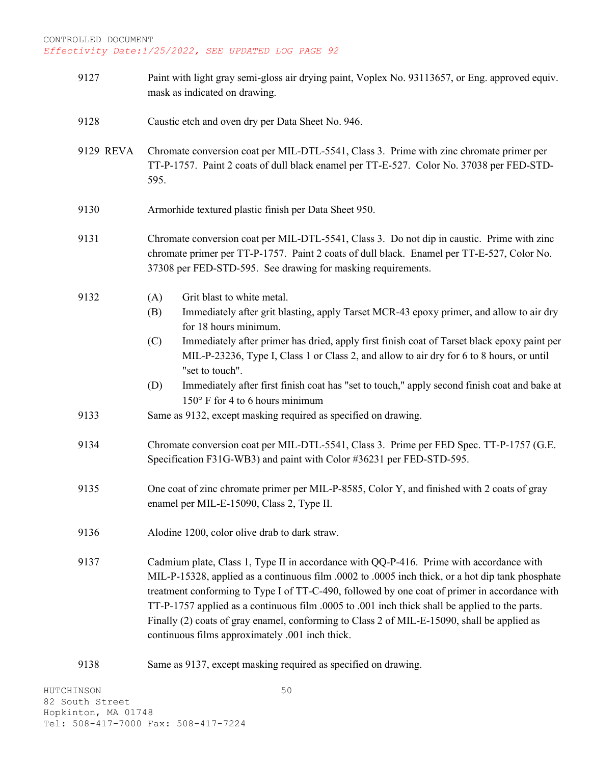9127 Paint with light gray semi-gloss air drying paint, Voplex No. 93113657, or Eng. approved equiv. mask as indicated on drawing. 9128 Caustic etch and oven dry per Data Sheet No. 946. 9129 REVA Chromate conversion coat per MIL-DTL-5541, Class 3. Prime with zinc chromate primer per TT-P-1757. Paint 2 coats of dull black enamel per TT-E-527. Color No. 37038 per FED-STD-595. 9130 Armorhide textured plastic finish per Data Sheet 950. 9131 Chromate conversion coat per MIL-DTL-5541, Class 3. Do not dip in caustic. Prime with zinc chromate primer per TT-P-1757. Paint 2 coats of dull black. Enamel per TT-E-527, Color No. 37308 per FED-STD-595. See drawing for masking requirements. 9132 (A) Grit blast to white metal. (B) Immediately after grit blasting, apply Tarset MCR-43 epoxy primer, and allow to air dry for 18 hours minimum. (C) Immediately after primer has dried, apply first finish coat of Tarset black epoxy paint per MIL-P-23236, Type I, Class 1 or Class 2, and allow to air dry for 6 to 8 hours, or until "set to touch". (D) Immediately after first finish coat has "set to touch," apply second finish coat and bake at 150° F for 4 to 6 hours minimum 9133 Same as 9132, except masking required as specified on drawing. 9134 Chromate conversion coat per MIL-DTL-5541, Class 3. Prime per FED Spec. TT-P-1757 (G.E. Specification F31G-WB3) and paint with Color #36231 per FED-STD-595. 9135 One coat of zinc chromate primer per MIL-P-8585, Color Y, and finished with 2 coats of gray enamel per MIL-E-15090, Class 2, Type II. 9136 Alodine 1200, color olive drab to dark straw. 9137 Cadmium plate, Class 1, Type II in accordance with QQ-P-416. Prime with accordance with MIL-P-15328, applied as a continuous film .0002 to .0005 inch thick, or a hot dip tank phosphate treatment conforming to Type I of TT-C-490, followed by one coat of primer in accordance with TT-P-1757 applied as a continuous film .0005 to .001 inch thick shall be applied to the parts. Finally (2) coats of gray enamel, conforming to Class 2 of MIL-E-15090, shall be applied as continuous films approximately .001 inch thick. 9138 Same as 9137, except masking required as specified on drawing.

50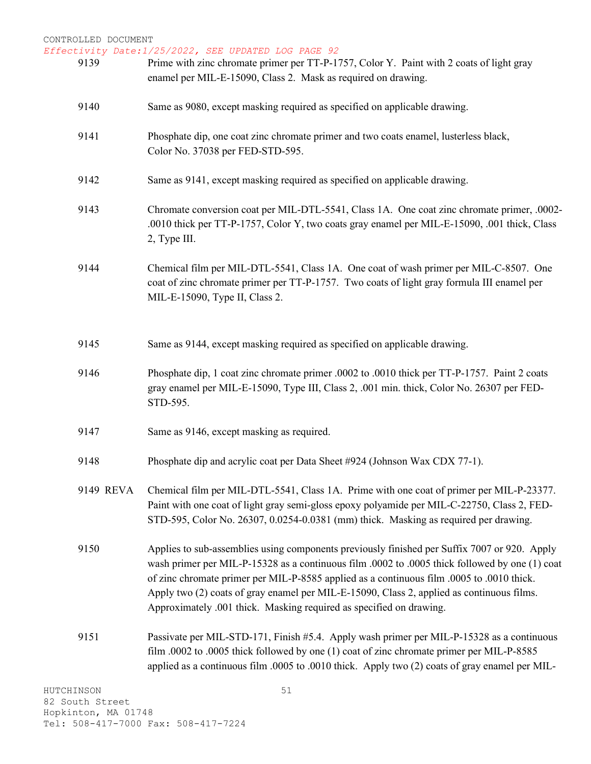| 9139      | Prime with zinc chromate primer per TT-P-1757, Color Y. Paint with 2 coats of light gray<br>enamel per MIL-E-15090, Class 2. Mask as required on drawing.                                                                                                                                                                                                                                                                                                       |
|-----------|-----------------------------------------------------------------------------------------------------------------------------------------------------------------------------------------------------------------------------------------------------------------------------------------------------------------------------------------------------------------------------------------------------------------------------------------------------------------|
| 9140      | Same as 9080, except masking required as specified on applicable drawing.                                                                                                                                                                                                                                                                                                                                                                                       |
| 9141      | Phosphate dip, one coat zinc chromate primer and two coats enamel, lusterless black,<br>Color No. 37038 per FED-STD-595.                                                                                                                                                                                                                                                                                                                                        |
| 9142      | Same as 9141, except masking required as specified on applicable drawing.                                                                                                                                                                                                                                                                                                                                                                                       |
| 9143      | Chromate conversion coat per MIL-DTL-5541, Class 1A. One coat zinc chromate primer, .0002-<br>.0010 thick per TT-P-1757, Color Y, two coats gray enamel per MIL-E-15090, .001 thick, Class<br>2, Type III.                                                                                                                                                                                                                                                      |
| 9144      | Chemical film per MIL-DTL-5541, Class 1A. One coat of wash primer per MIL-C-8507. One<br>coat of zinc chromate primer per TT-P-1757. Two coats of light gray formula III enamel per<br>MIL-E-15090, Type II, Class 2.                                                                                                                                                                                                                                           |
| 9145      | Same as 9144, except masking required as specified on applicable drawing.                                                                                                                                                                                                                                                                                                                                                                                       |
| 9146      | Phosphate dip, 1 coat zinc chromate primer .0002 to .0010 thick per TT-P-1757. Paint 2 coats<br>gray enamel per MIL-E-15090, Type III, Class 2, .001 min. thick, Color No. 26307 per FED-<br>STD-595.                                                                                                                                                                                                                                                           |
| 9147      | Same as 9146, except masking as required.                                                                                                                                                                                                                                                                                                                                                                                                                       |
| 9148      | Phosphate dip and acrylic coat per Data Sheet #924 (Johnson Wax CDX 77-1).                                                                                                                                                                                                                                                                                                                                                                                      |
| 9149 REVA | Chemical film per MIL-DTL-5541, Class 1A. Prime with one coat of primer per MIL-P-23377.<br>Paint with one coat of light gray semi-gloss epoxy polyamide per MIL-C-22750, Class 2, FED-<br>STD-595, Color No. 26307, 0.0254-0.0381 (mm) thick. Masking as required per drawing.                                                                                                                                                                                 |
| 9150      | Applies to sub-assemblies using components previously finished per Suffix 7007 or 920. Apply<br>wash primer per MIL-P-15328 as a continuous film .0002 to .0005 thick followed by one (1) coat<br>of zinc chromate primer per MIL-P-8585 applied as a continuous film .0005 to .0010 thick.<br>Apply two (2) coats of gray enamel per MIL-E-15090, Class 2, applied as continuous films.<br>Approximately .001 thick. Masking required as specified on drawing. |
| 9151      | Passivate per MIL-STD-171, Finish #5.4. Apply wash primer per MIL-P-15328 as a continuous<br>film .0002 to .0005 thick followed by one (1) coat of zinc chromate primer per MIL-P-8585<br>applied as a continuous film .0005 to .0010 thick. Apply two (2) coats of gray enamel per MIL-                                                                                                                                                                        |
| CHINSON   | 51                                                                                                                                                                                                                                                                                                                                                                                                                                                              |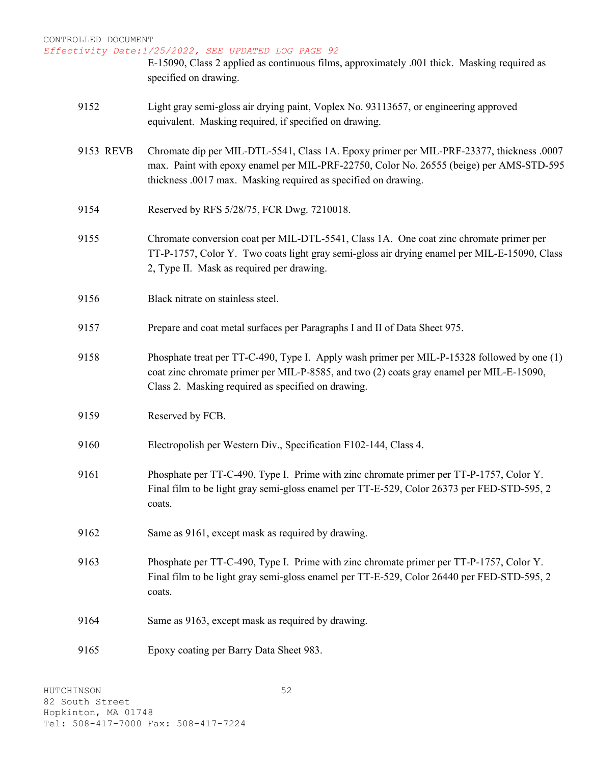| CONTROLLED DOCUMENT<br>Effectivity Date: 1/25/2022, SEE UPDATED LOG PAGE 92 |           |                                                                                                                                                                                                                                                       |
|-----------------------------------------------------------------------------|-----------|-------------------------------------------------------------------------------------------------------------------------------------------------------------------------------------------------------------------------------------------------------|
|                                                                             |           | E-15090, Class 2 applied as continuous films, approximately .001 thick. Masking required as<br>specified on drawing.                                                                                                                                  |
|                                                                             | 9152      | Light gray semi-gloss air drying paint, Voplex No. 93113657, or engineering approved<br>equivalent. Masking required, if specified on drawing.                                                                                                        |
|                                                                             | 9153 REVB | Chromate dip per MIL-DTL-5541, Class 1A. Epoxy primer per MIL-PRF-23377, thickness .0007<br>max. Paint with epoxy enamel per MIL-PRF-22750, Color No. 26555 (beige) per AMS-STD-595<br>thickness .0017 max. Masking required as specified on drawing. |
|                                                                             | 9154      | Reserved by RFS 5/28/75, FCR Dwg. 7210018.                                                                                                                                                                                                            |
|                                                                             | 9155      | Chromate conversion coat per MIL-DTL-5541, Class 1A. One coat zinc chromate primer per<br>TT-P-1757, Color Y. Two coats light gray semi-gloss air drying enamel per MIL-E-15090, Class<br>2, Type II. Mask as required per drawing.                   |
|                                                                             | 9156      | Black nitrate on stainless steel.                                                                                                                                                                                                                     |
|                                                                             | 9157      | Prepare and coat metal surfaces per Paragraphs I and II of Data Sheet 975.                                                                                                                                                                            |
|                                                                             | 9158      | Phosphate treat per TT-C-490, Type I. Apply wash primer per MIL-P-15328 followed by one (1)<br>coat zinc chromate primer per MIL-P-8585, and two (2) coats gray enamel per MIL-E-15090,<br>Class 2. Masking required as specified on drawing.         |
|                                                                             | 9159      | Reserved by FCB.                                                                                                                                                                                                                                      |
|                                                                             | 9160      | Electropolish per Western Div., Specification F102-144, Class 4.                                                                                                                                                                                      |
|                                                                             | 9161      | Phosphate per TT-C-490, Type I. Prime with zinc chromate primer per TT-P-1757, Color Y.<br>Final film to be light gray semi-gloss enamel per TT-E-529, Color 26373 per FED-STD-595, 2<br>coats.                                                       |
|                                                                             | 9162      | Same as 9161, except mask as required by drawing.                                                                                                                                                                                                     |
|                                                                             | 9163      | Phosphate per TT-C-490, Type I. Prime with zinc chromate primer per TT-P-1757, Color Y.<br>Final film to be light gray semi-gloss enamel per TT-E-529, Color 26440 per FED-STD-595, 2<br>coats.                                                       |
|                                                                             | 9164      | Same as 9163, except mask as required by drawing.                                                                                                                                                                                                     |
|                                                                             | 9165      | Epoxy coating per Barry Data Sheet 983.                                                                                                                                                                                                               |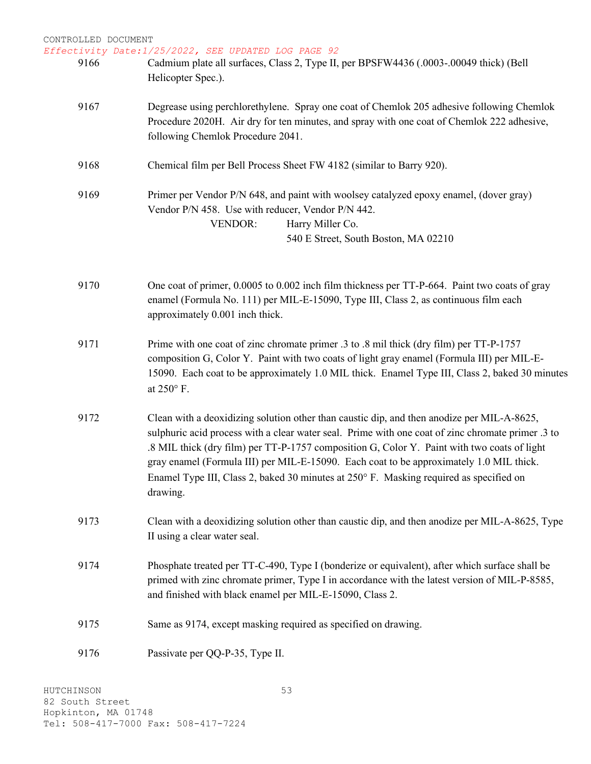| CONTROLLED DOCUMENT | Effectivity Date:1/25/2022, SEE UPDATED LOG PAGE 92                                                                                                                                                                                                                                                                                                                                                                                                                                             |
|---------------------|-------------------------------------------------------------------------------------------------------------------------------------------------------------------------------------------------------------------------------------------------------------------------------------------------------------------------------------------------------------------------------------------------------------------------------------------------------------------------------------------------|
| 9166                | Cadmium plate all surfaces, Class 2, Type II, per BPSFW4436 (.0003-.00049 thick) (Bell<br>Helicopter Spec.).                                                                                                                                                                                                                                                                                                                                                                                    |
| 9167                | Degrease using perchlorethylene. Spray one coat of Chemlok 205 adhesive following Chemlok<br>Procedure 2020H. Air dry for ten minutes, and spray with one coat of Chemlok 222 adhesive,<br>following Chemlok Procedure 2041.                                                                                                                                                                                                                                                                    |
| 9168                | Chemical film per Bell Process Sheet FW 4182 (similar to Barry 920).                                                                                                                                                                                                                                                                                                                                                                                                                            |
| 9169                | Primer per Vendor P/N 648, and paint with woolsey catalyzed epoxy enamel, (dover gray)<br>Vendor P/N 458. Use with reducer, Vendor P/N 442.<br><b>VENDOR:</b><br>Harry Miller Co.<br>540 E Street, South Boston, MA 02210                                                                                                                                                                                                                                                                       |
| 9170                | One coat of primer, 0.0005 to 0.002 inch film thickness per TT-P-664. Paint two coats of gray<br>enamel (Formula No. 111) per MIL-E-15090, Type III, Class 2, as continuous film each<br>approximately 0.001 inch thick.                                                                                                                                                                                                                                                                        |
| 9171                | Prime with one coat of zinc chromate primer .3 to .8 mil thick (dry film) per TT-P-1757<br>composition G, Color Y. Paint with two coats of light gray enamel (Formula III) per MIL-E-<br>15090. Each coat to be approximately 1.0 MIL thick. Enamel Type III, Class 2, baked 30 minutes<br>at 250° F.                                                                                                                                                                                           |
| 9172                | Clean with a deoxidizing solution other than caustic dip, and then anodize per MIL-A-8625,<br>sulphuric acid process with a clear water seal. Prime with one coat of zinc chromate primer .3 to<br>.8 MIL thick (dry film) per TT-P-1757 composition G, Color Y. Paint with two coats of light<br>gray enamel (Formula III) per MIL-E-15090. Each coat to be approximately 1.0 MIL thick.<br>Enamel Type III, Class 2, baked 30 minutes at 250° F. Masking required as specified on<br>drawing. |
| 9173                | Clean with a deoxidizing solution other than caustic dip, and then anodize per MIL-A-8625, Type<br>II using a clear water seal.                                                                                                                                                                                                                                                                                                                                                                 |
| 9174                | Phosphate treated per TT-C-490, Type I (bonderize or equivalent), after which surface shall be<br>primed with zinc chromate primer, Type I in accordance with the latest version of MIL-P-8585,<br>and finished with black enamel per MIL-E-15090, Class 2.                                                                                                                                                                                                                                     |
| 9175                | Same as 9174, except masking required as specified on drawing.                                                                                                                                                                                                                                                                                                                                                                                                                                  |
| 9176                | Passivate per QQ-P-35, Type II.                                                                                                                                                                                                                                                                                                                                                                                                                                                                 |
|                     |                                                                                                                                                                                                                                                                                                                                                                                                                                                                                                 |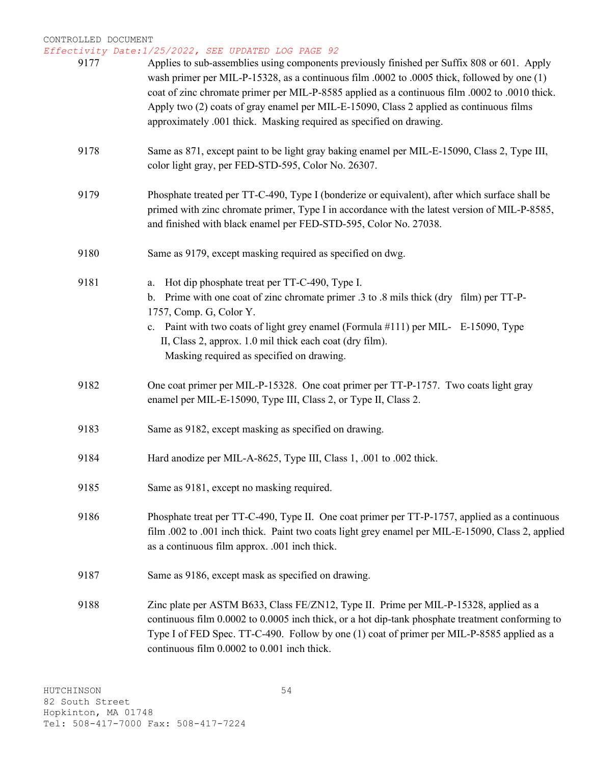| 9177 | Applies to sub-assemblies using components previously finished per Suffix 808 or 601. Apply<br>wash primer per MIL-P-15328, as a continuous film .0002 to .0005 thick, followed by one (1)<br>coat of zinc chromate primer per MIL-P-8585 applied as a continuous film .0002 to .0010 thick.<br>Apply two (2) coats of gray enamel per MIL-E-15090, Class 2 applied as continuous films<br>approximately .001 thick. Masking required as specified on drawing. |
|------|----------------------------------------------------------------------------------------------------------------------------------------------------------------------------------------------------------------------------------------------------------------------------------------------------------------------------------------------------------------------------------------------------------------------------------------------------------------|
| 9178 | Same as 871, except paint to be light gray baking enamel per MIL-E-15090, Class 2, Type III,<br>color light gray, per FED-STD-595, Color No. 26307.                                                                                                                                                                                                                                                                                                            |
| 9179 | Phosphate treated per TT-C-490, Type I (bonderize or equivalent), after which surface shall be<br>primed with zinc chromate primer, Type I in accordance with the latest version of MIL-P-8585,<br>and finished with black enamel per FED-STD-595, Color No. 27038.                                                                                                                                                                                            |
| 9180 | Same as 9179, except masking required as specified on dwg.                                                                                                                                                                                                                                                                                                                                                                                                     |
| 9181 | Hot dip phosphate treat per TT-C-490, Type I.<br>a.<br>Prime with one coat of zinc chromate primer .3 to .8 mils thick (dry film) per TT-P-<br>$\mathbf{b}$ .<br>1757, Comp. G, Color Y.<br>c. Paint with two coats of light grey enamel (Formula #111) per MIL- E-15090, Type<br>II, Class 2, approx. 1.0 mil thick each coat (dry film).<br>Masking required as specified on drawing.                                                                        |
| 9182 | One coat primer per MIL-P-15328. One coat primer per TT-P-1757. Two coats light gray<br>enamel per MIL-E-15090, Type III, Class 2, or Type II, Class 2.                                                                                                                                                                                                                                                                                                        |
| 9183 | Same as 9182, except masking as specified on drawing.                                                                                                                                                                                                                                                                                                                                                                                                          |
| 9184 | Hard anodize per MIL-A-8625, Type III, Class 1, .001 to .002 thick.                                                                                                                                                                                                                                                                                                                                                                                            |
| 9185 | Same as 9181, except no masking required.                                                                                                                                                                                                                                                                                                                                                                                                                      |
| 9186 | Phosphate treat per TT-C-490, Type II. One coat primer per TT-P-1757, applied as a continuous<br>film .002 to .001 inch thick. Paint two coats light grey enamel per MIL-E-15090, Class 2, applied<br>as a continuous film approx. .001 inch thick.                                                                                                                                                                                                            |
| 9187 | Same as 9186, except mask as specified on drawing.                                                                                                                                                                                                                                                                                                                                                                                                             |
| 9188 | Zinc plate per ASTM B633, Class FE/ZN12, Type II. Prime per MIL-P-15328, applied as a<br>continuous film 0.0002 to 0.0005 inch thick, or a hot dip-tank phosphate treatment conforming to<br>Type I of FED Spec. TT-C-490. Follow by one (1) coat of primer per MIL-P-8585 applied as a<br>continuous film 0.0002 to 0.001 inch thick.                                                                                                                         |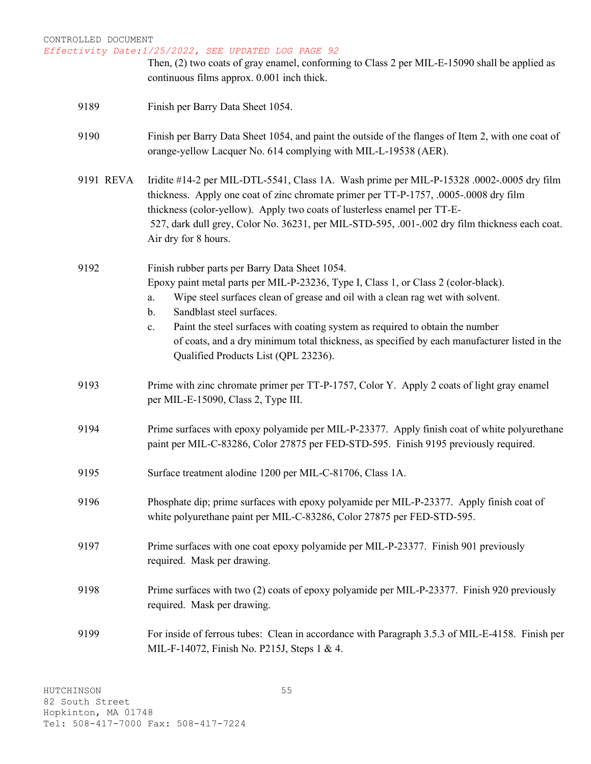# CONTROLLED DOCUMENT *Effectivity Date:1/25/2022, SEE UPDATED LOG PAGE 92* Then, (2) two coats of gray enamel, conforming to Class 2 per MIL-E-15090 shall be applied as continuous films approx. 0.001 inch thick. 9189 Finish per Barry Data Sheet 1054. 9190 Finish per Barry Data Sheet 1054, and paint the outside of the flanges of Item 2, with one coat of orange-yellow Lacquer No. 614 complying with MIL-L-19538 (AER). 9191 REVA Iridite #14-2 per MIL-DTL-5541, Class 1A. Wash prime per MIL-P-15328 .0002-.0005 dry film thickness. Apply one coat of zinc chromate primer per TT-P-1757, .0005-.0008 dry film thickness (color-yellow). Apply two coats of lusterless enamel per TT-E-527, dark dull grey, Color No. 36231, per MIL-STD-595, .001-.002 dry film thickness each coat. Air dry for 8 hours. 9192 Finish rubber parts per Barry Data Sheet 1054. Epoxy paint metal parts per MIL-P-23236, Type I, Class 1, or Class 2 (color-black). a. Wipe steel surfaces clean of grease and oil with a clean rag wet with solvent. b. Sandblast steel surfaces. c. Paint the steel surfaces with coating system as required to obtain the number of coats, and a dry minimum total thickness, as specified by each manufacturer listed in the Qualified Products List (QPL 23236). 9193 Prime with zinc chromate primer per TT-P-1757, Color Y. Apply 2 coats of light gray enamel per MIL-E-15090, Class 2, Type III. 9194 Prime surfaces with epoxy polyamide per MIL-P-23377. Apply finish coat of white polyurethane paint per MIL-C-83286, Color 27875 per FED-STD-595. Finish 9195 previously required. 9195 Surface treatment alodine 1200 per MIL-C-81706, Class 1A. 9196 Phosphate dip; prime surfaces with epoxy polyamide per MIL-P-23377. Apply finish coat of white polyurethane paint per MIL-C-83286, Color 27875 per FED-STD-595. 9197 Prime surfaces with one coat epoxy polyamide per MIL-P-23377. Finish 901 previously required. Mask per drawing. 9198 Prime surfaces with two (2) coats of epoxy polyamide per MIL-P-23377. Finish 920 previously required. Mask per drawing. 9199 For inside of ferrous tubes: Clean in accordance with Paragraph 3.5.3 of MIL-E-4158. Finish per

MIL-F-14072, Finish No. P215J, Steps 1 & 4.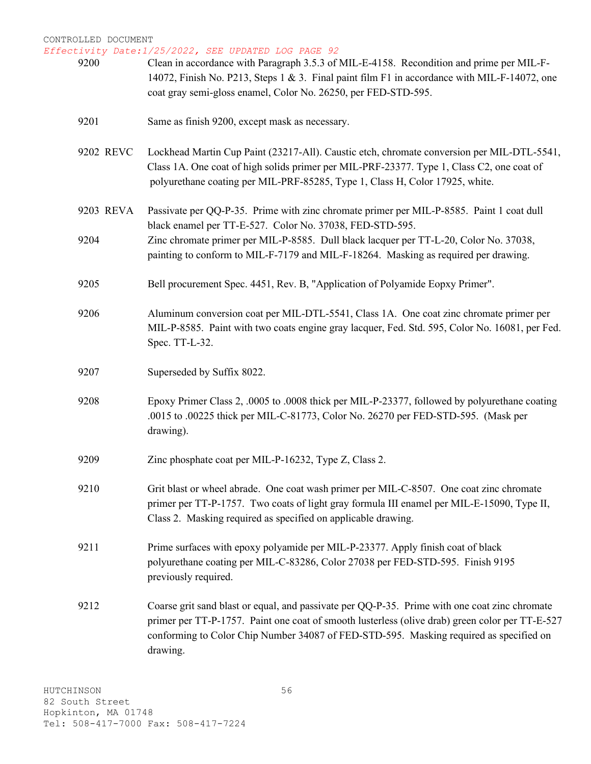*Effectivity Date:1/25/2022, SEE UPDATED LOG PAGE 92* 9200 Clean in accordance with Paragraph 3.5.3 of MIL-E-4158. Recondition and prime per MIL-F-14072, Finish No. P213, Steps 1 & 3. Final paint film F1 in accordance with MIL-F-14072, one coat gray semi-gloss enamel, Color No. 26250, per FED-STD-595. 9201 Same as finish 9200, except mask as necessary. 9202 REVC Lockhead Martin Cup Paint (23217-All). Caustic etch, chromate conversion per MIL-DTL-5541, Class 1A. One coat of high solids primer per MIL-PRF-23377. Type 1, Class C2, one coat of polyurethane coating per MIL-PRF-85285, Type 1, Class H, Color 17925, white. 9203 REVA Passivate per QQ-P-35. Prime with zinc chromate primer per MIL-P-8585. Paint 1 coat dull black enamel per TT-E-527. Color No. 37038, FED-STD-595. 9204 Zinc chromate primer per MIL-P-8585. Dull black lacquer per TT-L-20, Color No. 37038, painting to conform to MIL-F-7179 and MIL-F-18264. Masking as required per drawing. 9205 Bell procurement Spec. 4451, Rev. B, "Application of Polyamide Eopxy Primer". 9206 Aluminum conversion coat per MIL-DTL-5541, Class 1A. One coat zinc chromate primer per MIL-P-8585. Paint with two coats engine gray lacquer, Fed. Std. 595, Color No. 16081, per Fed. Spec. TT-L-32. 9207 Superseded by Suffix 8022. 9208 Epoxy Primer Class 2, .0005 to .0008 thick per MIL-P-23377, followed by polyurethane coating .0015 to .00225 thick per MIL-C-81773, Color No. 26270 per FED-STD-595. (Mask per drawing). 9209 Zinc phosphate coat per MIL-P-16232, Type Z, Class 2. 9210 Grit blast or wheel abrade. One coat wash primer per MIL-C-8507. One coat zinc chromate primer per TT-P-1757. Two coats of light gray formula III enamel per MIL-E-15090, Type II, Class 2. Masking required as specified on applicable drawing. 9211 Prime surfaces with epoxy polyamide per MIL-P-23377. Apply finish coat of black polyurethane coating per MIL-C-83286, Color 27038 per FED-STD-595. Finish 9195 previously required. 9212 Coarse grit sand blast or equal, and passivate per QQ-P-35. Prime with one coat zinc chromate primer per TT-P-1757. Paint one coat of smooth lusterless (olive drab) green color per TT-E-527 conforming to Color Chip Number 34087 of FED-STD-595. Masking required as specified on drawing.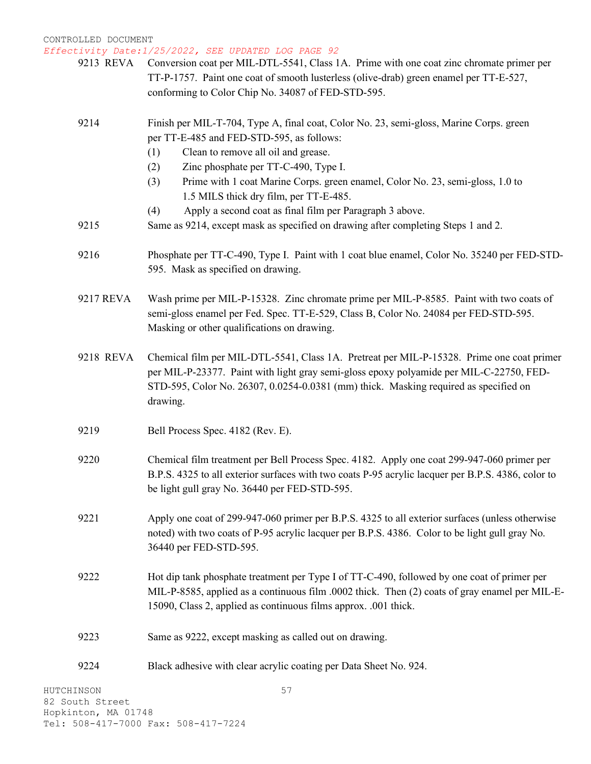9213 REVA Conversion coat per MIL-DTL-5541, Class 1A. Prime with one coat zinc chromate primer per TT-P-1757. Paint one coat of smooth lusterless (olive-drab) green enamel per TT-E-527, conforming to Color Chip No. 34087 of FED-STD-595.

## 9214 Finish per MIL-T-704, Type A, final coat, Color No. 23, semi-gloss, Marine Corps. green per TT-E-485 and FED-STD-595, as follows:

- (1) Clean to remove all oil and grease.
- (2) Zinc phosphate per TT-C-490, Type I.
- (3) Prime with 1 coat Marine Corps. green enamel, Color No. 23, semi-gloss, 1.0 to 1.5 MILS thick dry film, per TT-E-485.
- (4) Apply a second coat as final film per Paragraph 3 above.
- 9215 Same as 9214, except mask as specified on drawing after completing Steps 1 and 2.
- 9216 Phosphate per TT-C-490, Type I. Paint with 1 coat blue enamel, Color No. 35240 per FED-STD-595. Mask as specified on drawing.
- 9217 REVA Wash prime per MIL-P-15328. Zinc chromate prime per MIL-P-8585. Paint with two coats of semi-gloss enamel per Fed. Spec. TT-E-529, Class B, Color No. 24084 per FED-STD-595. Masking or other qualifications on drawing.
- 9218 REVA Chemical film per MIL-DTL-5541, Class 1A. Pretreat per MIL-P-15328. Prime one coat primer per MIL-P-23377. Paint with light gray semi-gloss epoxy polyamide per MIL-C-22750, FED-STD-595, Color No. 26307, 0.0254-0.0381 (mm) thick. Masking required as specified on drawing.
- 9219 Bell Process Spec. 4182 (Rev. E).
- 9220 Chemical film treatment per Bell Process Spec. 4182. Apply one coat 299-947-060 primer per B.P.S. 4325 to all exterior surfaces with two coats P-95 acrylic lacquer per B.P.S. 4386, color to be light gull gray No. 36440 per FED-STD-595.
- 9221 Apply one coat of 299-947-060 primer per B.P.S. 4325 to all exterior surfaces (unless otherwise noted) with two coats of P-95 acrylic lacquer per B.P.S. 4386. Color to be light gull gray No. 36440 per FED-STD-595.
- 9222 Hot dip tank phosphate treatment per Type I of TT-C-490, followed by one coat of primer per MIL-P-8585, applied as a continuous film .0002 thick. Then (2) coats of gray enamel per MIL-E-15090, Class 2, applied as continuous films approx. .001 thick.
- 9223 Same as 9222, except masking as called out on drawing.
- 9224 Black adhesive with clear acrylic coating per Data Sheet No. 924.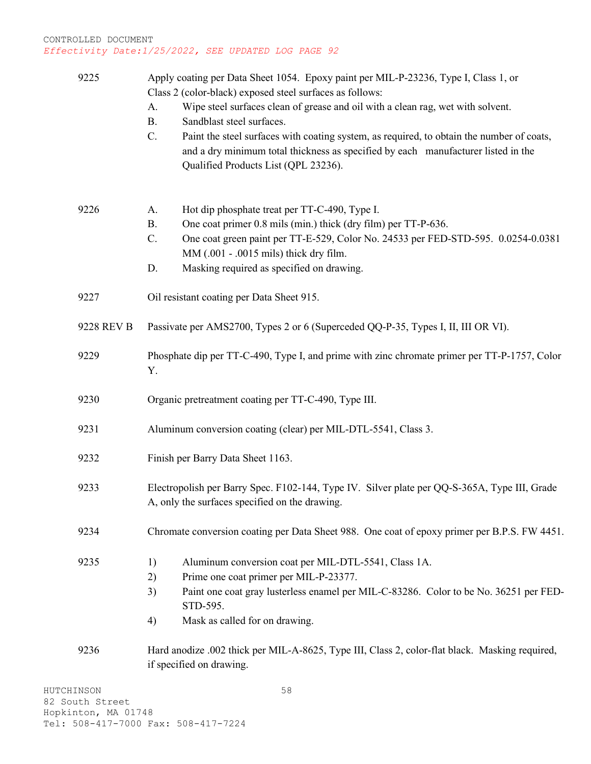| 9225       | Apply coating per Data Sheet 1054. Epoxy paint per MIL-P-23236, Type I, Class 1, or<br>Class 2 (color-black) exposed steel surfaces as follows:<br>Wipe steel surfaces clean of grease and oil with a clean rag, wet with solvent.<br>A.<br><b>B.</b><br>Sandblast steel surfaces.<br>Paint the steel surfaces with coating system, as required, to obtain the number of coats,<br>$C_{\cdot}$<br>and a dry minimum total thickness as specified by each manufacturer listed in the<br>Qualified Products List (QPL 23236). |
|------------|-----------------------------------------------------------------------------------------------------------------------------------------------------------------------------------------------------------------------------------------------------------------------------------------------------------------------------------------------------------------------------------------------------------------------------------------------------------------------------------------------------------------------------|
| 9226       | Hot dip phosphate treat per TT-C-490, Type I.<br>A.<br>One coat primer 0.8 mils (min.) thick (dry film) per TT-P-636.<br><b>B.</b><br>One coat green paint per TT-E-529, Color No. 24533 per FED-STD-595. 0.0254-0.0381<br>C.<br>MM (.001 - .0015 mils) thick dry film.<br>Masking required as specified on drawing.<br>D.                                                                                                                                                                                                  |
| 9227       | Oil resistant coating per Data Sheet 915.                                                                                                                                                                                                                                                                                                                                                                                                                                                                                   |
| 9228 REV B | Passivate per AMS2700, Types 2 or 6 (Superceded QQ-P-35, Types I, II, III OR VI).                                                                                                                                                                                                                                                                                                                                                                                                                                           |
| 9229       | Phosphate dip per TT-C-490, Type I, and prime with zinc chromate primer per TT-P-1757, Color<br>Y.                                                                                                                                                                                                                                                                                                                                                                                                                          |
| 9230       | Organic pretreatment coating per TT-C-490, Type III.                                                                                                                                                                                                                                                                                                                                                                                                                                                                        |
| 9231       | Aluminum conversion coating (clear) per MIL-DTL-5541, Class 3.                                                                                                                                                                                                                                                                                                                                                                                                                                                              |
| 9232       | Finish per Barry Data Sheet 1163.                                                                                                                                                                                                                                                                                                                                                                                                                                                                                           |
| 9233       | Electropolish per Barry Spec. F102-144, Type IV. Silver plate per QQ-S-365A, Type III, Grade<br>A, only the surfaces specified on the drawing.                                                                                                                                                                                                                                                                                                                                                                              |
| 9234       | Chromate conversion coating per Data Sheet 988. One coat of epoxy primer per B.P.S. FW 4451.                                                                                                                                                                                                                                                                                                                                                                                                                                |
| 9235       | Aluminum conversion coat per MIL-DTL-5541, Class 1A.<br>1)<br>Prime one coat primer per MIL-P-23377.<br>2)<br>Paint one coat gray lusterless enamel per MIL-C-83286. Color to be No. 36251 per FED-<br>3)<br>STD-595.<br>Mask as called for on drawing.<br>4)                                                                                                                                                                                                                                                               |
| 9236       | Hard anodize .002 thick per MIL-A-8625, Type III, Class 2, color-flat black. Masking required,<br>if specified on drawing.                                                                                                                                                                                                                                                                                                                                                                                                  |
| IINSON     | 58                                                                                                                                                                                                                                                                                                                                                                                                                                                                                                                          |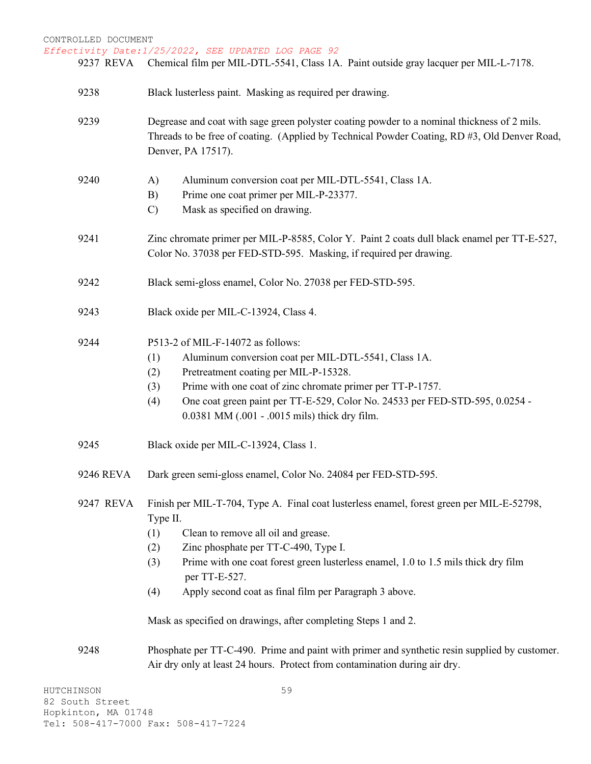CONTROLLED DOCUMENT *Effectivity Date:1/25/2022, SEE UPDATED LOG PAGE 92* HUTCHINSON 59 9237 REVA Chemical film per MIL-DTL-5541, Class 1A. Paint outside gray lacquer per MIL-L-7178. 9238 Black lusterless paint. Masking as required per drawing. 9239 Degrease and coat with sage green polyster coating powder to a nominal thickness of 2 mils. Threads to be free of coating. (Applied by Technical Powder Coating, RD #3, Old Denver Road, Denver, PA 17517). 9240 A) Aluminum conversion coat per MIL-DTL-5541, Class 1A. B) Prime one coat primer per MIL-P-23377. C) Mask as specified on drawing. 9241 Zinc chromate primer per MIL-P-8585, Color Y. Paint 2 coats dull black enamel per TT-E-527, Color No. 37038 per FED-STD-595. Masking, if required per drawing. 9242 Black semi-gloss enamel, Color No. 27038 per FED-STD-595. 9243 Black oxide per MIL-C-13924, Class 4. 9244 P513-2 of MIL-F-14072 as follows: (1) Aluminum conversion coat per MIL-DTL-5541, Class 1A. (2) Pretreatment coating per MIL-P-15328. (3) Prime with one coat of zinc chromate primer per TT-P-1757. (4) One coat green paint per TT-E-529, Color No. 24533 per FED-STD-595, 0.0254 - 0.0381 MM (.001 - .0015 mils) thick dry film. 9245 Black oxide per MIL-C-13924, Class 1. 9246 REVA Dark green semi-gloss enamel, Color No. 24084 per FED-STD-595. 9247 REVA Finish per MIL-T-704, Type A. Final coat lusterless enamel, forest green per MIL-E-52798, Type II. (1) Clean to remove all oil and grease. (2) Zinc phosphate per TT-C-490, Type I. (3) Prime with one coat forest green lusterless enamel, 1.0 to 1.5 mils thick dry film per TT-E-527. (4) Apply second coat as final film per Paragraph 3 above. Mask as specified on drawings, after completing Steps 1 and 2. 9248 Phosphate per TT-C-490. Prime and paint with primer and synthetic resin supplied by customer. Air dry only at least 24 hours. Protect from contamination during air dry.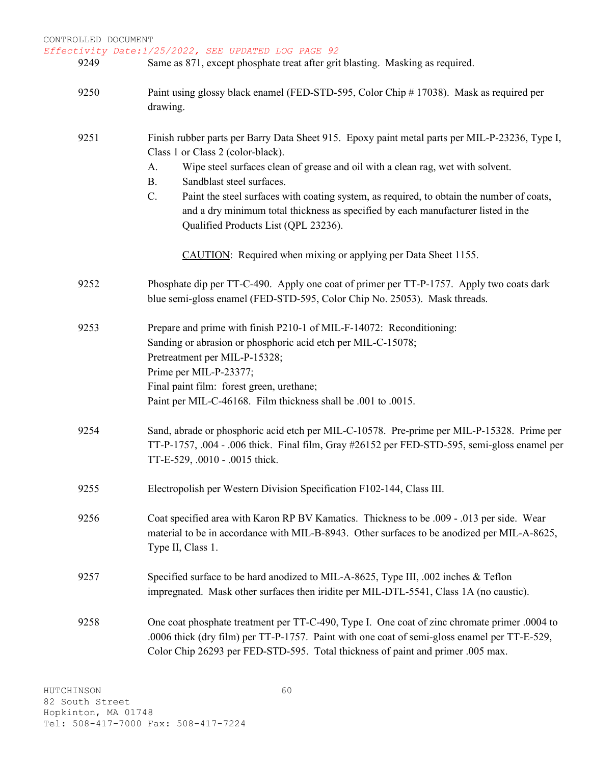| CONTROLLED DOCUMENT |                                                                                                                                                                                                                              |
|---------------------|------------------------------------------------------------------------------------------------------------------------------------------------------------------------------------------------------------------------------|
| 9249                | Effectivity Date:1/25/2022, SEE UPDATED LOG PAGE 92<br>Same as 871, except phosphate treat after grit blasting. Masking as required.                                                                                         |
| 9250                | Paint using glossy black enamel (FED-STD-595, Color Chip # 17038). Mask as required per<br>drawing.                                                                                                                          |
| 9251                | Finish rubber parts per Barry Data Sheet 915. Epoxy paint metal parts per MIL-P-23236, Type I,<br>Class 1 or Class 2 (color-black).                                                                                          |
|                     | Wipe steel surfaces clean of grease and oil with a clean rag, wet with solvent.<br>A.<br>Sandblast steel surfaces.<br><b>B.</b>                                                                                              |
|                     | C.<br>Paint the steel surfaces with coating system, as required, to obtain the number of coats,<br>and a dry minimum total thickness as specified by each manufacturer listed in the<br>Qualified Products List (QPL 23236). |
|                     | CAUTION: Required when mixing or applying per Data Sheet 1155.                                                                                                                                                               |
| 9252                | Phosphate dip per TT-C-490. Apply one coat of primer per TT-P-1757. Apply two coats dark<br>blue semi-gloss enamel (FED-STD-595, Color Chip No. 25053). Mask threads.                                                        |
| 9253                | Prepare and prime with finish P210-1 of MIL-F-14072: Reconditioning:                                                                                                                                                         |
|                     | Sanding or abrasion or phosphoric acid etch per MIL-C-15078;                                                                                                                                                                 |
|                     | Pretreatment per MIL-P-15328;                                                                                                                                                                                                |
|                     | Prime per MIL-P-23377;<br>Final paint film: forest green, urethane;                                                                                                                                                          |
|                     | Paint per MIL-C-46168. Film thickness shall be .001 to .0015.                                                                                                                                                                |
| 9254                | Sand, abrade or phosphoric acid etch per MIL-C-10578. Pre-prime per MIL-P-15328. Prime per<br>TT-P-1757, .004 - .006 thick. Final film, Gray #26152 per FED-STD-595, semi-gloss enamel per<br>TT-E-529, .0010 - .0015 thick. |
| 9255                | Electropolish per Western Division Specification F102-144, Class III.                                                                                                                                                        |

- 9256 Coat specified area with Karon RP BV Kamatics. Thickness to be .009 .013 per side. Wear material to be in accordance with MIL-B-8943. Other surfaces to be anodized per MIL-A-8625, Type II, Class 1.
- 9257 Specified surface to be hard anodized to MIL-A-8625, Type III, .002 inches & Teflon impregnated. Mask other surfaces then iridite per MIL-DTL-5541, Class 1A (no caustic).
- 9258 One coat phosphate treatment per TT-C-490, Type I. One coat of zinc chromate primer .0004 to .0006 thick (dry film) per TT-P-1757. Paint with one coat of semi-gloss enamel per TT-E-529, Color Chip 26293 per FED-STD-595. Total thickness of paint and primer .005 max.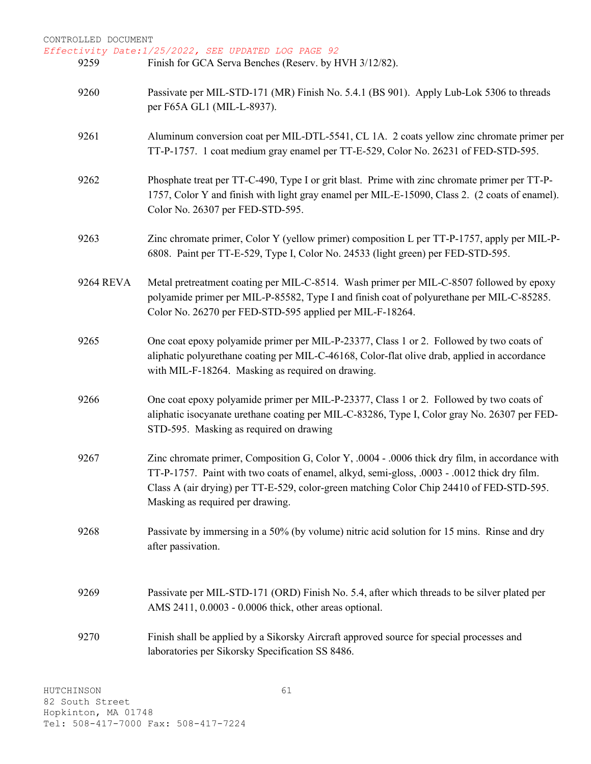| 9259      | Finish for GCA Serva Benches (Reserv. by HVH 3/12/82).                                                                                                                                                                                                                                                                        |
|-----------|-------------------------------------------------------------------------------------------------------------------------------------------------------------------------------------------------------------------------------------------------------------------------------------------------------------------------------|
| 9260      | Passivate per MIL-STD-171 (MR) Finish No. 5.4.1 (BS 901). Apply Lub-Lok 5306 to threads<br>per F65A GL1 (MIL-L-8937).                                                                                                                                                                                                         |
| 9261      | Aluminum conversion coat per MIL-DTL-5541, CL 1A. 2 coats yellow zinc chromate primer per<br>TT-P-1757. 1 coat medium gray enamel per TT-E-529, Color No. 26231 of FED-STD-595.                                                                                                                                               |
| 9262      | Phosphate treat per TT-C-490, Type I or grit blast. Prime with zinc chromate primer per TT-P-<br>1757, Color Y and finish with light gray enamel per MIL-E-15090, Class 2. (2 coats of enamel).<br>Color No. 26307 per FED-STD-595.                                                                                           |
| 9263      | Zinc chromate primer, Color Y (yellow primer) composition L per TT-P-1757, apply per MIL-P-<br>6808. Paint per TT-E-529, Type I, Color No. 24533 (light green) per FED-STD-595.                                                                                                                                               |
| 9264 REVA | Metal pretreatment coating per MIL-C-8514. Wash primer per MIL-C-8507 followed by epoxy<br>polyamide primer per MIL-P-85582, Type I and finish coat of polyurethane per MIL-C-85285.<br>Color No. 26270 per FED-STD-595 applied per MIL-F-18264.                                                                              |
| 9265      | One coat epoxy polyamide primer per MIL-P-23377, Class 1 or 2. Followed by two coats of<br>aliphatic polyurethane coating per MIL-C-46168, Color-flat olive drab, applied in accordance<br>with MIL-F-18264. Masking as required on drawing.                                                                                  |
| 9266      | One coat epoxy polyamide primer per MIL-P-23377, Class 1 or 2. Followed by two coats of<br>aliphatic isocyanate urethane coating per MIL-C-83286, Type I, Color gray No. 26307 per FED-<br>STD-595. Masking as required on drawing                                                                                            |
| 9267      | Zinc chromate primer, Composition G, Color Y, .0004 - .0006 thick dry film, in accordance with<br>TT-P-1757. Paint with two coats of enamel, alkyd, semi-gloss, .0003 - .0012 thick dry film.<br>Class A (air drying) per TT-E-529, color-green matching Color Chip 24410 of FED-STD-595.<br>Masking as required per drawing. |
| 9268      | Passivate by immersing in a 50% (by volume) nitric acid solution for 15 mins. Rinse and dry<br>after passivation.                                                                                                                                                                                                             |
| 9269      | Passivate per MIL-STD-171 (ORD) Finish No. 5.4, after which threads to be silver plated per<br>AMS 2411, 0.0003 - 0.0006 thick, other areas optional.                                                                                                                                                                         |
| 9270      | Finish shall be applied by a Sikorsky Aircraft approved source for special processes and<br>laboratories per Sikorsky Specification SS 8486.                                                                                                                                                                                  |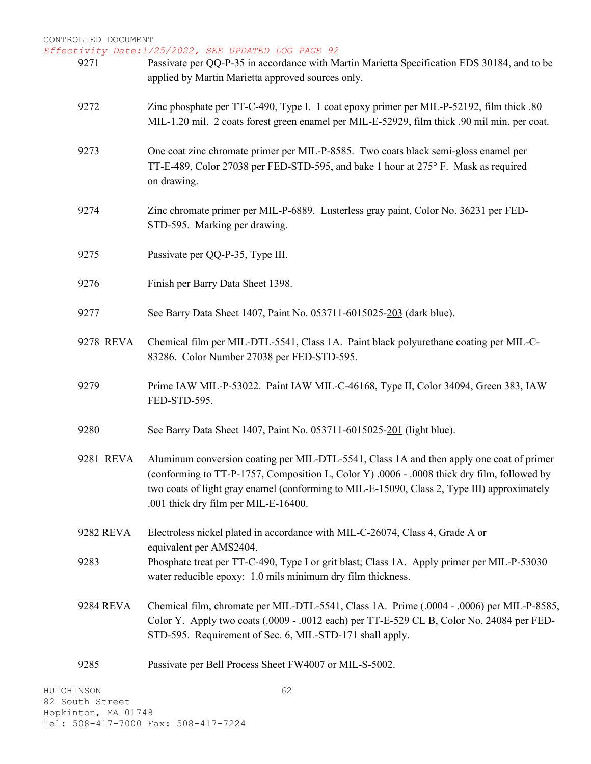| 9271      | Passivate per QQ-P-35 in accordance with Martin Marietta Specification EDS 30184, and to be<br>applied by Martin Marietta approved sources only.                                                                                                                                                                               |
|-----------|--------------------------------------------------------------------------------------------------------------------------------------------------------------------------------------------------------------------------------------------------------------------------------------------------------------------------------|
| 9272      | Zinc phosphate per TT-C-490, Type I. 1 coat epoxy primer per MIL-P-52192, film thick .80<br>MIL-1.20 mil. 2 coats forest green enamel per MIL-E-52929, film thick .90 mil min. per coat.                                                                                                                                       |
| 9273      | One coat zinc chromate primer per MIL-P-8585. Two coats black semi-gloss enamel per<br>TT-E-489, Color 27038 per FED-STD-595, and bake 1 hour at 275° F. Mask as required<br>on drawing.                                                                                                                                       |
| 9274      | Zinc chromate primer per MIL-P-6889. Lusterless gray paint, Color No. 36231 per FED-<br>STD-595. Marking per drawing.                                                                                                                                                                                                          |
| 9275      | Passivate per QQ-P-35, Type III.                                                                                                                                                                                                                                                                                               |
| 9276      | Finish per Barry Data Sheet 1398.                                                                                                                                                                                                                                                                                              |
| 9277      | See Barry Data Sheet 1407, Paint No. 053711-6015025-203 (dark blue).                                                                                                                                                                                                                                                           |
| 9278 REVA | Chemical film per MIL-DTL-5541, Class 1A. Paint black polyurethane coating per MIL-C-<br>83286. Color Number 27038 per FED-STD-595.                                                                                                                                                                                            |
| 9279      | Prime IAW MIL-P-53022. Paint IAW MIL-C-46168, Type II, Color 34094, Green 383, IAW<br>FED-STD-595.                                                                                                                                                                                                                             |
| 9280      | See Barry Data Sheet 1407, Paint No. 053711-6015025-201 (light blue).                                                                                                                                                                                                                                                          |
| 9281 REVA | Aluminum conversion coating per MIL-DTL-5541, Class 1A and then apply one coat of primer<br>(conforming to TT-P-1757, Composition L, Color Y) .0006 - .0008 thick dry film, followed by<br>two coats of light gray enamel (conforming to MIL-E-15090, Class 2, Type III) approximately<br>.001 thick dry film per MIL-E-16400. |
| 9282 REVA | Electroless nickel plated in accordance with MIL-C-26074, Class 4, Grade A or                                                                                                                                                                                                                                                  |
| 9283      | equivalent per AMS2404.<br>Phosphate treat per TT-C-490, Type I or grit blast; Class 1A. Apply primer per MIL-P-53030<br>water reducible epoxy: 1.0 mils minimum dry film thickness.                                                                                                                                           |
| 9284 REVA | Chemical film, chromate per MIL-DTL-5541, Class 1A. Prime (.0004 - .0006) per MIL-P-8585,<br>Color Y. Apply two coats (.0009 - .0012 each) per TT-E-529 CL B, Color No. 24084 per FED-<br>STD-595. Requirement of Sec. 6, MIL-STD-171 shall apply.                                                                             |
| 9285      | Passivate per Bell Process Sheet FW4007 or MIL-S-5002.                                                                                                                                                                                                                                                                         |
| ℡℺℧ℸ℩ℸℭ℺℩ | $\subset \cap$                                                                                                                                                                                                                                                                                                                 |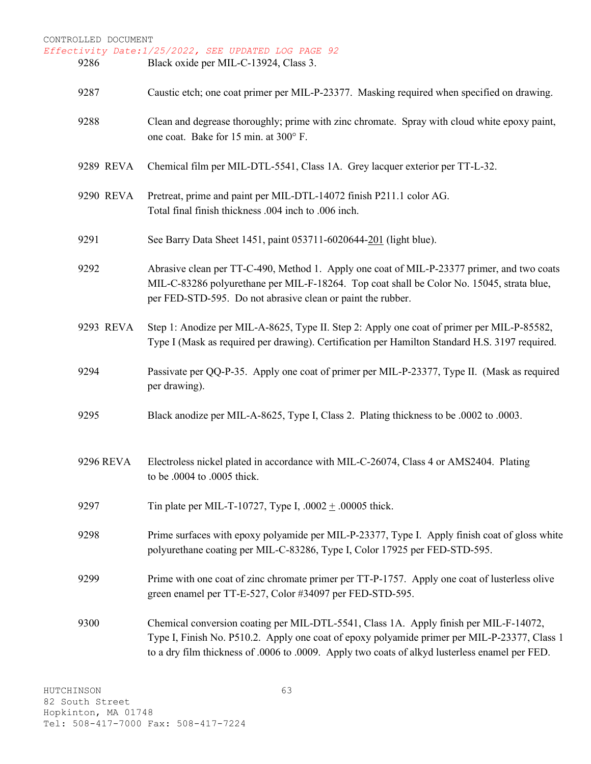CONTROLLED DOCUMENT *Effectivity Date:1/25/2022, SEE UPDATED LOG PAGE 92* 9286 Black oxide per MIL-C-13924, Class 3. 9287 Caustic etch; one coat primer per MIL-P-23377. Masking required when specified on drawing. 9288 Clean and degrease thoroughly; prime with zinc chromate. Spray with cloud white epoxy paint, one coat. Bake for 15 min. at 300° F. 9289 REVA Chemical film per MIL-DTL-5541, Class 1A. Grey lacquer exterior per TT-L-32. 9290 REVA Pretreat, prime and paint per MIL-DTL-14072 finish P211.1 color AG. Total final finish thickness .004 inch to .006 inch. 9291 See Barry Data Sheet 1451, paint 053711-6020644-201 (light blue). 9292 Abrasive clean per TT-C-490, Method 1. Apply one coat of MIL-P-23377 primer, and two coats MIL-C-83286 polyurethane per MIL-F-18264. Top coat shall be Color No. 15045, strata blue, per FED-STD-595. Do not abrasive clean or paint the rubber. 9293 REVA Step 1: Anodize per MIL-A-8625, Type II. Step 2: Apply one coat of primer per MIL-P-85582, Type I (Mask as required per drawing). Certification per Hamilton Standard H.S. 3197 required. 9294 Passivate per QQ-P-35. Apply one coat of primer per MIL-P-23377, Type II. (Mask as required per drawing). 9295 Black anodize per MIL-A-8625, Type I, Class 2. Plating thickness to be .0002 to .0003. 9296 REVA Electroless nickel plated in accordance with MIL-C-26074, Class 4 or AMS2404. Plating to be .0004 to .0005 thick. 9297 Tin plate per MIL-T-10727, Type I,  $.0002 \pm .00005$  thick. 9298 Prime surfaces with epoxy polyamide per MIL-P-23377, Type I. Apply finish coat of gloss white polyurethane coating per MIL-C-83286, Type I, Color 17925 per FED-STD-595. 9299 Prime with one coat of zinc chromate primer per TT-P-1757. Apply one coat of lusterless olive green enamel per TT-E-527, Color #34097 per FED-STD-595. 9300 Chemical conversion coating per MIL-DTL-5541, Class 1A. Apply finish per MIL-F-14072, Type I, Finish No. P510.2. Apply one coat of epoxy polyamide primer per MIL-P-23377, Class 1 to a dry film thickness of .0006 to .0009. Apply two coats of alkyd lusterless enamel per FED.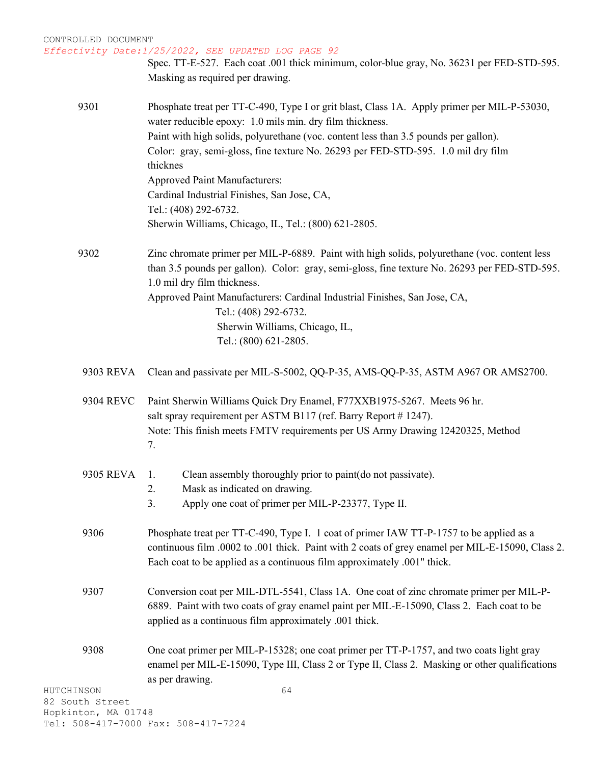*Effectivity Date:1/25/2022, SEE UPDATED LOG PAGE 92*

Spec. TT-E-527. Each coat .001 thick minimum, color-blue gray, No. 36231 per FED-STD-595. Masking as required per drawing.

9301 Phosphate treat per TT-C-490, Type I or grit blast, Class 1A. Apply primer per MIL-P-53030, water reducible epoxy: 1.0 mils min. dry film thickness. Paint with high solids, polyurethane (voc. content less than 3.5 pounds per gallon). Color: gray, semi-gloss, fine texture No. 26293 per FED-STD-595. 1.0 mil dry film thicknes Approved Paint Manufacturers: Cardinal Industrial Finishes, San Jose, CA, Tel.: (408) 292-6732. Sherwin Williams, Chicago, IL, Tel.: (800) 621-2805.

9302 Zinc chromate primer per MIL-P-6889. Paint with high solids, polyurethane (voc. content less than 3.5 pounds per gallon). Color: gray, semi-gloss, fine texture No. 26293 per FED-STD-595. 1.0 mil dry film thickness. Approved Paint Manufacturers: Cardinal Industrial Finishes, San Jose, CA, Tel.: (408) 292-6732. Sherwin Williams, Chicago, IL, Tel.: (800) 621-2805.

9303 REVA Clean and passivate per MIL-S-5002, QQ-P-35, AMS-QQ-P-35, ASTM A967 OR AMS2700.

9304 REVC Paint Sherwin Williams Quick Dry Enamel, F77XXB1975-5267. Meets 96 hr. salt spray requirement per ASTM B117 (ref. Barry Report # 1247). Note: This finish meets FMTV requirements per US Army Drawing 12420325, Method 7.

- 9305 REVA 1. Clean assembly thoroughly prior to paint(do not passivate).
	- 2. Mask as indicated on drawing.
		- 3. Apply one coat of primer per MIL-P-23377, Type II.
- 9306 Phosphate treat per TT-C-490, Type I. 1 coat of primer IAW TT-P-1757 to be applied as a continuous film .0002 to .001 thick. Paint with 2 coats of grey enamel per MIL-E-15090, Class 2. Each coat to be applied as a continuous film approximately .001" thick.
- 9307 Conversion coat per MIL-DTL-5541, Class 1A. One coat of zinc chromate primer per MIL-P-6889. Paint with two coats of gray enamel paint per MIL-E-15090, Class 2. Each coat to be applied as a continuous film approximately .001 thick.
- 9308 One coat primer per MIL-P-15328; one coat primer per TT-P-1757, and two coats light gray enamel per MIL-E-15090, Type III, Class 2 or Type II, Class 2. Masking or other qualifications as per drawing.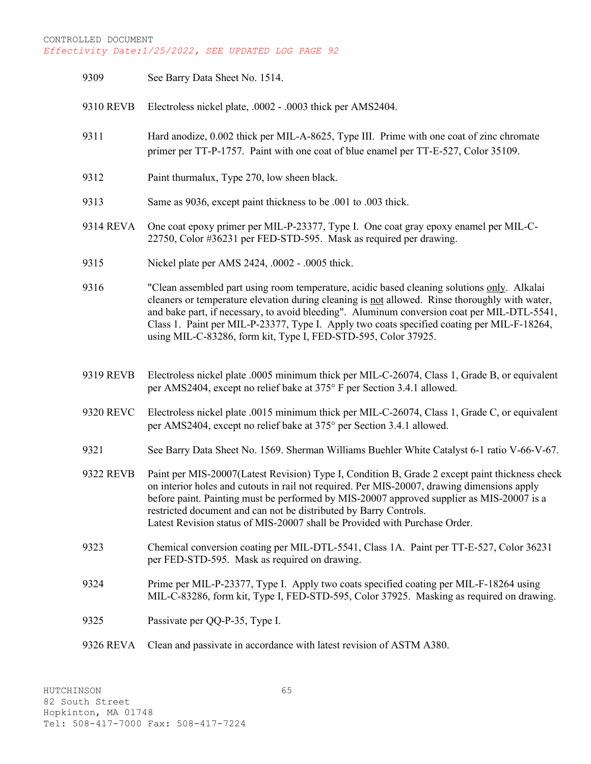| 9309      | See Barry Data Sheet No. 1514.                                                                                                                                                                                                                                                                                                                                                                                                                               |
|-----------|--------------------------------------------------------------------------------------------------------------------------------------------------------------------------------------------------------------------------------------------------------------------------------------------------------------------------------------------------------------------------------------------------------------------------------------------------------------|
| 9310 REVB | Electroless nickel plate, .0002 - .0003 thick per AMS2404.                                                                                                                                                                                                                                                                                                                                                                                                   |
| 9311      | Hard anodize, 0.002 thick per MIL-A-8625, Type III. Prime with one coat of zinc chromate<br>primer per TT-P-1757. Paint with one coat of blue enamel per TT-E-527, Color 35109.                                                                                                                                                                                                                                                                              |
| 9312      | Paint thurmalux, Type 270, low sheen black.                                                                                                                                                                                                                                                                                                                                                                                                                  |
| 9313      | Same as 9036, except paint thickness to be .001 to .003 thick.                                                                                                                                                                                                                                                                                                                                                                                               |
| 9314 REVA | One coat epoxy primer per MIL-P-23377, Type I. One coat gray epoxy enamel per MIL-C-<br>22750, Color #36231 per FED-STD-595. Mask as required per drawing.                                                                                                                                                                                                                                                                                                   |
| 9315      | Nickel plate per AMS 2424, .0002 - .0005 thick.                                                                                                                                                                                                                                                                                                                                                                                                              |
| 9316      | "Clean assembled part using room temperature, acidic based cleaning solutions only. Alkalai<br>cleaners or temperature elevation during cleaning is not allowed. Rinse thoroughly with water,<br>and bake part, if necessary, to avoid bleeding". Aluminum conversion coat per MIL-DTL-5541,<br>Class 1. Paint per MIL-P-23377, Type I. Apply two coats specified coating per MIL-F-18264,<br>using MIL-C-83286, form kit, Type I, FED-STD-595, Color 37925. |
| 9319 REVB | Electroless nickel plate .0005 minimum thick per MIL-C-26074, Class 1, Grade B, or equivalent<br>per AMS2404, except no relief bake at 375° F per Section 3.4.1 allowed.                                                                                                                                                                                                                                                                                     |
| 9320 REVC | Electroless nickel plate .0015 minimum thick per MIL-C-26074, Class 1, Grade C, or equivalent<br>per AMS2404, except no relief bake at 375° per Section 3.4.1 allowed.                                                                                                                                                                                                                                                                                       |
| 9321      | See Barry Data Sheet No. 1569. Sherman Williams Buehler White Catalyst 6-1 ratio V-66-V-67.                                                                                                                                                                                                                                                                                                                                                                  |
| 9322 REVB | Paint per MIS-20007(Latest Revision) Type I, Condition B, Grade 2 except paint thickness check<br>on interior holes and cutouts in rail not required. Per MIS-20007, drawing dimensions apply<br>before paint. Painting must be performed by MIS-20007 approved supplier as MIS-20007 is a<br>restricted document and can not be distributed by Barry Controls.<br>Latest Revision status of MIS-20007 shall be Provided with Purchase Order.                |
| 9323      | Chemical conversion coating per MIL-DTL-5541, Class 1A. Paint per TT-E-527, Color 36231<br>per FED-STD-595. Mask as required on drawing.                                                                                                                                                                                                                                                                                                                     |
| 9324      | Prime per MIL-P-23377, Type I. Apply two coats specified coating per MIL-F-18264 using<br>MIL-C-83286, form kit, Type I, FED-STD-595, Color 37925. Masking as required on drawing.                                                                                                                                                                                                                                                                           |
| 9325      | Passivate per QQ-P-35, Type I.                                                                                                                                                                                                                                                                                                                                                                                                                               |
| 9326 REVA | Clean and passivate in accordance with latest revision of ASTM A380.                                                                                                                                                                                                                                                                                                                                                                                         |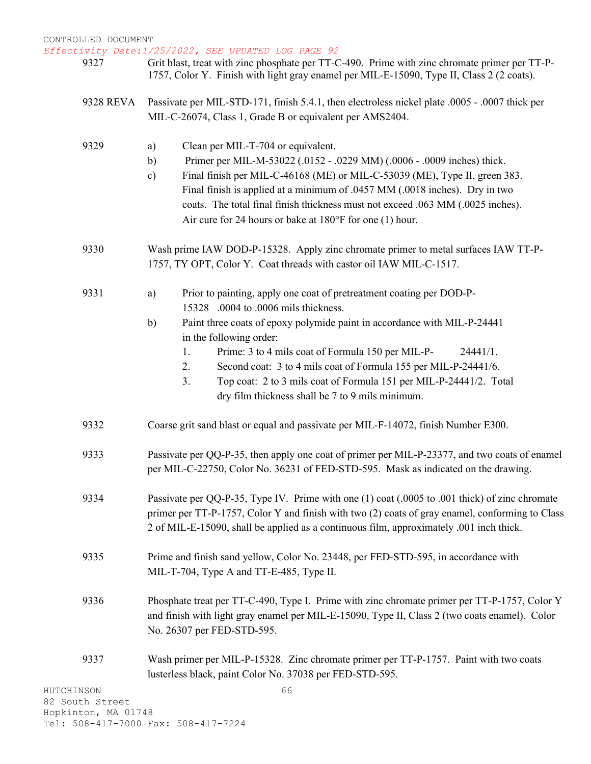- Grit blast, treat with zinc phosphate per TT-C-490. Prime with zinc chromate primer per TT-P-1757, Color Y. Finish with light gray enamel per MIL-E-15090, Type II, Class 2 (2 coats).
- 9328 REVA Passivate per MIL-STD-171, finish 5.4.1, then electroless nickel plate .0005 .0007 thick per MIL-C-26074, Class 1, Grade B or equivalent per AMS2404.

| 9329 | Clean per MIL-T-704 or equivalent.<br>a)                                                        |
|------|-------------------------------------------------------------------------------------------------|
|      | Primer per MIL-M-53022 (.0152 - .0229 MM) (.0006 - .0009 inches) thick.<br>b)                   |
|      | Final finish per MIL-C-46168 (ME) or MIL-C-53039 (ME), Type II, green 383.<br>$\mathbf{c})$     |
|      | Final finish is applied at a minimum of .0457 MM (.0018 inches). Dry in two                     |
|      | coats. The total final finish thickness must not exceed .063 MM (.0025 inches).                 |
|      | Air cure for 24 hours or bake at $180^{\circ}$ F for one (1) hour.                              |
| 9330 | Wash prime IAW DOD-P-15328. Apply zinc chromate primer to metal surfaces IAW TT-P-              |
|      | 1757, TY OPT, Color Y. Coat threads with castor oil IAW MIL-C-1517.                             |
| 9331 | Prior to painting, apply one coat of pretreatment coating per DOD-P-<br>a)                      |
|      | 15328 .0004 to .0006 mils thickness.                                                            |
|      | Paint three coats of epoxy polymide paint in accordance with MIL-P-24441<br>b)                  |
|      | in the following order:                                                                         |
|      | Prime: 3 to 4 mils coat of Formula 150 per MIL-P-<br>1.<br>24441/1.                             |
|      | Second coat: 3 to 4 mils coat of Formula 155 per MIL-P-24441/6.<br>2.                           |
|      | Top coat: 2 to 3 mils coat of Formula 151 per MIL-P-24441/2. Total<br>3.                        |
|      | dry film thickness shall be 7 to 9 mils minimum.                                                |
| 9332 | Coarse grit sand blast or equal and passivate per MIL-F-14072, finish Number E300.              |
| 9333 | Passivate per QQ-P-35, then apply one coat of primer per MIL-P-23377, and two coats of enamel   |
|      | per MIL-C-22750, Color No. 36231 of FED-STD-595. Mask as indicated on the drawing.              |
| 9334 | Passivate per QQ-P-35, Type IV. Prime with one (1) coat (.0005 to .001 thick) of zinc chromate  |
|      | primer per TT-P-1757, Color Y and finish with two (2) coats of gray enamel, conforming to Class |
|      | 2 of MIL-E-15090, shall be applied as a continuous film, approximately .001 inch thick.         |
| 9335 | Prime and finish sand yellow, Color No. 23448, per FED-STD-595, in accordance with              |
|      | MIL-T-704, Type A and TT-E-485, Type II.                                                        |
| 9336 | Phosphate treat per TT-C-490, Type I. Prime with zinc chromate primer per TT-P-1757, Color Y    |
|      | and finish with light gray enamel per MIL-E-15090, Type II, Class 2 (two coats enamel). Color   |
|      | No. 26307 per FED-STD-595.                                                                      |
| 9337 | Wash primer per MIL-P-15328. Zinc chromate primer per TT-P-1757. Paint with two coats           |
|      | lusterless black, paint Color No. 37038 per FED-STD-595.                                        |
| NSON | 66                                                                                              |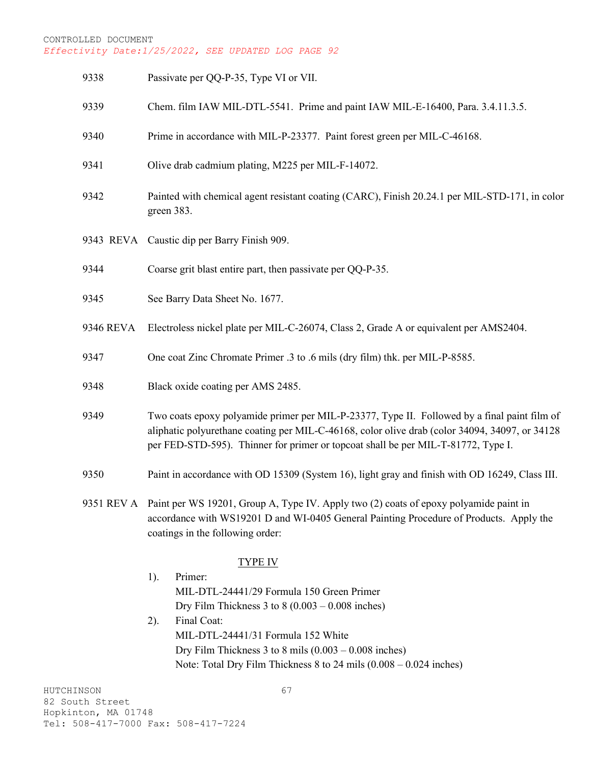| 9338      | Passivate per QQ-P-35, Type VI or VII.                                                                                                                                                                                                                                              |  |
|-----------|-------------------------------------------------------------------------------------------------------------------------------------------------------------------------------------------------------------------------------------------------------------------------------------|--|
| 9339      | Chem. film IAW MIL-DTL-5541. Prime and paint IAW MIL-E-16400, Para. 3.4.11.3.5.                                                                                                                                                                                                     |  |
| 9340      | Prime in accordance with MIL-P-23377. Paint forest green per MIL-C-46168.                                                                                                                                                                                                           |  |
| 9341      | Olive drab cadmium plating, M225 per MIL-F-14072.                                                                                                                                                                                                                                   |  |
| 9342      | Painted with chemical agent resistant coating (CARC), Finish 20.24.1 per MIL-STD-171, in color<br>green 383.                                                                                                                                                                        |  |
|           | 9343 REVA Caustic dip per Barry Finish 909.                                                                                                                                                                                                                                         |  |
| 9344      | Coarse grit blast entire part, then passivate per QQ-P-35.                                                                                                                                                                                                                          |  |
| 9345      | See Barry Data Sheet No. 1677.                                                                                                                                                                                                                                                      |  |
| 9346 REVA | Electroless nickel plate per MIL-C-26074, Class 2, Grade A or equivalent per AMS2404.                                                                                                                                                                                               |  |
| 9347      | One coat Zinc Chromate Primer .3 to .6 mils (dry film) thk. per MIL-P-8585.                                                                                                                                                                                                         |  |
| 9348      | Black oxide coating per AMS 2485.                                                                                                                                                                                                                                                   |  |
| 9349      | Two coats epoxy polyamide primer per MIL-P-23377, Type II. Followed by a final paint film of<br>aliphatic polyurethane coating per MIL-C-46168, color olive drab (color 34094, 34097, or 34128<br>per FED-STD-595). Thinner for primer or topcoat shall be per MIL-T-81772, Type I. |  |
| 9350      | Paint in accordance with OD 15309 (System 16), light gray and finish with OD 16249, Class III.                                                                                                                                                                                      |  |
|           | 9351 REV A Paint per WS 19201, Group A, Type IV. Apply two (2) coats of epoxy polyamide paint in<br>accordance with WS19201 D and WI-0405 General Painting Procedure of Products. Apply the<br>coatings in the following order:                                                     |  |
|           | <b>TYPE IV</b>                                                                                                                                                                                                                                                                      |  |
|           | Primer:<br>1).<br>MIL-DTL-24441/29 Formula 150 Green Primer<br>Dry Film Thickness 3 to $8(0.003 - 0.008$ inches)                                                                                                                                                                    |  |
|           | Final Coat:<br>2).                                                                                                                                                                                                                                                                  |  |
|           | MIL-DTL-24441/31 Formula 152 White                                                                                                                                                                                                                                                  |  |
|           | Dry Film Thickness 3 to 8 mils $(0.003 - 0.008)$ inches)                                                                                                                                                                                                                            |  |
|           | Note: Total Dry Film Thickness 8 to 24 mils (0.008 - 0.024 inches)                                                                                                                                                                                                                  |  |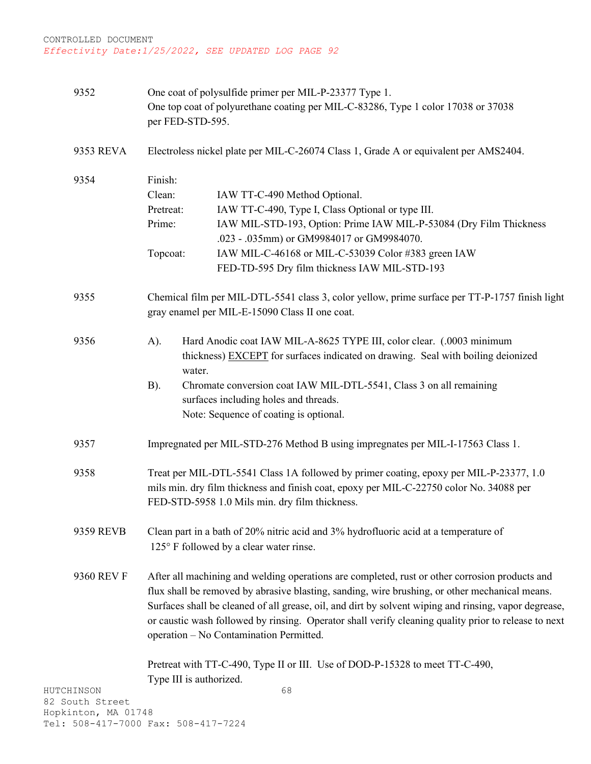| 9352                                                 | One coat of polysulfide primer per MIL-P-23377 Type 1.<br>One top coat of polyurethane coating per MIL-C-83286, Type 1 color 17038 or 37038<br>per FED-STD-595.                                                                                                                                                                                                                                                                                              |
|------------------------------------------------------|--------------------------------------------------------------------------------------------------------------------------------------------------------------------------------------------------------------------------------------------------------------------------------------------------------------------------------------------------------------------------------------------------------------------------------------------------------------|
| 9353 REVA                                            | Electroless nickel plate per MIL-C-26074 Class 1, Grade A or equivalent per AMS2404.                                                                                                                                                                                                                                                                                                                                                                         |
| 9354                                                 | Finish:<br>Clean:<br>IAW TT-C-490 Method Optional.<br>IAW TT-C-490, Type I, Class Optional or type III.<br>Pretreat:<br>Prime:<br>IAW MIL-STD-193, Option: Prime IAW MIL-P-53084 (Dry Film Thickness<br>.023 - .035mm) or GM9984017 or GM9984070.<br>IAW MIL-C-46168 or MIL-C-53039 Color #383 green IAW<br>Topcoat:<br>FED-TD-595 Dry film thickness IAW MIL-STD-193                                                                                        |
| 9355                                                 | Chemical film per MIL-DTL-5541 class 3, color yellow, prime surface per TT-P-1757 finish light<br>gray enamel per MIL-E-15090 Class II one coat.                                                                                                                                                                                                                                                                                                             |
| 9356                                                 | Hard Anodic coat IAW MIL-A-8625 TYPE III, color clear. (.0003 minimum<br>A).<br>thickness) EXCEPT for surfaces indicated on drawing. Seal with boiling deionized<br>water.<br>Chromate conversion coat IAW MIL-DTL-5541, Class 3 on all remaining<br>B).<br>surfaces including holes and threads.<br>Note: Sequence of coating is optional.                                                                                                                  |
| 9357                                                 | Impregnated per MIL-STD-276 Method B using impregnates per MIL-I-17563 Class 1.                                                                                                                                                                                                                                                                                                                                                                              |
| 9358                                                 | Treat per MIL-DTL-5541 Class 1A followed by primer coating, epoxy per MIL-P-23377, 1.0<br>mils min. dry film thickness and finish coat, epoxy per MIL-C-22750 color No. 34088 per<br>FED-STD-5958 1.0 Mils min. dry film thickness.                                                                                                                                                                                                                          |
| 9359 REVB                                            | Clean part in a bath of 20% nitric acid and 3% hydrofluoric acid at a temperature of<br>125° F followed by a clear water rinse.                                                                                                                                                                                                                                                                                                                              |
| 9360 REV F                                           | After all machining and welding operations are completed, rust or other corrosion products and<br>flux shall be removed by abrasive blasting, sanding, wire brushing, or other mechanical means.<br>Surfaces shall be cleaned of all grease, oil, and dirt by solvent wiping and rinsing, vapor degrease,<br>or caustic wash followed by rinsing. Operator shall verify cleaning quality prior to release to next<br>operation - No Contamination Permitted. |
| HUTCHINSON<br>82 South Street<br>Hopkinton, MA 01748 | Pretreat with TT-C-490, Type II or III. Use of DOD-P-15328 to meet TT-C-490,<br>Type III is authorized.<br>68<br>$\neg \wedge \wedge$                                                                                                                                                                                                                                                                                                                        |

Hopki Tel: 508-417-7000 Fax: 508-417-7224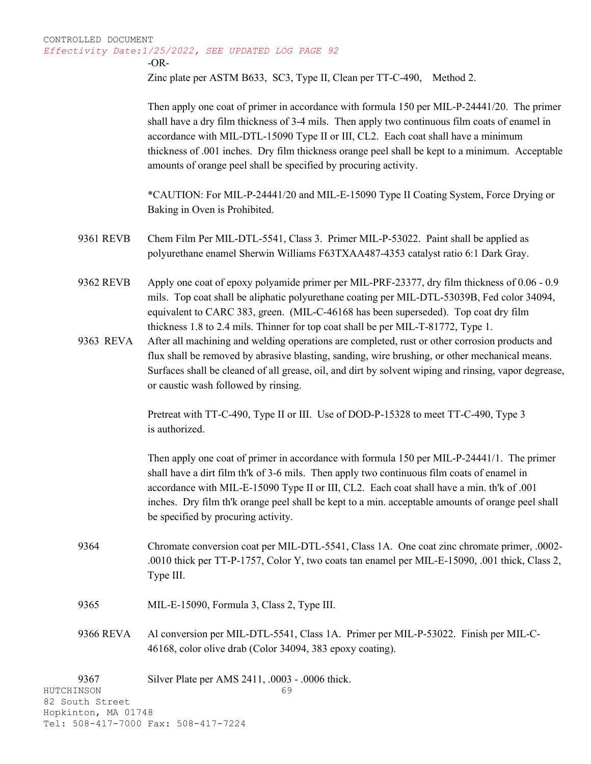-OR-

Zinc plate per ASTM B633, SC3, Type II, Clean per TT-C-490, Method 2.

Then apply one coat of primer in accordance with formula 150 per MIL-P-24441/20. The primer shall have a dry film thickness of 3-4 mils. Then apply two continuous film coats of enamel in accordance with MIL-DTL-15090 Type II or III, CL2. Each coat shall have a minimum thickness of .001 inches. Dry film thickness orange peel shall be kept to a minimum. Acceptable amounts of orange peel shall be specified by procuring activity.

\*CAUTION: For MIL-P-24441/20 and MIL-E-15090 Type II Coating System, Force Drying or Baking in Oven is Prohibited.

- 9361 REVB Chem Film Per MIL-DTL-5541, Class 3. Primer MIL-P-53022. Paint shall be applied as polyurethane enamel Sherwin Williams F63TXAA487-4353 catalyst ratio 6:1 Dark Gray.
- 9362 REVB Apply one coat of epoxy polyamide primer per MIL-PRF-23377, dry film thickness of 0.06 0.9 mils. Top coat shall be aliphatic polyurethane coating per MIL-DTL-53039B, Fed color 34094, equivalent to CARC 383, green. (MIL-C-46168 has been superseded). Top coat dry film thickness 1.8 to 2.4 mils. Thinner for top coat shall be per MIL-T-81772, Type 1.
- 9363 REVA After all machining and welding operations are completed, rust or other corrosion products and flux shall be removed by abrasive blasting, sanding, wire brushing, or other mechanical means. Surfaces shall be cleaned of all grease, oil, and dirt by solvent wiping and rinsing, vapor degrease, or caustic wash followed by rinsing.

Pretreat with TT-C-490, Type II or III. Use of DOD-P-15328 to meet TT-C-490, Type 3 is authorized.

Then apply one coat of primer in accordance with formula 150 per MIL-P-24441/1. The primer shall have a dirt film th'k of 3-6 mils. Then apply two continuous film coats of enamel in accordance with MIL-E-15090 Type II or III, CL2. Each coat shall have a min. th'k of .001 inches. Dry film th'k orange peel shall be kept to a min. acceptable amounts of orange peel shall be specified by procuring activity.

- 9364 Chromate conversion coat per MIL-DTL-5541, Class 1A. One coat zinc chromate primer, .0002- .0010 thick per TT-P-1757, Color Y, two coats tan enamel per MIL-E-15090, .001 thick, Class 2, Type III.
- 9365 MIL-E-15090, Formula 3, Class 2, Type III.
- 9366 REVA Al conversion per MIL-DTL-5541, Class 1A. Primer per MIL-P-53022. Finish per MIL-C-46168, color olive drab (Color 34094, 383 epoxy coating).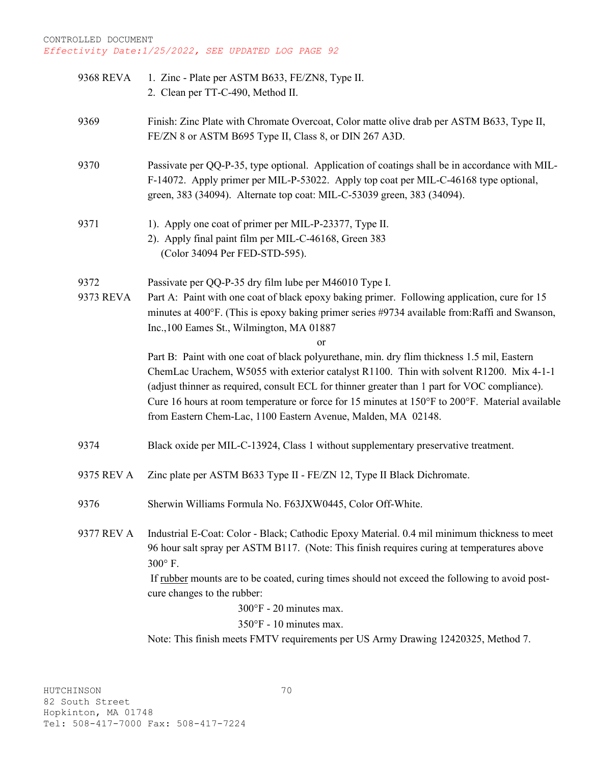| 9368 REVA  | 1. Zinc - Plate per ASTM B633, FE/ZN8, Type II.                                                 |
|------------|-------------------------------------------------------------------------------------------------|
|            | 2. Clean per TT-C-490, Method II.                                                               |
|            |                                                                                                 |
| 9369       | Finish: Zinc Plate with Chromate Overcoat, Color matte olive drab per ASTM B633, Type II,       |
|            | FE/ZN 8 or ASTM B695 Type II, Class 8, or DIN 267 A3D.                                          |
|            |                                                                                                 |
| 9370       | Passivate per QQ-P-35, type optional. Application of coatings shall be in accordance with MIL-  |
|            | F-14072. Apply primer per MIL-P-53022. Apply top coat per MIL-C-46168 type optional,            |
|            | green, 383 (34094). Alternate top coat: MIL-C-53039 green, 383 (34094).                         |
| 9371       | 1). Apply one coat of primer per MIL-P-23377, Type II.                                          |
|            | 2). Apply final paint film per MIL-C-46168, Green 383                                           |
|            | (Color 34094 Per FED-STD-595).                                                                  |
|            |                                                                                                 |
| 9372       | Passivate per QQ-P-35 dry film lube per M46010 Type I.                                          |
| 9373 REVA  | Part A: Paint with one coat of black epoxy baking primer. Following application, cure for 15    |
|            | minutes at 400°F. (This is epoxy baking primer series #9734 available from:Raffi and Swanson,   |
|            | Inc., 100 Eames St., Wilmington, MA 01887                                                       |
|            | or                                                                                              |
|            | Part B: Paint with one coat of black polyurethane, min. dry flim thickness 1.5 mil, Eastern     |
|            | ChemLac Urachem, W5055 with exterior catalyst R1100. Thin with solvent R1200. Mix 4-1-1         |
|            | (adjust thinner as required, consult ECL for thinner greater than 1 part for VOC compliance).   |
|            | Cure 16 hours at room temperature or force for 15 minutes at 150°F to 200°F. Material available |
|            | from Eastern Chem-Lac, 1100 Eastern Avenue, Malden, MA 02148.                                   |
| 9374       | Black oxide per MIL-C-13924, Class 1 without supplementary preservative treatment.              |
|            |                                                                                                 |
| 9375 REV A | Zinc plate per ASTM B633 Type II - FE/ZN 12, Type II Black Dichromate.                          |
|            |                                                                                                 |
| 9376       | Sherwin Williams Formula No. F63JXW0445, Color Off-White.                                       |
|            |                                                                                                 |
| 9377 REV A | Industrial E-Coat: Color - Black; Cathodic Epoxy Material. 0.4 mil minimum thickness to meet    |
|            | 96 hour salt spray per ASTM B117. (Note: This finish requires curing at temperatures above      |
|            | 300°F.                                                                                          |
|            | If rubber mounts are to be coated, curing times should not exceed the following to avoid post-  |
|            | cure changes to the rubber:                                                                     |
|            | $300^{\circ}$ F - 20 minutes max.                                                               |
|            | 350°F - 10 minutes max.                                                                         |
|            | Note: This finish meets FMTV requirements per US Army Drawing 12420325, Method 7.               |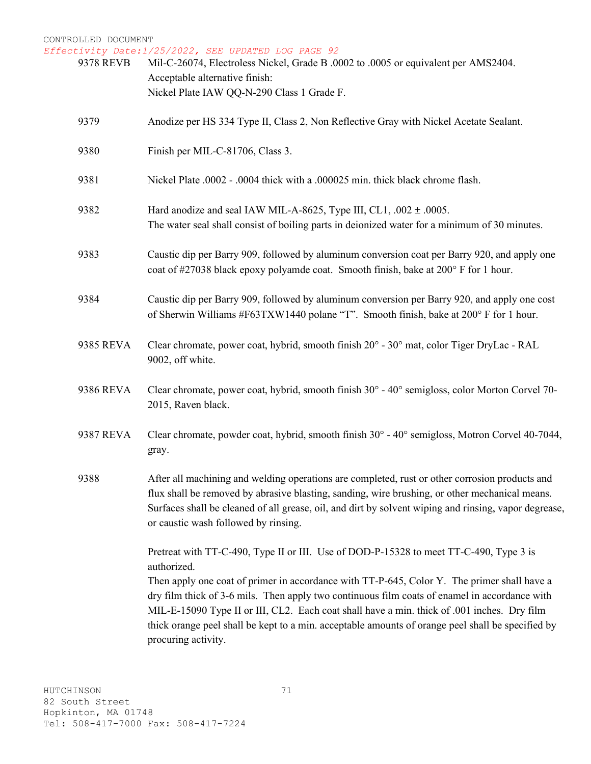| 9378 REVB | Mil-C-26074, Electroless Nickel, Grade B .0002 to .0005 or equivalent per AMS2404.<br>Acceptable alternative finish:<br>Nickel Plate IAW QQ-N-290 Class 1 Grade F.                                                                                                                                                                                                                                                                                                                                                               |
|-----------|----------------------------------------------------------------------------------------------------------------------------------------------------------------------------------------------------------------------------------------------------------------------------------------------------------------------------------------------------------------------------------------------------------------------------------------------------------------------------------------------------------------------------------|
| 9379      | Anodize per HS 334 Type II, Class 2, Non Reflective Gray with Nickel Acetate Sealant.                                                                                                                                                                                                                                                                                                                                                                                                                                            |
| 9380      | Finish per MIL-C-81706, Class 3.                                                                                                                                                                                                                                                                                                                                                                                                                                                                                                 |
| 9381      | Nickel Plate .0002 - .0004 thick with a .000025 min. thick black chrome flash.                                                                                                                                                                                                                                                                                                                                                                                                                                                   |
| 9382      | Hard anodize and seal IAW MIL-A-8625, Type III, CL1, $.002 \pm .0005$ .<br>The water seal shall consist of boiling parts in deionized water for a minimum of 30 minutes.                                                                                                                                                                                                                                                                                                                                                         |
| 9383      | Caustic dip per Barry 909, followed by aluminum conversion coat per Barry 920, and apply one<br>coat of #27038 black epoxy polyamde coat. Smooth finish, bake at 200° F for 1 hour.                                                                                                                                                                                                                                                                                                                                              |
| 9384      | Caustic dip per Barry 909, followed by aluminum conversion per Barry 920, and apply one cost<br>of Sherwin Williams #F63TXW1440 polane "T". Smooth finish, bake at 200° F for 1 hour.                                                                                                                                                                                                                                                                                                                                            |
| 9385 REVA | Clear chromate, power coat, hybrid, smooth finish 20° - 30° mat, color Tiger DryLac - RAL<br>9002, off white.                                                                                                                                                                                                                                                                                                                                                                                                                    |
| 9386 REVA | Clear chromate, power coat, hybrid, smooth finish $30^{\circ}$ - $40^{\circ}$ semigloss, color Morton Corvel 70-<br>2015, Raven black.                                                                                                                                                                                                                                                                                                                                                                                           |
| 9387 REVA | Clear chromate, powder coat, hybrid, smooth finish $30^{\circ}$ - $40^{\circ}$ semigloss, Motron Corvel 40-7044,<br>gray.                                                                                                                                                                                                                                                                                                                                                                                                        |
| 9388      | After all machining and welding operations are completed, rust or other corrosion products and<br>flux shall be removed by abrasive blasting, sanding, wire brushing, or other mechanical means.<br>Surfaces shall be cleaned of all grease, oil, and dirt by solvent wiping and rinsing, vapor degrease,<br>or caustic wash followed by rinsing.                                                                                                                                                                                |
|           | Pretreat with TT-C-490, Type II or III. Use of DOD-P-15328 to meet TT-C-490, Type 3 is<br>authorized.<br>Then apply one coat of primer in accordance with TT-P-645, Color Y. The primer shall have a<br>dry film thick of 3-6 mils. Then apply two continuous film coats of enamel in accordance with<br>MIL-E-15090 Type II or III, CL2. Each coat shall have a min. thick of .001 inches. Dry film<br>thick orange peel shall be kept to a min. acceptable amounts of orange peel shall be specified by<br>procuring activity. |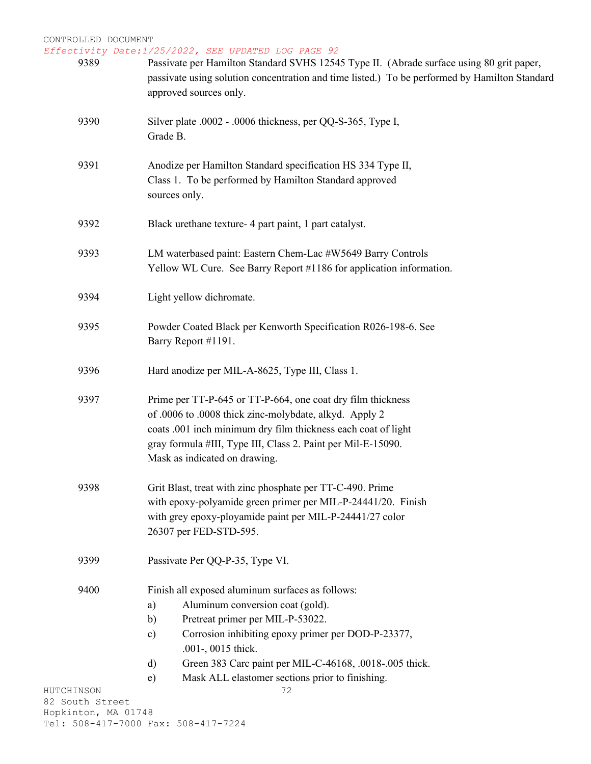| 9389                          | Passivate per Hamilton Standard SVHS 12545 Type II. (Abrade surface using 80 grit paper,<br>passivate using solution concentration and time listed.) To be performed by Hamilton Standard<br>approved sources only.                                                                                |
|-------------------------------|----------------------------------------------------------------------------------------------------------------------------------------------------------------------------------------------------------------------------------------------------------------------------------------------------|
| 9390                          | Silver plate .0002 - .0006 thickness, per QQ-S-365, Type I,<br>Grade B.                                                                                                                                                                                                                            |
| 9391                          | Anodize per Hamilton Standard specification HS 334 Type II,<br>Class 1. To be performed by Hamilton Standard approved<br>sources only.                                                                                                                                                             |
| 9392                          | Black urethane texture- 4 part paint, 1 part catalyst.                                                                                                                                                                                                                                             |
| 9393                          | LM waterbased paint: Eastern Chem-Lac #W5649 Barry Controls<br>Yellow WL Cure. See Barry Report #1186 for application information.                                                                                                                                                                 |
| 9394                          | Light yellow dichromate.                                                                                                                                                                                                                                                                           |
| 9395                          | Powder Coated Black per Kenworth Specification R026-198-6. See<br>Barry Report #1191.                                                                                                                                                                                                              |
| 9396                          | Hard anodize per MIL-A-8625, Type III, Class 1.                                                                                                                                                                                                                                                    |
| 9397                          | Prime per TT-P-645 or TT-P-664, one coat dry film thickness<br>of .0006 to .0008 thick zinc-molybdate, alkyd. Apply 2<br>coats .001 inch minimum dry film thickness each coat of light<br>gray formula #III, Type III, Class 2. Paint per Mil-E-15090.<br>Mask as indicated on drawing.            |
| 9398                          | Grit Blast, treat with zinc phosphate per TT-C-490. Prime<br>with epoxy-polyamide green primer per MIL-P-24441/20. Finish<br>with grey epoxy-ployamide paint per MIL-P-24441/27 color<br>26307 per FED-STD-595.                                                                                    |
| 9399                          | Passivate Per QQ-P-35, Type VI.                                                                                                                                                                                                                                                                    |
| 9400                          | Finish all exposed aluminum surfaces as follows:<br>Aluminum conversion coat (gold).<br>a)<br>Pretreat primer per MIL-P-53022.<br>b)<br>Corrosion inhibiting epoxy primer per DOD-P-23377,<br>$\mathbf{c})$<br>.001-, 0015 thick.<br>Green 383 Carc paint per MIL-C-46168, .0018-.005 thick.<br>d) |
|                               | Mask ALL elastomer sections prior to finishing.<br>e)                                                                                                                                                                                                                                              |
| HUTCHINSON<br>82 South Street | 72                                                                                                                                                                                                                                                                                                 |
| Hopkinton, MA 01748           | Tel: 508-417-7000 Fax: 508-417-7224                                                                                                                                                                                                                                                                |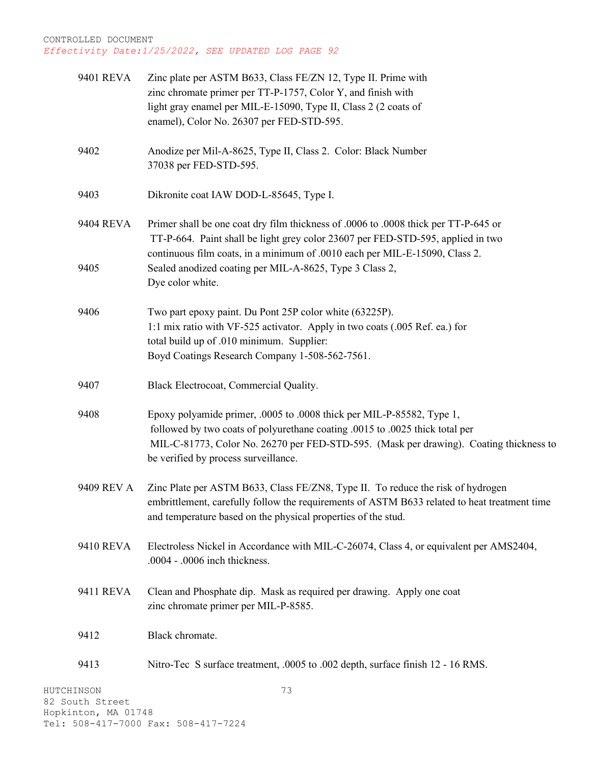| 9401 REVA                     | Zinc plate per ASTM B633, Class FE/ZN 12, Type II. Prime with<br>zinc chromate primer per TT-P-1757, Color Y, and finish with<br>light gray enamel per MIL-E-15090, Type II, Class 2 (2 coats of<br>enamel), Color No. 26307 per FED-STD-595.                                           |
|-------------------------------|-----------------------------------------------------------------------------------------------------------------------------------------------------------------------------------------------------------------------------------------------------------------------------------------|
| 9402                          | Anodize per Mil-A-8625, Type II, Class 2. Color: Black Number<br>37038 per FED-STD-595.                                                                                                                                                                                                 |
| 9403                          | Dikronite coat IAW DOD-L-85645, Type I.                                                                                                                                                                                                                                                 |
| 9404 REVA                     | Primer shall be one coat dry film thickness of .0006 to .0008 thick per TT-P-645 or<br>TT-P-664. Paint shall be light grey color 23607 per FED-STD-595, applied in two<br>continuous film coats, in a minimum of .0010 each per MIL-E-15090, Class 2.                                   |
| 9405                          | Sealed anodized coating per MIL-A-8625, Type 3 Class 2,<br>Dye color white.                                                                                                                                                                                                             |
| 9406                          | Two part epoxy paint. Du Pont 25P color white (63225P).<br>1:1 mix ratio with VF-525 activator. Apply in two coats (.005 Ref. ea.) for<br>total build up of .010 minimum. Supplier:<br>Boyd Coatings Research Company 1-508-562-7561.                                                   |
| 9407                          | Black Electrocoat, Commercial Quality.                                                                                                                                                                                                                                                  |
| 9408                          | Epoxy polyamide primer, .0005 to .0008 thick per MIL-P-85582, Type 1,<br>followed by two coats of polyurethane coating .0015 to .0025 thick total per<br>MIL-C-81773, Color No. 26270 per FED-STD-595. (Mask per drawing). Coating thickness to<br>be verified by process surveillance. |
| 9409 REV A                    | Zinc Plate per ASTM B633, Class FE/ZN8, Type II. To reduce the risk of hydrogen<br>embrittlement, carefully follow the requirements of ASTM B633 related to heat treatment time<br>and temperature based on the physical properties of the stud.                                        |
| 9410 REVA                     | Electroless Nickel in Accordance with MIL-C-26074, Class 4, or equivalent per AMS2404,<br>.0004 - .0006 inch thickness.                                                                                                                                                                 |
| 9411 REVA                     | Clean and Phosphate dip. Mask as required per drawing. Apply one coat<br>zinc chromate primer per MIL-P-8585.                                                                                                                                                                           |
| 9412                          | Black chromate.                                                                                                                                                                                                                                                                         |
| 9413                          | Nitro-Tec S surface treatment, .0005 to .002 depth, surface finish 12 - 16 RMS.                                                                                                                                                                                                         |
| HUTCHINSON<br>82 South Street | 73                                                                                                                                                                                                                                                                                      |

Hopkinton, MA 01748 Tel: 508-417-7000 Fax: 508-417-7224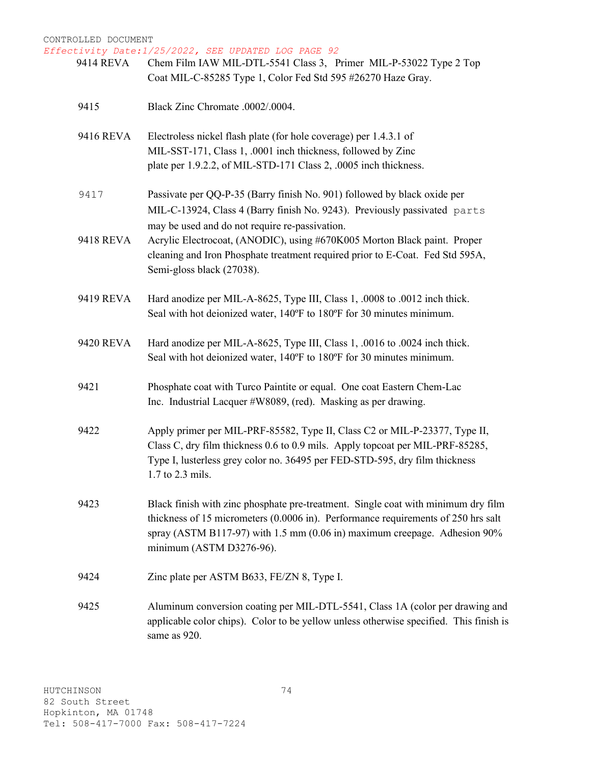*Effectivity Date:1/25/2022, SEE UPDATED LOG PAGE 92*

- 9414 REVA Chem Film IAW MIL-DTL-5541 Class 3, Primer MIL-P-53022 Type 2 Top Coat MIL-C-85285 Type 1, Color Fed Std 595 #26270 Haze Gray.
- 9415 Black Zinc Chromate .0002/.0004.
- 9416 REVA Electroless nickel flash plate (for hole coverage) per 1.4.3.1 of MIL-SST-171, Class 1, .0001 inch thickness, followed by Zinc plate per 1.9.2.2, of MIL-STD-171 Class 2, .0005 inch thickness.
- 9417 Passivate per QQ-P-35 (Barry finish No. 901) followed by black oxide per MIL-C-13924, Class 4 (Barry finish No. 9243). Previously passivated parts may be used and do not require re-passivation.
- 9418 REVA Acrylic Electrocoat, (ANODIC), using #670K005 Morton Black paint. Proper cleaning and Iron Phosphate treatment required prior to E-Coat. Fed Std 595A, Semi-gloss black (27038).
- 9419 REVA Hard anodize per MIL-A-8625, Type III, Class 1, .0008 to .0012 inch thick. Seal with hot deionized water, 140ºF to 180ºF for 30 minutes minimum.
- 9420 REVA Hard anodize per MIL-A-8625, Type III, Class 1, .0016 to .0024 inch thick. Seal with hot deionized water, 140ºF to 180ºF for 30 minutes minimum.
- 9421 Phosphate coat with Turco Paintite or equal. One coat Eastern Chem-Lac Inc. Industrial Lacquer #W8089, (red). Masking as per drawing.
- 9422 Apply primer per MIL-PRF-85582, Type II, Class C2 or MIL-P-23377, Type II, Class C, dry film thickness 0.6 to 0.9 mils. Apply topcoat per MIL-PRF-85285, Type I, lusterless grey color no. 36495 per FED-STD-595, dry film thickness 1.7 to 2.3 mils.
- 9423 Black finish with zinc phosphate pre-treatment. Single coat with minimum dry film thickness of 15 micrometers (0.0006 in). Performance requirements of 250 hrs salt spray (ASTM B117-97) with 1.5 mm (0.06 in) maximum creepage. Adhesion 90% minimum (ASTM D3276-96).
- 9424 Zinc plate per ASTM B633, FE/ZN 8, Type I.
- 9425 Aluminum conversion coating per MIL-DTL-5541, Class 1A (color per drawing and applicable color chips). Color to be yellow unless otherwise specified. This finish is same as 920.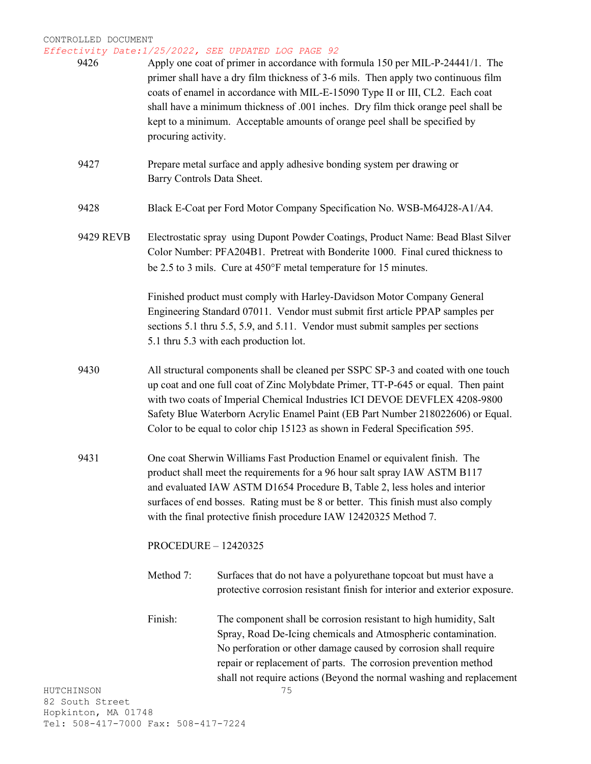*Effectivity Date:1/25/2022, SEE UPDATED LOG PAGE 92*

| 9426                                | procuring activity. | Apply one coat of primer in accordance with formula 150 per MIL-P-24441/1. The<br>primer shall have a dry film thickness of 3-6 mils. Then apply two continuous film<br>coats of enamel in accordance with MIL-E-15090 Type II or III, CL2. Each coat<br>shall have a minimum thickness of .001 inches. Dry film thick orange peel shall be<br>kept to a minimum. Acceptable amounts of orange peel shall be specified by |
|-------------------------------------|---------------------|---------------------------------------------------------------------------------------------------------------------------------------------------------------------------------------------------------------------------------------------------------------------------------------------------------------------------------------------------------------------------------------------------------------------------|
| 9427                                |                     | Prepare metal surface and apply adhesive bonding system per drawing or<br>Barry Controls Data Sheet.                                                                                                                                                                                                                                                                                                                      |
| 9428                                |                     | Black E-Coat per Ford Motor Company Specification No. WSB-M64J28-A1/A4.                                                                                                                                                                                                                                                                                                                                                   |
| 9429 REVB                           |                     | Electrostatic spray using Dupont Powder Coatings, Product Name: Bead Blast Silver<br>Color Number: PFA204B1. Pretreat with Bonderite 1000. Final cured thickness to<br>be 2.5 to 3 mils. Cure at 450°F metal temperature for 15 minutes.                                                                                                                                                                                  |
|                                     |                     | Finished product must comply with Harley-Davidson Motor Company General<br>Engineering Standard 07011. Vendor must submit first article PPAP samples per<br>sections 5.1 thru 5.5, 5.9, and 5.11. Vendor must submit samples per sections<br>5.1 thru 5.3 with each production lot.                                                                                                                                       |
| 9430                                |                     | All structural components shall be cleaned per SSPC SP-3 and coated with one touch<br>up coat and one full coat of Zinc Molybdate Primer, TT-P-645 or equal. Then paint<br>with two coats of Imperial Chemical Industries ICI DEVOE DEVFLEX 4208-9800<br>Safety Blue Waterborn Acrylic Enamel Paint (EB Part Number 218022606) or Equal.<br>Color to be equal to color chip 15123 as shown in Federal Specification 595.  |
| 9431                                |                     | One coat Sherwin Williams Fast Production Enamel or equivalent finish. The<br>product shall meet the requirements for a 96 hour salt spray IAW ASTM B117<br>and evaluated IAW ASTM D1654 Procedure B, Table 2, less holes and interior<br>surfaces of end bosses. Rating must be 8 or better. This finish must also comply<br>with the final protective finish procedure IAW 12420325 Method 7.                           |
|                                     |                     | <b>PROCEDURE - 12420325</b>                                                                                                                                                                                                                                                                                                                                                                                               |
|                                     | Method 7:           | Surfaces that do not have a polyurethane topcoat but must have a<br>protective corrosion resistant finish for interior and exterior exposure.                                                                                                                                                                                                                                                                             |
|                                     | Finish:             | The component shall be corrosion resistant to high humidity, Salt<br>Spray, Road De-Icing chemicals and Atmospheric contamination.<br>No perforation or other damage caused by corrosion shall require<br>repair or replacement of parts. The corrosion prevention method<br>shall not require actions (Beyond the normal washing and replacement                                                                         |
| HUTCHINSON<br>82 South Street       |                     | 75                                                                                                                                                                                                                                                                                                                                                                                                                        |
| Hopkinton, MA 01748                 |                     |                                                                                                                                                                                                                                                                                                                                                                                                                           |
| Tel: 508-417-7000 Fax: 508-417-7224 |                     |                                                                                                                                                                                                                                                                                                                                                                                                                           |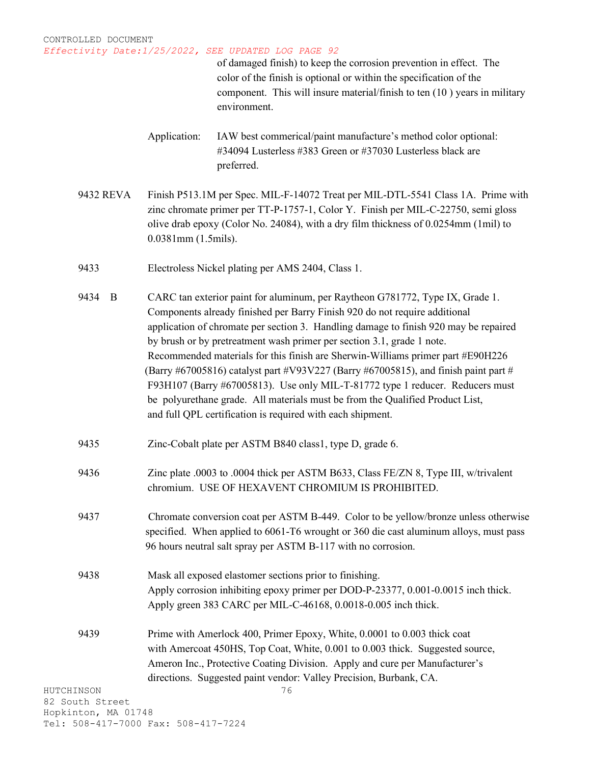of damaged finish) to keep the corrosion prevention in effect. The color of the finish is optional or within the specification of the component. This will insure material/finish to ten (10 ) years in military environment.

- Application: IAW best commerical/paint manufacture's method color optional: #34094 Lusterless #383 Green or #37030 Lusterless black are preferred.
- 9432 REVA Finish P513.1M per Spec. MIL-F-14072 Treat per MIL-DTL-5541 Class 1A. Prime with zinc chromate primer per TT-P-1757-1, Color Y. Finish per MIL-C-22750, semi gloss olive drab epoxy (Color No. 24084), with a dry film thickness of 0.0254mm (1mil) to 0.0381mm (1.5mils).
- 9433 Electroless Nickel plating per AMS 2404, Class 1.
- 9434 B CARC tan exterior paint for aluminum, per Raytheon G781772, Type IX, Grade 1. Components already finished per Barry Finish 920 do not require additional application of chromate per section 3. Handling damage to finish 920 may be repaired by brush or by pretreatment wash primer per section 3.1, grade 1 note. Recommended materials for this finish are Sherwin-Williams primer part #E90H226 (Barry #67005816) catalyst part #V93V227 (Barry #67005815), and finish paint part # F93H107 (Barry #67005813). Use only MIL-T-81772 type 1 reducer. Reducers must be polyurethane grade. All materials must be from the Qualified Product List, and full QPL certification is required with each shipment.
- 9435 Zinc-Cobalt plate per ASTM B840 class1, type D, grade 6.
- 9436 Zinc plate .0003 to .0004 thick per ASTM B633, Class FE/ZN 8, Type III, w/trivalent chromium. USE OF HEXAVENT CHROMIUM IS PROHIBITED.
- 9437 Chromate conversion coat per ASTM B-449. Color to be yellow/bronze unless otherwise specified. When applied to 6061-T6 wrought or 360 die cast aluminum alloys, must pass 96 hours neutral salt spray per ASTM B-117 with no corrosion.
- 9438 Mask all exposed elastomer sections prior to finishing. Apply corrosion inhibiting epoxy primer per DOD-P-23377, 0.001-0.0015 inch thick. Apply green 383 CARC per MIL-C-46168, 0.0018-0.005 inch thick.
- 9439 Prime with Amerlock 400, Primer Epoxy, White, 0.0001 to 0.003 thick coat with Amercoat 450HS, Top Coat, White, 0.001 to 0.003 thick. Suggested source, Ameron Inc., Protective Coating Division. Apply and cure per Manufacturer's directions. Suggested paint vendor: Valley Precision, Burbank, CA.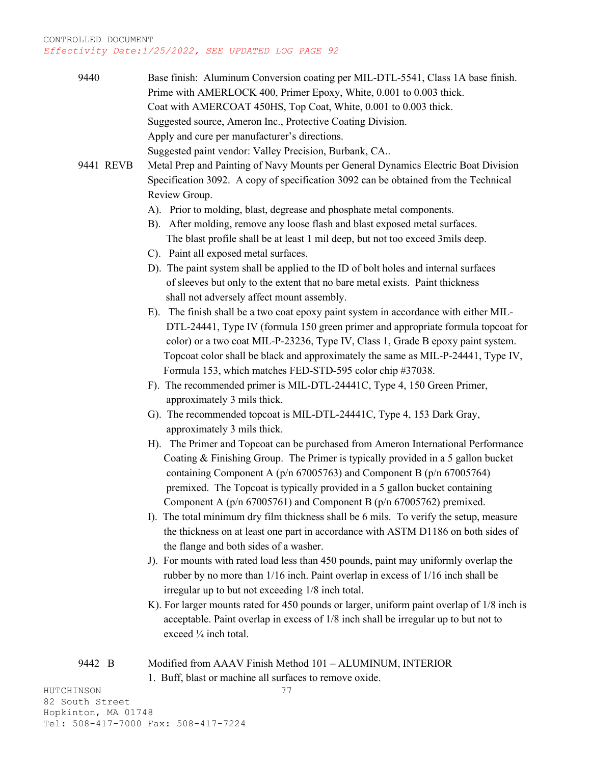| 9440      | Base finish: Aluminum Conversion coating per MIL-DTL-5541, Class 1A base finish.           |
|-----------|--------------------------------------------------------------------------------------------|
|           | Prime with AMERLOCK 400, Primer Epoxy, White, 0.001 to 0.003 thick.                        |
|           | Coat with AMERCOAT 450HS, Top Coat, White, 0.001 to 0.003 thick.                           |
|           | Suggested source, Ameron Inc., Protective Coating Division.                                |
|           | Apply and cure per manufacturer's directions.                                              |
|           | Suggested paint vendor: Valley Precision, Burbank, CA                                      |
| 9441 REVB | Metal Prep and Painting of Navy Mounts per General Dynamics Electric Boat Division         |
|           | Specification 3092. A copy of specification 3092 can be obtained from the Technical        |
|           | Review Group.                                                                              |
|           | A). Prior to molding, blast, degrease and phosphate metal components.                      |
|           |                                                                                            |
|           | B). After molding, remove any loose flash and blast exposed metal surfaces.                |
|           | The blast profile shall be at least 1 mil deep, but not too exceed 3 mils deep.            |
|           | C). Paint all exposed metal surfaces.                                                      |
|           | D). The paint system shall be applied to the ID of bolt holes and internal surfaces        |
|           | of sleeves but only to the extent that no bare metal exists. Paint thickness               |
|           | shall not adversely affect mount assembly.                                                 |
|           | E). The finish shall be a two coat epoxy paint system in accordance with either MIL-       |
|           | DTL-24441, Type IV (formula 150 green primer and appropriate formula topcoat for           |
|           | color) or a two coat MIL-P-23236, Type IV, Class 1, Grade B epoxy paint system.            |
|           | Topcoat color shall be black and approximately the same as MIL-P-24441, Type IV,           |
|           | Formula 153, which matches FED-STD-595 color chip #37038.                                  |
|           | F). The recommended primer is MIL-DTL-24441C, Type 4, 150 Green Primer,                    |
|           | approximately 3 mils thick.                                                                |
|           | G). The recommended topcoat is MIL-DTL-24441C, Type 4, 153 Dark Gray,                      |
|           | approximately 3 mils thick.                                                                |
|           | H). The Primer and Topcoat can be purchased from Ameron International Performance          |
|           | Coating & Finishing Group. The Primer is typically provided in a 5 gallon bucket           |
|           | containing Component A ( $p/n$ 67005763) and Component B ( $p/n$ 67005764)                 |
|           | premixed. The Topcoat is typically provided in a 5 gallon bucket containing                |
|           | Component A ( $p/n$ 67005761) and Component B ( $p/n$ 67005762) premixed.                  |
|           | I). The total minimum dry film thickness shall be 6 mils. To verify the setup, measure     |
|           | the thickness on at least one part in accordance with ASTM D1186 on both sides of          |
|           | the flange and both sides of a washer.                                                     |
|           | J). For mounts with rated load less than 450 pounds, paint may uniformly overlap the       |
|           | rubber by no more than 1/16 inch. Paint overlap in excess of 1/16 inch shall be            |
|           | irregular up to but not exceeding 1/8 inch total.                                          |
|           | K). For larger mounts rated for 450 pounds or larger, uniform paint overlap of 1/8 inch is |
|           | acceptable. Paint overlap in excess of 1/8 inch shall be irregular up to but not to        |
|           | exceed 1/4 inch total.                                                                     |
|           |                                                                                            |
| 9442 B    | Modified from AAAV Finish Method 101 - ALUMINUM, INTERIOR                                  |
|           | 1. Buff, blast or machine all surfaces to remove oxide.                                    |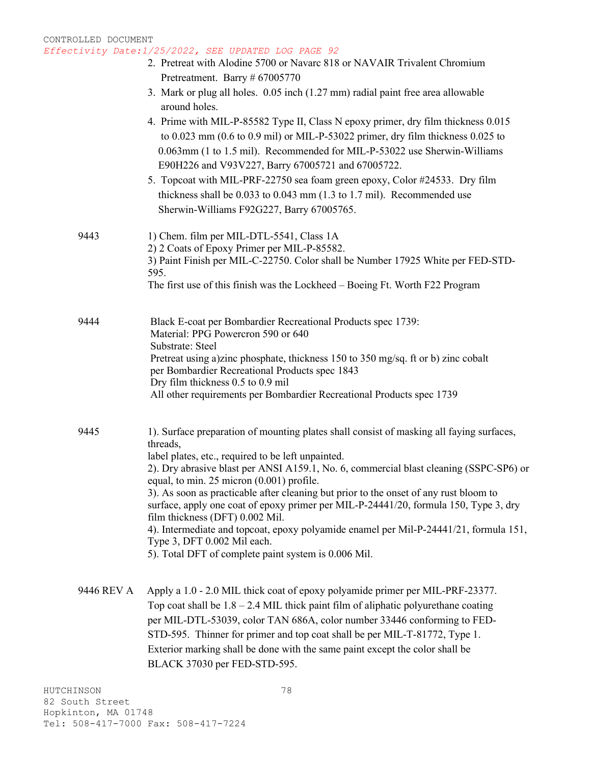- 2. Pretreat with Alodine 5700 or Navarc 818 or NAVAIR Trivalent Chromium Pretreatment. Barry # 67005770
- 3. Mark or plug all holes. 0.05 inch (1.27 mm) radial paint free area allowable around holes.
- 4. Prime with MIL-P-85582 Type II, Class N epoxy primer, dry film thickness 0.015 to 0.023 mm (0.6 to 0.9 mil) or MIL-P-53022 primer, dry film thickness 0.025 to 0.063mm (1 to 1.5 mil). Recommended for MIL-P-53022 use Sherwin-Williams E90H226 and V93V227, Barry 67005721 and 67005722.
- 5. Topcoat with MIL-PRF-22750 sea foam green epoxy, Color #24533. Dry film thickness shall be 0.033 to 0.043 mm (1.3 to 1.7 mil). Recommended use Sherwin-Williams F92G227, Barry 67005765.

| 9443 | 1) Chem. film per MIL-DTL-5541, Class 1A<br>2) 2 Coats of Epoxy Primer per MIL-P-85582.                                                                                 |  |  |  |
|------|-------------------------------------------------------------------------------------------------------------------------------------------------------------------------|--|--|--|
|      | 3) Paint Finish per MIL-C-22750. Color shall be Number 17925 White per FED-STD-<br>595.<br>The first use of this finish was the Lockheed – Boeing Ft. Worth F22 Program |  |  |  |
| 9444 | Black E-coat per Bombardier Recreational Products spec 1739:<br>Material: PPG Powercron 590 or 640                                                                      |  |  |  |

Substrate: Steel

Pretreat using a)zinc phosphate, thickness 150 to 350 mg/sq. ft or b) zinc cobalt per Bombardier Recreational Products spec 1843 Dry film thickness 0.5 to 0.9 mil

- All other requirements per Bombardier Recreational Products spec 1739
- 9445 1). Surface preparation of mounting plates shall consist of masking all faying surfaces, threads, label plates, etc., required to be left unpainted. 2). Dry abrasive blast per ANSI A159.1, No. 6, commercial blast cleaning (SSPC-SP6) or equal, to min. 25 micron (0.001) profile. 3). As soon as practicable after cleaning but prior to the onset of any rust bloom to surface, apply one coat of epoxy primer per MIL-P-24441/20, formula 150, Type 3, dry film thickness (DFT) 0.002 Mil.

4). Intermediate and topcoat, epoxy polyamide enamel per Mil-P-24441/21, formula 151, Type 3, DFT 0.002 Mil each.

5). Total DFT of complete paint system is 0.006 Mil.

9446 REV A Apply a 1.0 - 2.0 MIL thick coat of epoxy polyamide primer per MIL-PRF-23377. Top coat shall be  $1.8 - 2.4$  MIL thick paint film of aliphatic polyurethane coating per MIL-DTL-53039, color TAN 686A, color number 33446 conforming to FED-STD-595. Thinner for primer and top coat shall be per MIL-T-81772, Type 1. Exterior marking shall be done with the same paint except the color shall be BLACK 37030 per FED-STD-595.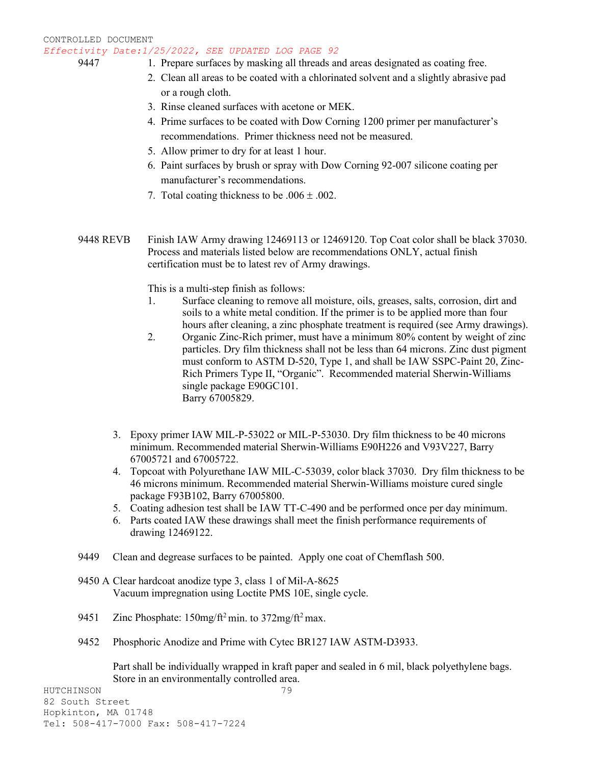- 
- 9447 1. Prepare surfaces by masking all threads and areas designated as coating free.
	- 2. Clean all areas to be coated with a chlorinated solvent and a slightly abrasive pad or a rough cloth.
	- 3. Rinse cleaned surfaces with acetone or MEK.
	- 4. Prime surfaces to be coated with Dow Corning 1200 primer per manufacturer's recommendations. Primer thickness need not be measured.
	- 5. Allow primer to dry for at least 1 hour.
	- 6. Paint surfaces by brush or spray with Dow Corning 92-007 silicone coating per manufacturer's recommendations.
	- 7. Total coating thickness to be  $.006 \pm .002$ .
- 9448 REVB Finish IAW Army drawing 12469113 or 12469120. Top Coat color shall be black 37030. Process and materials listed below are recommendations ONLY, actual finish certification must be to latest rev of Army drawings.

This is a multi-step finish as follows:

- 1. Surface cleaning to remove all moisture, oils, greases, salts, corrosion, dirt and soils to a white metal condition. If the primer is to be applied more than four hours after cleaning, a zinc phosphate treatment is required (see Army drawings).
- 2. Organic Zinc-Rich primer, must have a minimum 80% content by weight of zinc particles. Dry film thickness shall not be less than 64 microns. Zinc dust pigment must conform to ASTM D-520, Type 1, and shall be IAW SSPC-Paint 20, Zinc-Rich Primers Type II, "Organic". Recommended material Sherwin-Williams single package E90GC101. Barry 67005829.
- 3. Epoxy primer IAW MIL-P-53022 or MIL-P-53030. Dry film thickness to be 40 microns minimum. Recommended material Sherwin-Williams E90H226 and V93V227, Barry 67005721 and 67005722.
- 4. Topcoat with Polyurethane IAW MIL-C-53039, color black 37030. Dry film thickness to be 46 microns minimum. Recommended material Sherwin-Williams moisture cured single package F93B102, Barry 67005800.
- 5. Coating adhesion test shall be IAW TT-C-490 and be performed once per day minimum.
- 6. Parts coated IAW these drawings shall meet the finish performance requirements of drawing 12469122.
- 9449 Clean and degrease surfaces to be painted. Apply one coat of Chemflash 500.
- 9450 A Clear hardcoat anodize type 3, class 1 of Mil-A-8625 Vacuum impregnation using Loctite PMS 10E, single cycle.
- 9451 Zinc Phosphate:  $150$ mg/ft<sup>2</sup> min. to  $372$ mg/ft<sup>2</sup> max.
- 9452 Phosphoric Anodize and Prime with Cytec BR127 IAW ASTM-D3933.

Part shall be individually wrapped in kraft paper and sealed in 6 mil, black polyethylene bags. Store in an environmentally controlled area.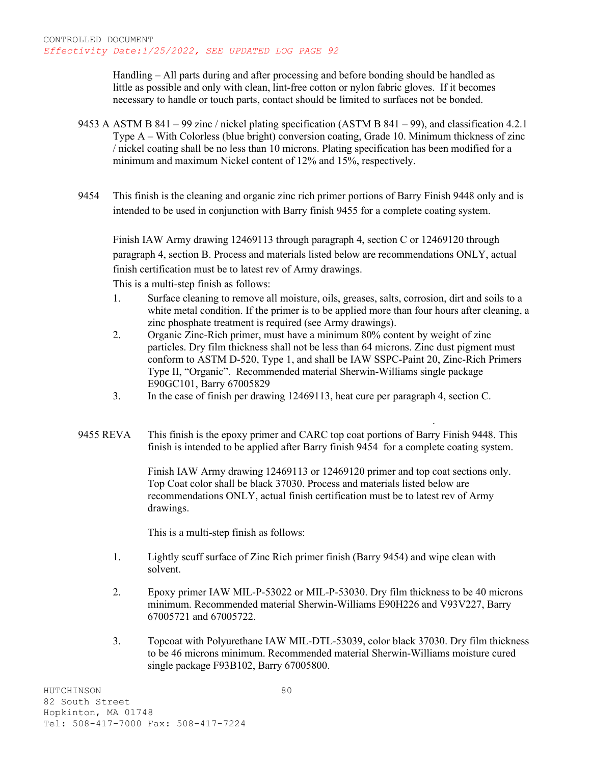Handling – All parts during and after processing and before bonding should be handled as little as possible and only with clean, lint-free cotton or nylon fabric gloves. If it becomes necessary to handle or touch parts, contact should be limited to surfaces not be bonded.

- 9453 A ASTM B 841 99 zinc / nickel plating specification (ASTM B 841 99), and classification 4.2.1 Type A – With Colorless (blue bright) conversion coating, Grade 10. Minimum thickness of zinc / nickel coating shall be no less than 10 microns. Plating specification has been modified for a minimum and maximum Nickel content of 12% and 15%, respectively.
- 9454 This finish is the cleaning and organic zinc rich primer portions of Barry Finish 9448 only and is intended to be used in conjunction with Barry finish 9455 for a complete coating system.

Finish IAW Army drawing 12469113 through paragraph 4, section C or 12469120 through paragraph 4, section B. Process and materials listed below are recommendations ONLY, actual finish certification must be to latest rev of Army drawings.

This is a multi-step finish as follows:

- 1. Surface cleaning to remove all moisture, oils, greases, salts, corrosion, dirt and soils to a white metal condition. If the primer is to be applied more than four hours after cleaning, a zinc phosphate treatment is required (see Army drawings).
- 2. Organic Zinc-Rich primer, must have a minimum 80% content by weight of zinc particles. Dry film thickness shall not be less than 64 microns. Zinc dust pigment must conform to ASTM D-520, Type 1, and shall be IAW SSPC-Paint 20, Zinc-Rich Primers Type II, "Organic". Recommended material Sherwin-Williams single package E90GC101, Barry 67005829
- 3. In the case of finish per drawing 12469113, heat cure per paragraph 4, section C.
- 9455 REVA This finish is the epoxy primer and CARC top coat portions of Barry Finish 9448. This finish is intended to be applied after Barry finish 9454 for a complete coating system.

Finish IAW Army drawing 12469113 or 12469120 primer and top coat sections only. Top Coat color shall be black 37030. Process and materials listed below are recommendations ONLY, actual finish certification must be to latest rev of Army drawings.

.

This is a multi-step finish as follows:

- 1. Lightly scuff surface of Zinc Rich primer finish (Barry 9454) and wipe clean with solvent.
- 2. Epoxy primer IAW MIL-P-53022 or MIL-P-53030. Dry film thickness to be 40 microns minimum. Recommended material Sherwin-Williams E90H226 and V93V227, Barry 67005721 and 67005722.
- 3. Topcoat with Polyurethane IAW MIL-DTL-53039, color black 37030. Dry film thickness to be 46 microns minimum. Recommended material Sherwin-Williams moisture cured single package F93B102, Barry 67005800.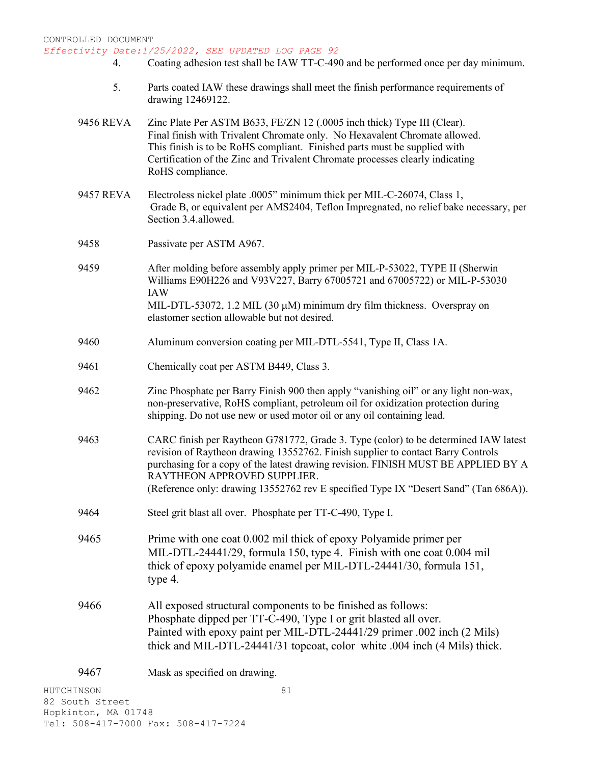- 4. Coating adhesion test shall be IAW TT-C-490 and be performed once per day minimum.
- 5. Parts coated IAW these drawings shall meet the finish performance requirements of drawing 12469122.
- 9456 REVA Zinc Plate Per ASTM B633, FE/ZN 12 (.0005 inch thick) Type III (Clear). Final finish with Trivalent Chromate only. No Hexavalent Chromate allowed. This finish is to be RoHS compliant. Finished parts must be supplied with Certification of the Zinc and Trivalent Chromate processes clearly indicating RoHS compliance.
- 9457 REVA Electroless nickel plate .0005" minimum thick per MIL-C-26074, Class 1, Grade B, or equivalent per AMS2404, Teflon Impregnated, no relief bake necessary, per Section 3.4.allowed.
- 9458 Passivate per ASTM A967.
- 9459 After molding before assembly apply primer per MIL-P-53022, TYPE II (Sherwin Williams E90H226 and V93V227, Barry 67005721 and 67005722) or MIL-P-53030 IAW MIL-DTL-53072, 1.2 MIL (30  $\mu$ M) minimum dry film thickness. Overspray on
- 9460 Aluminum conversion coating per MIL-DTL-5541, Type II, Class 1A.

elastomer section allowable but not desired.

- 9461 Chemically coat per ASTM B449, Class 3.
- 9462 Zinc Phosphate per Barry Finish 900 then apply "vanishing oil" or any light non-wax, non-preservative, RoHS compliant, petroleum oil for oxidization protection during shipping. Do not use new or used motor oil or any oil containing lead.
- 9463 CARC finish per Raytheon G781772, Grade 3. Type (color) to be determined IAW latest revision of Raytheon drawing 13552762. Finish supplier to contact Barry Controls purchasing for a copy of the latest drawing revision. FINISH MUST BE APPLIED BY A RAYTHEON APPROVED SUPPLIER. (Reference only: drawing 13552762 rev E specified Type IX "Desert Sand" (Tan 686A)).
- 9464 Steel grit blast all over. Phosphate per TT-C-490, Type I.
- 9465 Prime with one coat 0.002 mil thick of epoxy Polyamide primer per MIL-DTL-24441/29, formula 150, type 4. Finish with one coat 0.004 mil thick of epoxy polyamide enamel per MIL-DTL-24441/30, formula 151, type 4.
- 9466 All exposed structural components to be finished as follows: Phosphate dipped per TT-C-490, Type I or grit blasted all over. Painted with epoxy paint per MIL-DTL-24441/29 primer .002 inch (2 Mils) thick and MIL-DTL-24441/31 topcoat, color white .004 inch (4 Mils) thick.

9467 Mask as specified on drawing.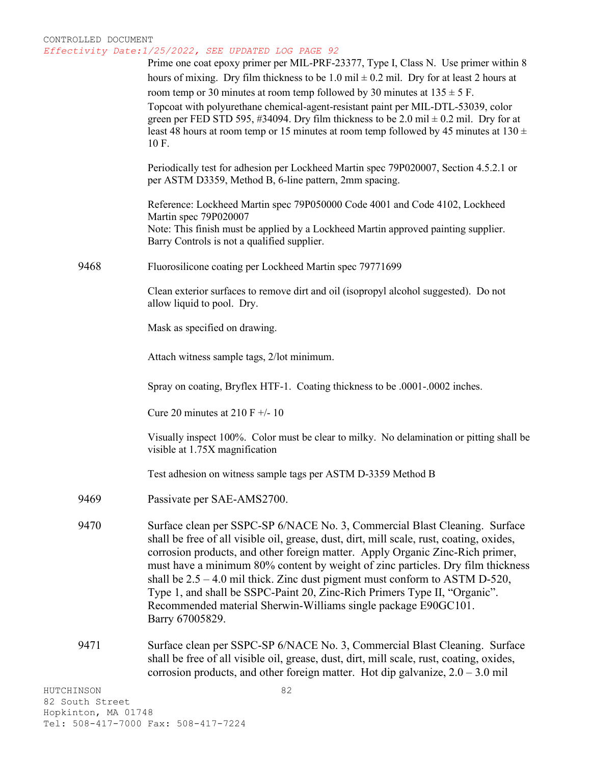|                 | Prime one coat epoxy primer per MIL-PRF-23377, Type I, Class N. Use primer within 8<br>hours of mixing. Dry film thickness to be 1.0 mil $\pm$ 0.2 mil. Dry for at least 2 hours at                                                                                                                                                                                                                                                                                                                                                                                                           |
|-----------------|-----------------------------------------------------------------------------------------------------------------------------------------------------------------------------------------------------------------------------------------------------------------------------------------------------------------------------------------------------------------------------------------------------------------------------------------------------------------------------------------------------------------------------------------------------------------------------------------------|
|                 | room temp or 30 minutes at room temp followed by 30 minutes at $135 \pm 5$ F.                                                                                                                                                                                                                                                                                                                                                                                                                                                                                                                 |
|                 | Topcoat with polyurethane chemical-agent-resistant paint per MIL-DTL-53039, color<br>green per FED STD 595, #34094. Dry film thickness to be 2.0 mil $\pm$ 0.2 mil. Dry for at<br>least 48 hours at room temp or 15 minutes at room temp followed by 45 minutes at $130 \pm$<br>10 F.                                                                                                                                                                                                                                                                                                         |
|                 | Periodically test for adhesion per Lockheed Martin spec 79P020007, Section 4.5.2.1 or<br>per ASTM D3359, Method B, 6-line pattern, 2mm spacing.                                                                                                                                                                                                                                                                                                                                                                                                                                               |
|                 | Reference: Lockheed Martin spec 79P050000 Code 4001 and Code 4102, Lockheed<br>Martin spec 79P020007<br>Note: This finish must be applied by a Lockheed Martin approved painting supplier.<br>Barry Controls is not a qualified supplier.                                                                                                                                                                                                                                                                                                                                                     |
| 9468            | Fluorosilicone coating per Lockheed Martin spec 79771699                                                                                                                                                                                                                                                                                                                                                                                                                                                                                                                                      |
|                 | Clean exterior surfaces to remove dirt and oil (isopropyl alcohol suggested). Do not<br>allow liquid to pool. Dry.                                                                                                                                                                                                                                                                                                                                                                                                                                                                            |
|                 | Mask as specified on drawing.                                                                                                                                                                                                                                                                                                                                                                                                                                                                                                                                                                 |
|                 | Attach witness sample tags, 2/lot minimum.                                                                                                                                                                                                                                                                                                                                                                                                                                                                                                                                                    |
|                 | Spray on coating, Bryflex HTF-1. Coating thickness to be .0001-.0002 inches.                                                                                                                                                                                                                                                                                                                                                                                                                                                                                                                  |
|                 | Cure 20 minutes at 210 F $+/- 10$                                                                                                                                                                                                                                                                                                                                                                                                                                                                                                                                                             |
|                 | Visually inspect 100%. Color must be clear to milky. No delamination or pitting shall be<br>visible at 1.75X magnification                                                                                                                                                                                                                                                                                                                                                                                                                                                                    |
|                 | Test adhesion on witness sample tags per ASTM D-3359 Method B                                                                                                                                                                                                                                                                                                                                                                                                                                                                                                                                 |
| 9469            | Passivate per SAE-AMS2700.                                                                                                                                                                                                                                                                                                                                                                                                                                                                                                                                                                    |
| 9470            | Surface clean per SSPC-SP 6/NACE No. 3, Commercial Blast Cleaning. Surface<br>shall be free of all visible oil, grease, dust, dirt, mill scale, rust, coating, oxides,<br>corrosion products, and other foreign matter. Apply Organic Zinc-Rich primer,<br>must have a minimum 80% content by weight of zinc particles. Dry film thickness<br>shall be $2.5 - 4.0$ mil thick. Zinc dust pigment must conform to ASTM D-520,<br>Type 1, and shall be SSPC-Paint 20, Zinc-Rich Primers Type II, "Organic".<br>Recommended material Sherwin-Williams single package E90GC101.<br>Barry 67005829. |
| 9471            | Surface clean per SSPC-SP 6/NACE No. 3, Commercial Blast Cleaning. Surface<br>shall be free of all visible oil, grease, dust, dirt, mill scale, rust, coating, oxides,<br>corrosion products, and other foreign matter. Hot dip galvanize, $2.0 - 3.0$ mil                                                                                                                                                                                                                                                                                                                                    |
| HUTCHINSON      | 82                                                                                                                                                                                                                                                                                                                                                                                                                                                                                                                                                                                            |
| 82 South Street |                                                                                                                                                                                                                                                                                                                                                                                                                                                                                                                                                                                               |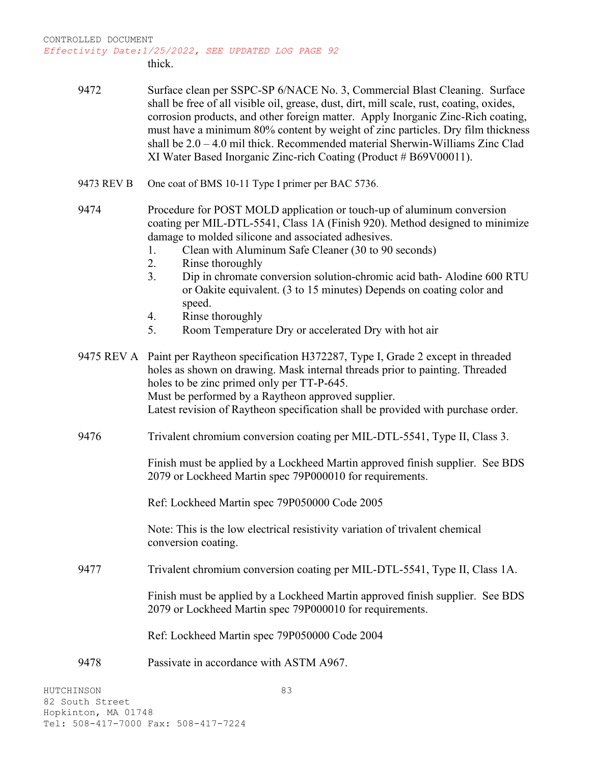thick.

| 9472 | Surface clean per SSPC-SP 6/NACE No. 3, Commercial Blast Cleaning. Surface               |
|------|------------------------------------------------------------------------------------------|
|      | shall be free of all visible oil, grease, dust, dirt, mill scale, rust, coating, oxides, |
|      | corrosion products, and other foreign matter. Apply Inorganic Zinc-Rich coating,         |
|      | must have a minimum 80% content by weight of zinc particles. Dry film thickness          |
|      | shall be $2.0 - 4.0$ mil thick. Recommended material Sherwin-Williams Zinc Clad          |
|      | XI Water Based Inorganic Zinc-rich Coating (Product # B69V00011).                        |

- 9473 REV B One coat of BMS 10-11 Type I primer per BAC 5736.
- 9474 Procedure for POST MOLD application or touch-up of aluminum conversion coating per MIL-DTL-5541, Class 1A (Finish 920). Method designed to minimize damage to molded silicone and associated adhesives.
	- 1. Clean with Aluminum Safe Cleaner (30 to 90 seconds)
	- 2. Rinse thoroughly
	- 3. Dip in chromate conversion solution-chromic acid bath- Alodine 600 RTU or Oakite equivalent. (3 to 15 minutes) Depends on coating color and speed.
	- 4. Rinse thoroughly
	- 5. Room Temperature Dry or accelerated Dry with hot air

| 9475 REV A Paint per Raytheon specification H372287, Type I, Grade 2 except in threaded |
|-----------------------------------------------------------------------------------------|
| holes as shown on drawing. Mask internal threads prior to painting. Threaded            |
| holes to be zinc primed only per TT-P-645.                                              |
| Must be performed by a Raytheon approved supplier.                                      |
| Latest revision of Raytheon specification shall be provided with purchase order.        |
|                                                                                         |

9476 Trivalent chromium conversion coating per MIL-DTL-5541, Type II, Class 3.

Finish must be applied by a Lockheed Martin approved finish supplier. See BDS 2079 or Lockheed Martin spec 79P000010 for requirements.

Ref: Lockheed Martin spec 79P050000 Code 2005

Note: This is the low electrical resistivity variation of trivalent chemical conversion coating.

9477 Trivalent chromium conversion coating per MIL-DTL-5541, Type II, Class 1A.

Finish must be applied by a Lockheed Martin approved finish supplier. See BDS 2079 or Lockheed Martin spec 79P000010 for requirements.

Ref: Lockheed Martin spec 79P050000 Code 2004

9478 Passivate in accordance with ASTM A967.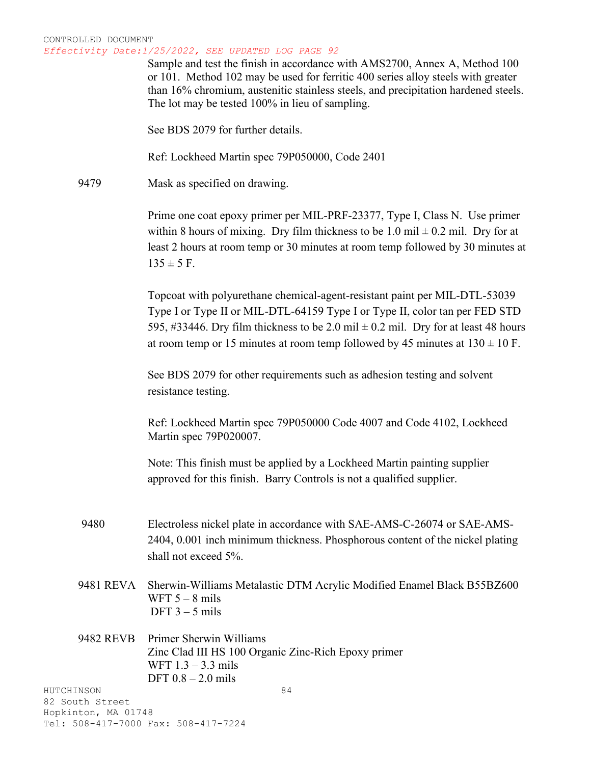Sample and test the finish in accordance with AMS2700, Annex A, Method 100 or 101. Method 102 may be used for ferritic 400 series alloy steels with greater than 16% chromium, austenitic stainless steels, and precipitation hardened steels. The lot may be tested 100% in lieu of sampling.

See BDS 2079 for further details.

Ref: Lockheed Martin spec 79P050000, Code 2401

9479 Mask as specified on drawing.

Prime one coat epoxy primer per MIL-PRF-23377, Type I, Class N. Use primer within 8 hours of mixing. Dry film thickness to be 1.0 mil  $\pm$  0.2 mil. Dry for at least 2 hours at room temp or 30 minutes at room temp followed by 30 minutes at  $135 \pm 5$  F.

Topcoat with polyurethane chemical-agent-resistant paint per MIL-DTL-53039 Type I or Type II or MIL-DTL-64159 Type I or Type II, color tan per FED STD 595, #33446. Dry film thickness to be 2.0 mil  $\pm$  0.2 mil. Dry for at least 48 hours at room temp or 15 minutes at room temp followed by 45 minutes at  $130 \pm 10$  F.

See BDS 2079 for other requirements such as adhesion testing and solvent resistance testing.

Ref: Lockheed Martin spec 79P050000 Code 4007 and Code 4102, Lockheed Martin spec 79P020007.

Note: This finish must be applied by a Lockheed Martin painting supplier approved for this finish. Barry Controls is not a qualified supplier.

- 9480 Electroless nickel plate in accordance with SAE-AMS-C-26074 or SAE-AMS-2404, 0.001 inch minimum thickness. Phosphorous content of the nickel plating shall not exceed 5%.
- 9481 REVA Sherwin-Williams Metalastic DTM Acrylic Modified Enamel Black B55BZ600 WFT  $5 - 8$  mils DFT  $3 - 5$  mils

# 9482 REVB Primer Sherwin Williams Zinc Clad III HS 100 Organic Zinc-Rich Epoxy primer WFT 1.3 – 3.3 mils DFT 0.8 – 2.0 mils

HUTCHINSON 82 South Street Hopkinton, MA 01748 Tel: 508-417-7000 Fax: 508-417-7224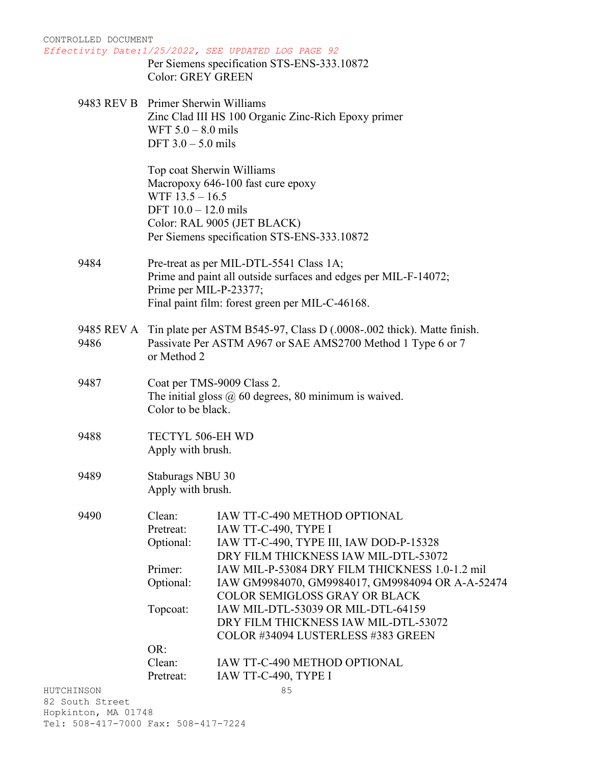| CONTROLLED DOCUMENT           |                                           | Effectivity Date:1/25/2022, SEE UPDATED LOG PAGE 92                                      |
|-------------------------------|-------------------------------------------|------------------------------------------------------------------------------------------|
|                               |                                           | Per Siemens specification STS-ENS-333.10872                                              |
|                               | <b>Color: GREY GREEN</b>                  |                                                                                          |
|                               | 9483 REV B Primer Sherwin Williams        |                                                                                          |
|                               |                                           | Zinc Clad III HS 100 Organic Zinc-Rich Epoxy primer                                      |
|                               | WFT $5.0 - 8.0$ mils                      |                                                                                          |
|                               | DFT $3.0 - 5.0$ mils                      |                                                                                          |
|                               | Top coat Sherwin Williams                 |                                                                                          |
|                               |                                           | Macropoxy 646-100 fast cure epoxy                                                        |
|                               | WTF $13.5 - 16.5$<br>DFT 10.0 - 12.0 mils |                                                                                          |
|                               |                                           | Color: RAL 9005 (JET BLACK)                                                              |
|                               |                                           | Per Siemens specification STS-ENS-333.10872                                              |
|                               |                                           |                                                                                          |
| 9484                          |                                           | Pre-treat as per MIL-DTL-5541 Class 1A;                                                  |
|                               |                                           | Prime and paint all outside surfaces and edges per MIL-F-14072;                          |
|                               | Prime per MIL-P-23377;                    |                                                                                          |
|                               |                                           | Final paint film: forest green per MIL-C-46168.                                          |
|                               |                                           | 9485 REV A Tin plate per ASTM B545-97, Class D (.0008-.002 thick). Matte finish.         |
| 9486                          |                                           | Passivate Per ASTM A967 or SAE AMS2700 Method 1 Type 6 or 7                              |
|                               | or Method 2                               |                                                                                          |
| 9487                          |                                           | Coat per TMS-9009 Class 2.                                                               |
|                               |                                           | The initial gloss $(2)$ 60 degrees, 80 minimum is waived.                                |
|                               | Color to be black.                        |                                                                                          |
| 9488                          | TECTYL 506-EH WD                          |                                                                                          |
|                               | Apply with brush.                         |                                                                                          |
| 9489                          | Staburags NBU 30                          |                                                                                          |
|                               | Apply with brush.                         |                                                                                          |
| 9490                          | Clean:                                    | IAW TT-C-490 METHOD OPTIONAL                                                             |
|                               | Pretreat:                                 | IAW TT-C-490, TYPE I                                                                     |
|                               | Optional:                                 | IAW TT-C-490, TYPE III, IAW DOD-P-15328                                                  |
|                               |                                           | DRY FILM THICKNESS IAW MIL-DTL-53072                                                     |
|                               | Primer:                                   | IAW MIL-P-53084 DRY FILM THICKNESS 1.0-1.2 mil                                           |
|                               | Optional:                                 | IAW GM9984070, GM9984017, GM9984094 OR A-A-52474<br><b>COLOR SEMIGLOSS GRAY OR BLACK</b> |
|                               | Topcoat:                                  | IAW MIL-DTL-53039 OR MIL-DTL-64159                                                       |
|                               |                                           | DRY FILM THICKNESS IAW MIL-DTL-53072                                                     |
|                               |                                           | COLOR #34094 LUSTERLESS #383 GREEN                                                       |
|                               | OR:                                       |                                                                                          |
|                               | Clean:                                    | IAW TT-C-490 METHOD OPTIONAL                                                             |
|                               | Pretreat:                                 | IAW TT-C-490, TYPE I                                                                     |
| HUTCHINSON<br>82 South Street |                                           | 85                                                                                       |

Hopkinton, MA 01748 Tel: 508-417-7000 Fax: 508-417-7224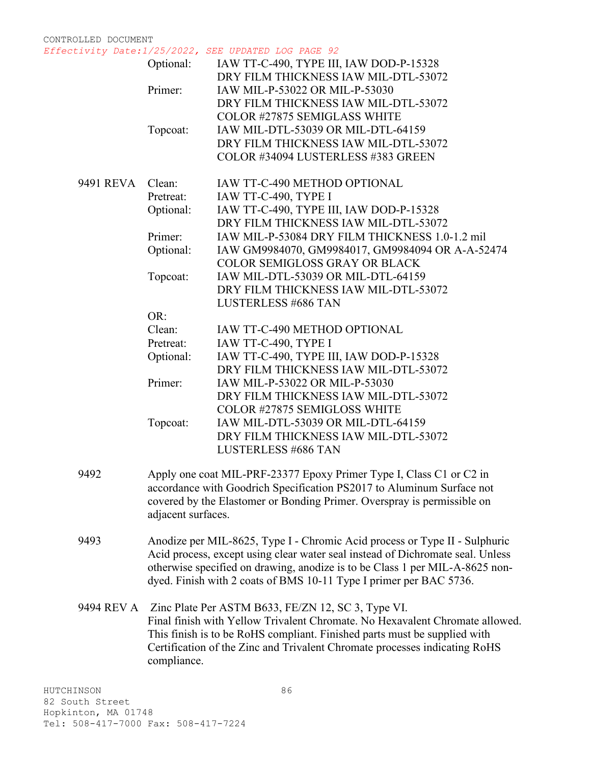*Effectivity Date:1/25/2022, SEE UPDATED LOG PAGE 92*

|            | Optional:          | IAW TT-C-490, TYPE III, IAW DOD-P-15328<br>DRY FILM THICKNESS IAW MIL-DTL-53072 |
|------------|--------------------|---------------------------------------------------------------------------------|
|            | Primer:            | IAW MIL-P-53022 OR MIL-P-53030                                                  |
|            |                    | DRY FILM THICKNESS IAW MIL-DTL-53072                                            |
|            |                    | <b>COLOR #27875 SEMIGLASS WHITE</b>                                             |
|            | Topcoat:           | IAW MIL-DTL-53039 OR MIL-DTL-64159                                              |
|            |                    | DRY FILM THICKNESS IAW MIL-DTL-53072                                            |
|            |                    | COLOR #34094 LUSTERLESS #383 GREEN                                              |
|            |                    |                                                                                 |
| 9491 REVA  | Clean:             | IAW TT-C-490 METHOD OPTIONAL                                                    |
|            | Pretreat:          | IAW TT-C-490, TYPE I                                                            |
|            | Optional:          | IAW TT-C-490, TYPE III, IAW DOD-P-15328                                         |
|            |                    | DRY FILM THICKNESS IAW MIL-DTL-53072                                            |
|            | Primer:            | IAW MIL-P-53084 DRY FILM THICKNESS 1.0-1.2 mil                                  |
|            | Optional:          | IAW GM9984070, GM9984017, GM9984094 OR A-A-52474                                |
|            |                    | <b>COLOR SEMIGLOSS GRAY OR BLACK</b>                                            |
|            | Topcoat:           | IAW MIL-DTL-53039 OR MIL-DTL-64159                                              |
|            |                    | DRY FILM THICKNESS IAW MIL-DTL-53072                                            |
|            |                    | <b>LUSTERLESS #686 TAN</b>                                                      |
|            | OR:                |                                                                                 |
|            | Clean:             | IAW TT-C-490 METHOD OPTIONAL                                                    |
|            | Pretreat:          | IAW TT-C-490, TYPE I                                                            |
|            | Optional:          | IAW TT-C-490, TYPE III, IAW DOD-P-15328                                         |
|            |                    | DRY FILM THICKNESS IAW MIL-DTL-53072                                            |
|            | Primer:            | IAW MIL-P-53022 OR MIL-P-53030                                                  |
|            |                    | DRY FILM THICKNESS IAW MIL-DTL-53072                                            |
|            |                    | COLOR #27875 SEMIGLOSS WHITE                                                    |
|            | Topcoat:           | IAW MIL-DTL-53039 OR MIL-DTL-64159                                              |
|            |                    | DRY FILM THICKNESS IAW MIL-DTL-53072                                            |
|            |                    | <b>LUSTERLESS #686 TAN</b>                                                      |
| 9492       |                    | Apply one coat MIL-PRF-23377 Epoxy Primer Type I, Class C1 or C2 in             |
|            |                    | accordance with Goodrich Specification PS2017 to Aluminum Surface not           |
|            |                    | covered by the Elastomer or Bonding Primer. Overspray is permissible on         |
|            | adjacent surfaces. |                                                                                 |
|            |                    |                                                                                 |
| 9493       |                    | Anodize per MIL-8625, Type I - Chromic Acid process or Type II - Sulphuric      |
|            |                    | Acid process, except using clear water seal instead of Dichromate seal. Unless  |
|            |                    | otherwise specified on drawing, anodize is to be Class 1 per MIL-A-8625 non-    |
|            |                    | dyed. Finish with 2 coats of BMS 10-11 Type I primer per BAC 5736.              |
| 9494 REV A |                    | Zinc Plate Per ASTM B633, FE/ZN 12, SC 3, Type VI.                              |
|            |                    | Final finish with Yellow Trivalent Chromate. No Hexavalent Chromate allowed.    |
|            |                    | This finish is to be RoHS compliant. Finished parts must be supplied with       |
|            |                    | Certification of the Zinc and Trivalent Chromate processes indicating RoHS      |
|            | compliance.        |                                                                                 |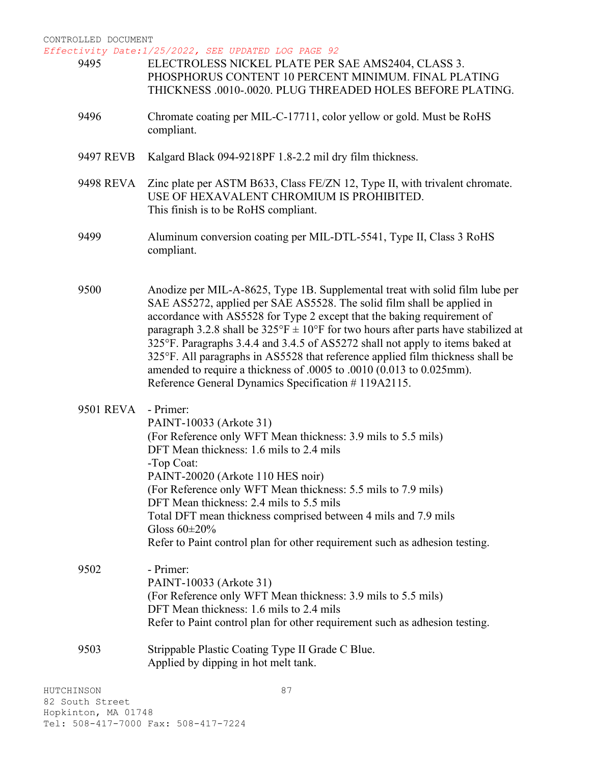*Effectivity Date:1/25/2022, SEE UPDATED LOG PAGE 92*

| 9495       | ELECTROLESS NICKEL PLATE PER SAE AMS2404, CLASS 3.<br>PHOSPHORUS CONTENT 10 PERCENT MINIMUM. FINAL PLATING<br>THICKNESS .0010-.0020. PLUG THREADED HOLES BEFORE PLATING.                                                                                                                                                                                                                                                                                                                                                                                                                                                                    |
|------------|---------------------------------------------------------------------------------------------------------------------------------------------------------------------------------------------------------------------------------------------------------------------------------------------------------------------------------------------------------------------------------------------------------------------------------------------------------------------------------------------------------------------------------------------------------------------------------------------------------------------------------------------|
| 9496       | Chromate coating per MIL-C-17711, color yellow or gold. Must be RoHS<br>compliant.                                                                                                                                                                                                                                                                                                                                                                                                                                                                                                                                                          |
| 9497 REVB  | Kalgard Black 094-9218PF 1.8-2.2 mil dry film thickness.                                                                                                                                                                                                                                                                                                                                                                                                                                                                                                                                                                                    |
| 9498 REVA  | Zinc plate per ASTM B633, Class FE/ZN 12, Type II, with trivalent chromate.<br>USE OF HEXAVALENT CHROMIUM IS PROHIBITED.<br>This finish is to be RoHS compliant.                                                                                                                                                                                                                                                                                                                                                                                                                                                                            |
| 9499       | Aluminum conversion coating per MIL-DTL-5541, Type II, Class 3 RoHS<br>compliant.                                                                                                                                                                                                                                                                                                                                                                                                                                                                                                                                                           |
| 9500       | Anodize per MIL-A-8625, Type 1B. Supplemental treat with solid film lube per<br>SAE AS5272, applied per SAE AS5528. The solid film shall be applied in<br>accordance with AS5528 for Type 2 except that the baking requirement of<br>paragraph 3.2.8 shall be $325^{\circ}F \pm 10^{\circ}F$ for two hours after parts have stabilized at<br>325°F. Paragraphs 3.4.4 and 3.4.5 of AS5272 shall not apply to items baked at<br>325°F. All paragraphs in AS5528 that reference applied film thickness shall be<br>amended to require a thickness of .0005 to .0010 (0.013 to 0.025mm).<br>Reference General Dynamics Specification #119A2115. |
| 9501 REVA  | - Primer:<br>PAINT-10033 (Arkote 31)<br>(For Reference only WFT Mean thickness: 3.9 mils to 5.5 mils)<br>DFT Mean thickness: 1.6 mils to 2.4 mils<br>-Top Coat:<br>PAINT-20020 (Arkote 110 HES noir)<br>(For Reference only WFT Mean thickness: 5.5 mils to 7.9 mils)<br>DFT Mean thickness: 2.4 mils to 5.5 mils<br>Total DFT mean thickness comprised between 4 mils and 7.9 mils<br>Gloss $60\pm20\%$<br>Refer to Paint control plan for other requirement such as adhesion testing.                                                                                                                                                     |
| 9502       | - Primer:<br>PAINT-10033 (Arkote 31)<br>(For Reference only WFT Mean thickness: 3.9 mils to 5.5 mils)<br>DFT Mean thickness: 1.6 mils to 2.4 mils<br>Refer to Paint control plan for other requirement such as adhesion testing.                                                                                                                                                                                                                                                                                                                                                                                                            |
| 9503       | Strippable Plastic Coating Type II Grade C Blue.<br>Applied by dipping in hot melt tank.                                                                                                                                                                                                                                                                                                                                                                                                                                                                                                                                                    |
| HUTCHINSON | 87                                                                                                                                                                                                                                                                                                                                                                                                                                                                                                                                                                                                                                          |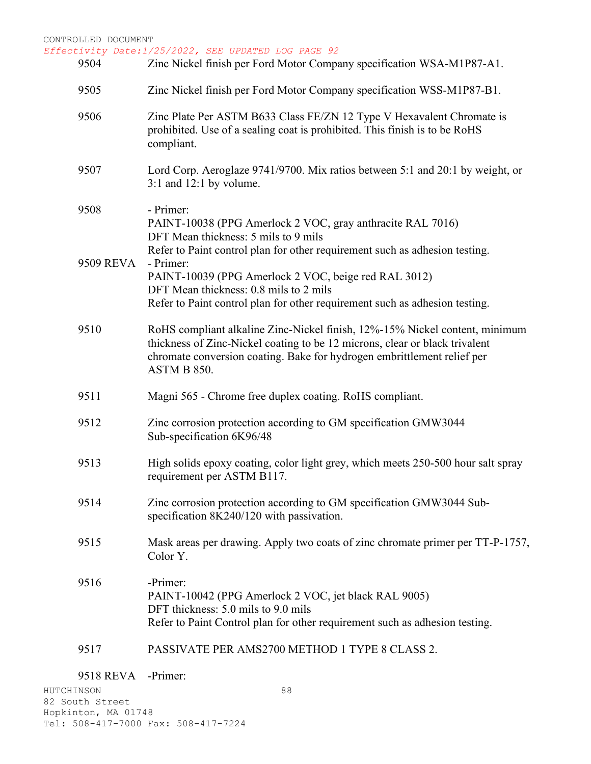*Effectivity Date:1/25/2022, SEE UPDATED LOG PAGE 92*

| 9504      | Clivily Date:1/23/2022, SEE Updaied Log Page 92<br>Zinc Nickel finish per Ford Motor Company specification WSA-M1P87-A1.                                                                                                                                                  |
|-----------|---------------------------------------------------------------------------------------------------------------------------------------------------------------------------------------------------------------------------------------------------------------------------|
| 9505      | Zinc Nickel finish per Ford Motor Company specification WSS-M1P87-B1.                                                                                                                                                                                                     |
| 9506      | Zinc Plate Per ASTM B633 Class FE/ZN 12 Type V Hexavalent Chromate is<br>prohibited. Use of a sealing coat is prohibited. This finish is to be RoHS<br>compliant.                                                                                                         |
| 9507      | Lord Corp. Aeroglaze 9741/9700. Mix ratios between 5:1 and 20:1 by weight, or<br>$3:1$ and $12:1$ by volume.                                                                                                                                                              |
| 9508      | - Primer:<br>PAINT-10038 (PPG Amerlock 2 VOC, gray anthracite RAL 7016)<br>DFT Mean thickness: 5 mils to 9 mils                                                                                                                                                           |
| 9509 REVA | Refer to Paint control plan for other requirement such as adhesion testing.<br>- Primer:<br>PAINT-10039 (PPG Amerlock 2 VOC, beige red RAL 3012)<br>DFT Mean thickness: 0.8 mils to 2 mils<br>Refer to Paint control plan for other requirement such as adhesion testing. |
| 9510      | RoHS compliant alkaline Zinc-Nickel finish, 12%-15% Nickel content, minimum<br>thickness of Zinc-Nickel coating to be 12 microns, clear or black trivalent<br>chromate conversion coating. Bake for hydrogen embrittlement relief per<br>ASTM B 850.                      |
| 9511      | Magni 565 - Chrome free duplex coating. RoHS compliant.                                                                                                                                                                                                                   |
| 9512      | Zinc corrosion protection according to GM specification GMW3044<br>Sub-specification 6K96/48                                                                                                                                                                              |
| 9513      | High solids epoxy coating, color light grey, which meets 250-500 hour salt spray<br>requirement per ASTM B117.                                                                                                                                                            |
| 9514      | Zinc corrosion protection according to GM specification GMW3044 Sub-<br>specification 8K240/120 with passivation.                                                                                                                                                         |
| 9515      | Mask areas per drawing. Apply two coats of zinc chromate primer per TT-P-1757,<br>Color Y.                                                                                                                                                                                |
| 9516      | -Primer:<br>PAINT-10042 (PPG Amerlock 2 VOC, jet black RAL 9005)<br>DFT thickness: 5.0 mils to 9.0 mils<br>Refer to Paint Control plan for other requirement such as adhesion testing.                                                                                    |
| 9517      | PASSIVATE PER AMS2700 METHOD 1 TYPE 8 CLASS 2.                                                                                                                                                                                                                            |

9518 REVA -Primer:

HUTCHINSON 82 South Street Hopkinton, MA 01748 Tel: 508-417-7000 Fax: 508-417-7224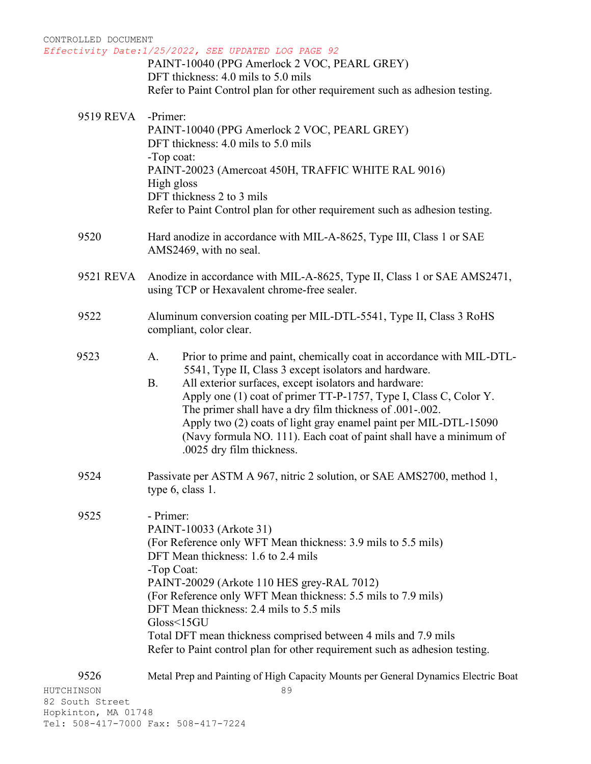| CONTROLLED DOCUMENT | Effectivity Date: 1/25/2022, SEE UPDATED LOG PAGE 92                                                                          |
|---------------------|-------------------------------------------------------------------------------------------------------------------------------|
|                     | PAINT-10040 (PPG Amerlock 2 VOC, PEARL GREY)                                                                                  |
|                     | DFT thickness: 4.0 mils to 5.0 mils                                                                                           |
|                     | Refer to Paint Control plan for other requirement such as adhesion testing.                                                   |
| 9519 REVA           | -Primer:                                                                                                                      |
|                     | PAINT-10040 (PPG Amerlock 2 VOC, PEARL GREY)                                                                                  |
|                     | DFT thickness: 4.0 mils to 5.0 mils                                                                                           |
|                     | -Top coat:<br>PAINT-20023 (Amercoat 450H, TRAFFIC WHITE RAL 9016)                                                             |
|                     | High gloss                                                                                                                    |
|                     | DFT thickness 2 to 3 mils                                                                                                     |
|                     | Refer to Paint Control plan for other requirement such as adhesion testing.                                                   |
| 9520                | Hard anodize in accordance with MIL-A-8625, Type III, Class 1 or SAE                                                          |
|                     | AMS2469, with no seal.                                                                                                        |
| 9521 REVA           | Anodize in accordance with MIL-A-8625, Type II, Class 1 or SAE AMS2471,                                                       |
|                     | using TCP or Hexavalent chrome-free sealer.                                                                                   |
|                     |                                                                                                                               |
| 9522                | Aluminum conversion coating per MIL-DTL-5541, Type II, Class 3 RoHS                                                           |
|                     | compliant, color clear.                                                                                                       |
| 9523                | Prior to prime and paint, chemically coat in accordance with MIL-DTL-<br>A.                                                   |
|                     | 5541, Type II, Class 3 except isolators and hardware.                                                                         |
|                     | <b>B.</b><br>All exterior surfaces, except isolators and hardware:                                                            |
|                     | Apply one (1) coat of primer TT-P-1757, Type I, Class C, Color Y.<br>The primer shall have a dry film thickness of .001-.002. |
|                     | Apply two (2) coats of light gray enamel paint per MIL-DTL-15090                                                              |
|                     | (Navy formula NO. 111). Each coat of paint shall have a minimum of                                                            |
|                     | .0025 dry film thickness.                                                                                                     |
| 9524                | Passivate per ASTM A 967, nitric 2 solution, or SAE AMS2700, method 1,                                                        |
|                     | type 6, class 1.                                                                                                              |
|                     |                                                                                                                               |
| 9525                | - Primer:                                                                                                                     |
|                     | PAINT-10033 (Arkote 31)<br>(For Reference only WFT Mean thickness: 3.9 mils to 5.5 mils)                                      |
|                     | DFT Mean thickness: 1.6 to 2.4 mils                                                                                           |
|                     | -Top Coat:                                                                                                                    |
|                     | PAINT-20029 (Arkote 110 HES grey-RAL 7012)                                                                                    |
|                     | (For Reference only WFT Mean thickness: 5.5 mils to 7.9 mils)<br>DFT Mean thickness: 2.4 mils to 5.5 mils                     |
|                     | Gloss<15GU                                                                                                                    |
|                     | Total DFT mean thickness comprised between 4 mils and 7.9 mils                                                                |
|                     | Refer to Paint control plan for other requirement such as adhesion testing.                                                   |
| 9526                | Metal Prep and Painting of High Capacity Mounts per General Dynamics Electric Boat                                            |
| HUTCHINSON          | 89                                                                                                                            |
|                     |                                                                                                                               |

82 South Street Hopkinton, MA 01748 Tel: 508-417-7000 Fax: 508-417-7224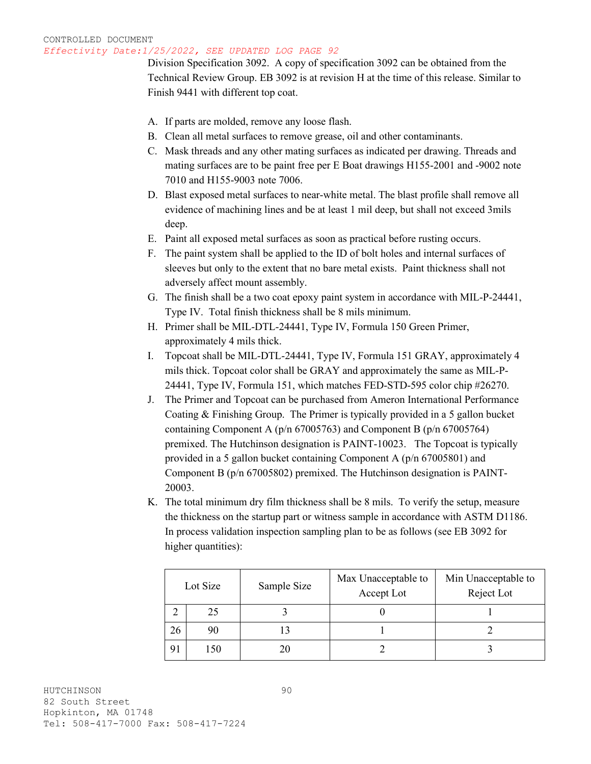Division Specification 3092. A copy of specification 3092 can be obtained from the Technical Review Group. EB 3092 is at revision H at the time of this release. Similar to Finish 9441 with different top coat.

- A. If parts are molded, remove any loose flash.
- B. Clean all metal surfaces to remove grease, oil and other contaminants.
- C. Mask threads and any other mating surfaces as indicated per drawing. Threads and mating surfaces are to be paint free per E Boat drawings H155-2001 and -9002 note 7010 and H155-9003 note 7006.
- D. Blast exposed metal surfaces to near-white metal. The blast profile shall remove all evidence of machining lines and be at least 1 mil deep, but shall not exceed 3mils deep.
- E. Paint all exposed metal surfaces as soon as practical before rusting occurs.
- F. The paint system shall be applied to the ID of bolt holes and internal surfaces of sleeves but only to the extent that no bare metal exists. Paint thickness shall not adversely affect mount assembly.
- G. The finish shall be a two coat epoxy paint system in accordance with MIL-P-24441, Type IV. Total finish thickness shall be 8 mils minimum.
- H. Primer shall be MIL-DTL-24441, Type IV, Formula 150 Green Primer, approximately 4 mils thick.
- I. Topcoat shall be MIL-DTL-24441, Type IV, Formula 151 GRAY, approximately 4 mils thick. Topcoat color shall be GRAY and approximately the same as MIL-P-24441, Type IV, Formula 151, which matches FED-STD-595 color chip #26270.
- J. The Primer and Topcoat can be purchased from Ameron International Performance Coating & Finishing Group. The Primer is typically provided in a 5 gallon bucket containing Component A (p/n 67005763) and Component B (p/n 67005764) premixed. The Hutchinson designation is PAINT-10023. The Topcoat is typically provided in a 5 gallon bucket containing Component A (p/n 67005801) and Component B (p/n 67005802) premixed. The Hutchinson designation is PAINT-20003.
- K. The total minimum dry film thickness shall be 8 mils. To verify the setup, measure the thickness on the startup part or witness sample in accordance with ASTM D1186. In process validation inspection sampling plan to be as follows (see EB 3092 for higher quantities):

| Lot Size |      | Sample Size | Max Unacceptable to<br>Accept Lot | Min Unacceptable to<br>Reject Lot |
|----------|------|-------------|-----------------------------------|-----------------------------------|
|          | 25   |             |                                   |                                   |
| 26       | 90   |             |                                   |                                   |
| 91       | l 50 | 20          |                                   |                                   |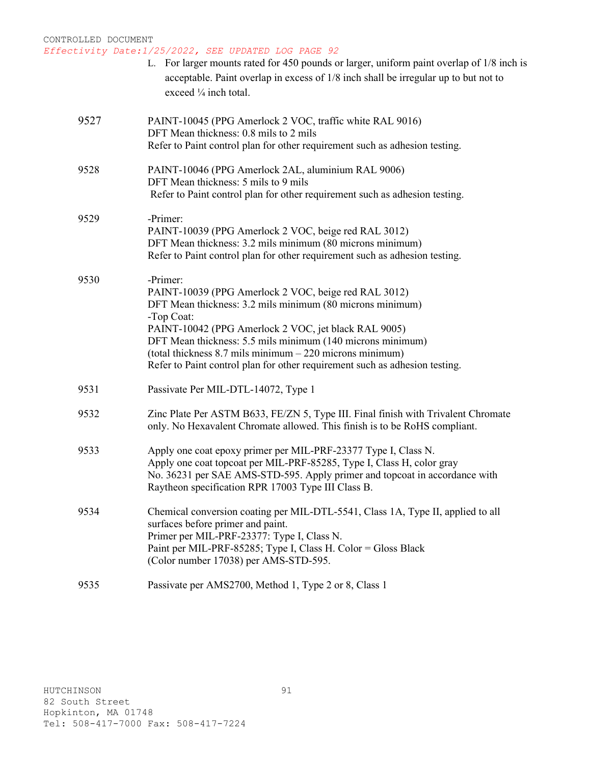|      | L. For larger mounts rated for 450 pounds or larger, uniform paint overlap of 1/8 inch is<br>acceptable. Paint overlap in excess of 1/8 inch shall be irregular up to but not to<br>exceed $\frac{1}{4}$ inch total.                                                                                                                                                                                            |
|------|-----------------------------------------------------------------------------------------------------------------------------------------------------------------------------------------------------------------------------------------------------------------------------------------------------------------------------------------------------------------------------------------------------------------|
| 9527 | PAINT-10045 (PPG Amerlock 2 VOC, traffic white RAL 9016)<br>DFT Mean thickness: 0.8 mils to 2 mils<br>Refer to Paint control plan for other requirement such as adhesion testing.                                                                                                                                                                                                                               |
| 9528 | PAINT-10046 (PPG Amerlock 2AL, aluminium RAL 9006)<br>DFT Mean thickness: 5 mils to 9 mils<br>Refer to Paint control plan for other requirement such as adhesion testing.                                                                                                                                                                                                                                       |
| 9529 | -Primer:<br>PAINT-10039 (PPG Amerlock 2 VOC, beige red RAL 3012)<br>DFT Mean thickness: 3.2 mils minimum (80 microns minimum)<br>Refer to Paint control plan for other requirement such as adhesion testing.                                                                                                                                                                                                    |
| 9530 | -Primer:<br>PAINT-10039 (PPG Amerlock 2 VOC, beige red RAL 3012)<br>DFT Mean thickness: 3.2 mils minimum (80 microns minimum)<br>-Top Coat:<br>PAINT-10042 (PPG Amerlock 2 VOC, jet black RAL 9005)<br>DFT Mean thickness: 5.5 mils minimum (140 microns minimum)<br>(total thickness $8.7$ mils minimum $-220$ microns minimum)<br>Refer to Paint control plan for other requirement such as adhesion testing. |
| 9531 | Passivate Per MIL-DTL-14072, Type 1                                                                                                                                                                                                                                                                                                                                                                             |
| 9532 | Zinc Plate Per ASTM B633, FE/ZN 5, Type III. Final finish with Trivalent Chromate<br>only. No Hexavalent Chromate allowed. This finish is to be RoHS compliant.                                                                                                                                                                                                                                                 |
| 9533 | Apply one coat epoxy primer per MIL-PRF-23377 Type I, Class N.<br>Apply one coat topcoat per MIL-PRF-85285, Type I, Class H, color gray<br>No. 36231 per SAE AMS-STD-595. Apply primer and topcoat in accordance with<br>Raytheon specification RPR 17003 Type III Class B.                                                                                                                                     |
| 9534 | Chemical conversion coating per MIL-DTL-5541, Class 1A, Type II, applied to all<br>surfaces before primer and paint.<br>Primer per MIL-PRF-23377: Type I, Class N.<br>Paint per MIL-PRF-85285; Type I, Class H. Color = Gloss Black<br>(Color number 17038) per AMS-STD-595.                                                                                                                                    |
| 9535 | Passivate per AMS2700, Method 1, Type 2 or 8, Class 1                                                                                                                                                                                                                                                                                                                                                           |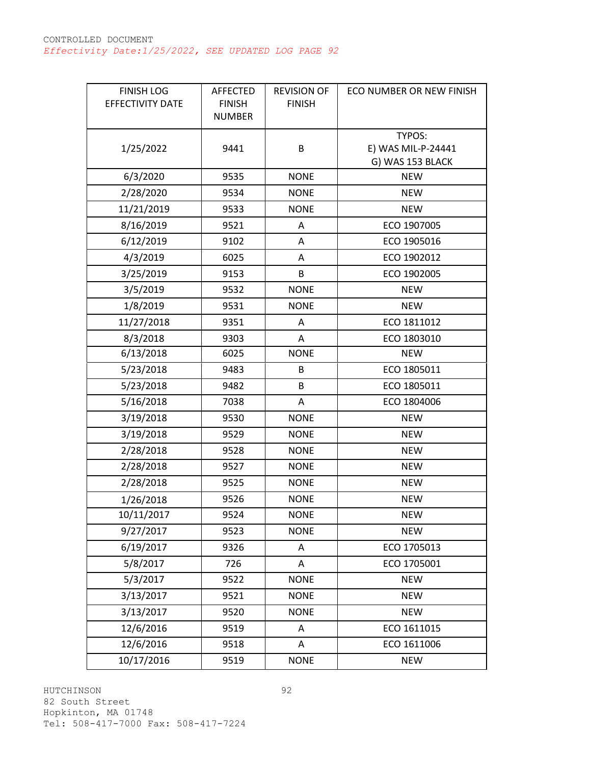| <b>FINISH LOG</b><br>EFFECTIVITY DATE | <b>AFFECTED</b><br><b>FINISH</b> | <b>REVISION OF</b><br><b>FINISH</b> | ECO NUMBER OR NEW FINISH |
|---------------------------------------|----------------------------------|-------------------------------------|--------------------------|
|                                       | <b>NUMBER</b>                    |                                     |                          |
|                                       |                                  |                                     | TYPOS:                   |
| 1/25/2022                             | 9441                             | B                                   | E) WAS MIL-P-24441       |
|                                       |                                  |                                     | G) WAS 153 BLACK         |
| 6/3/2020                              | 9535                             | <b>NONE</b>                         | <b>NEW</b>               |
| 2/28/2020                             | 9534                             | <b>NONE</b>                         | <b>NEW</b>               |
| 11/21/2019                            | 9533                             | <b>NONE</b>                         | <b>NEW</b>               |
| 8/16/2019                             | 9521                             | Α                                   | ECO 1907005              |
| 6/12/2019                             | 9102                             | Α                                   | ECO 1905016              |
| 4/3/2019                              | 6025                             | Α                                   | ECO 1902012              |
| 3/25/2019                             | 9153                             | B                                   | ECO 1902005              |
| 3/5/2019                              | 9532                             | <b>NONE</b>                         | <b>NEW</b>               |
| 1/8/2019                              | 9531                             | <b>NONE</b>                         | <b>NEW</b>               |
| 11/27/2018                            | 9351                             | A                                   | ECO 1811012              |
| 8/3/2018                              | 9303                             | A                                   | ECO 1803010              |
| 6/13/2018                             | 6025                             | <b>NONE</b>                         | <b>NEW</b>               |
| 5/23/2018                             | 9483                             | B                                   | ECO 1805011              |
| 5/23/2018                             | 9482                             | B                                   | ECO 1805011              |
| 5/16/2018                             | 7038                             | A                                   | ECO 1804006              |
| 3/19/2018                             | 9530                             | <b>NONE</b>                         | <b>NEW</b>               |
| 3/19/2018                             | 9529                             | <b>NONE</b>                         | <b>NEW</b>               |
| 2/28/2018                             | 9528                             | <b>NONE</b>                         | <b>NEW</b>               |
| 2/28/2018                             | 9527                             | <b>NONE</b>                         | <b>NEW</b>               |
| 2/28/2018                             | 9525                             | <b>NONE</b>                         | <b>NEW</b>               |
| 1/26/2018                             | 9526                             | <b>NONE</b>                         | <b>NEW</b>               |
| 10/11/2017                            | 9524                             | <b>NONE</b>                         | <b>NEW</b>               |
| 9/27/2017                             | 9523                             | <b>NONE</b>                         | <b>NEW</b>               |
| 6/19/2017                             | 9326                             | A                                   | ECO 1705013              |
| 5/8/2017                              | 726                              | A                                   | ECO 1705001              |
| 5/3/2017                              | 9522                             | <b>NONE</b>                         | <b>NEW</b>               |
| 3/13/2017                             | 9521                             | <b>NONE</b>                         | <b>NEW</b>               |
| 3/13/2017                             | 9520                             | <b>NONE</b>                         | <b>NEW</b>               |
| 12/6/2016                             | 9519                             | A                                   | ECO 1611015              |
| 12/6/2016                             | 9518                             | Α                                   | ECO 1611006              |
| 10/17/2016                            | 9519                             | <b>NONE</b>                         | <b>NEW</b>               |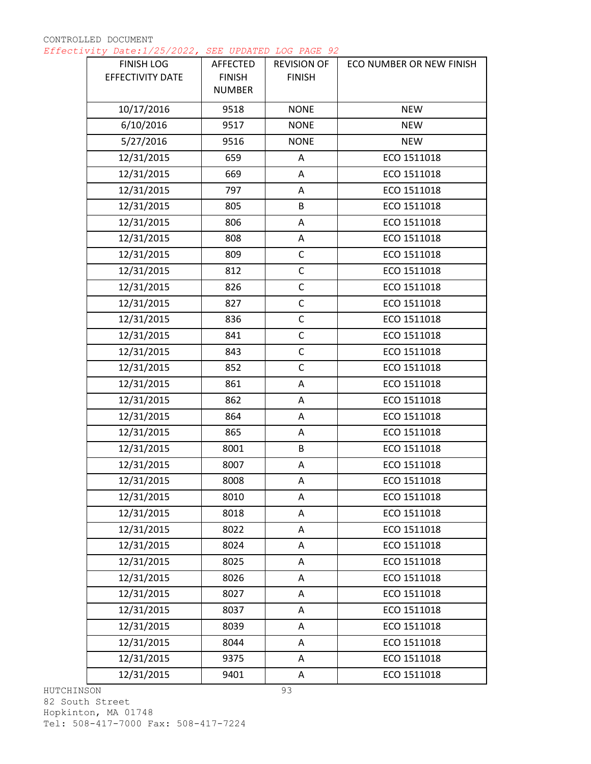| <b>FINISH LOG</b><br>EFFECTIVITY DATE | AFFECTED<br><b>FINISH</b> | <b>REVISION OF</b><br><b>FINISH</b> | ECO NUMBER OR NEW FINISH |
|---------------------------------------|---------------------------|-------------------------------------|--------------------------|
|                                       | <b>NUMBER</b>             |                                     |                          |
| 10/17/2016                            | 9518                      | <b>NONE</b>                         | <b>NEW</b>               |
| 6/10/2016                             | 9517                      | <b>NONE</b>                         | <b>NEW</b>               |
| 5/27/2016                             | 9516                      | <b>NONE</b>                         | <b>NEW</b>               |
| 12/31/2015                            | 659                       | Α                                   | ECO 1511018              |
| 12/31/2015                            | 669                       | Α                                   | ECO 1511018              |
| 12/31/2015                            | 797                       | Α                                   | ECO 1511018              |
| 12/31/2015                            | 805                       | B                                   | ECO 1511018              |
| 12/31/2015                            | 806                       | Α                                   | ECO 1511018              |
| 12/31/2015                            | 808                       | Α                                   | ECO 1511018              |
| 12/31/2015                            | 809                       | $\mathsf C$                         | ECO 1511018              |
| 12/31/2015                            | 812                       | $\mathsf C$                         | ECO 1511018              |
| 12/31/2015                            | 826                       | $\mathsf C$                         | ECO 1511018              |
| 12/31/2015                            | 827                       | $\mathsf C$                         | ECO 1511018              |
| 12/31/2015                            | 836                       | $\mathsf C$                         | ECO 1511018              |
| 12/31/2015                            | 841                       | $\mathsf C$                         | ECO 1511018              |
| 12/31/2015                            | 843                       | $\mathsf C$                         | ECO 1511018              |
| 12/31/2015                            | 852                       | $\mathsf C$                         | ECO 1511018              |
| 12/31/2015                            | 861                       | Α                                   | ECO 1511018              |
| 12/31/2015                            | 862                       | Α                                   | ECO 1511018              |
| 12/31/2015                            | 864                       | A                                   | ECO 1511018              |
| 12/31/2015                            | 865                       | Α                                   | ECO 1511018              |
| 12/31/2015                            | 8001                      | B                                   | ECO 1511018              |
| 12/31/2015                            | 8007                      | Α                                   | ECO 1511018              |
| 12/31/2015                            | 8008                      | Α                                   | ECO 1511018              |
| 12/31/2015                            | 8010                      | Α                                   | ECO 1511018              |
| 12/31/2015                            | 8018                      | Α                                   | ECO 1511018              |
| 12/31/2015                            | 8022                      | Α                                   | ECO 1511018              |
| 12/31/2015                            | 8024                      | Α                                   | ECO 1511018              |
| 12/31/2015                            | 8025                      | Α                                   | ECO 1511018              |
| 12/31/2015                            | 8026                      | Α                                   | ECO 1511018              |
| 12/31/2015                            | 8027                      | Α                                   | ECO 1511018              |
| 12/31/2015                            | 8037                      | Α                                   | ECO 1511018              |
| 12/31/2015                            | 8039                      | Α                                   | ECO 1511018              |
| 12/31/2015                            | 8044                      | A                                   | ECO 1511018              |
| 12/31/2015                            | 9375                      | Α                                   | ECO 1511018              |
| 12/31/2015                            | 9401                      | Α                                   | ECO 1511018              |

HUTCHINSON 82 South Street Hopkinton, MA 01748 Tel: 508-417-7000 Fax: 508-417-7224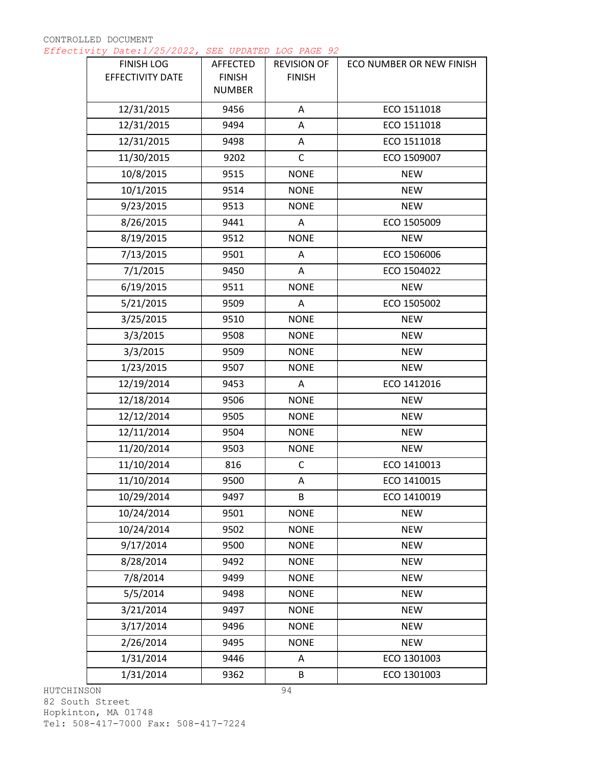| <b>FINISH LOG</b><br>EFFECTIVITY DATE | AFFECTED<br><b>FINISH</b><br><b>NUMBER</b> | <b>REVISION OF</b><br><b>FINISH</b> | ECO NUMBER OR NEW FINISH |
|---------------------------------------|--------------------------------------------|-------------------------------------|--------------------------|
| 12/31/2015                            | 9456                                       | Α                                   | ECO 1511018              |
| 12/31/2015                            | 9494                                       | Α                                   | ECO 1511018              |
| 12/31/2015                            | 9498                                       | Α                                   | ECO 1511018              |
| 11/30/2015                            | 9202                                       | $\mathsf{C}$                        | ECO 1509007              |
| 10/8/2015                             | 9515                                       | <b>NONE</b>                         | <b>NEW</b>               |
| 10/1/2015                             | 9514                                       | <b>NONE</b>                         | <b>NEW</b>               |
| 9/23/2015                             | 9513                                       | <b>NONE</b>                         | <b>NEW</b>               |
| 8/26/2015                             | 9441                                       | Α                                   | ECO 1505009              |
| 8/19/2015                             | 9512                                       | <b>NONE</b>                         | <b>NEW</b>               |
| 7/13/2015                             | 9501                                       | A                                   | ECO 1506006              |
| 7/1/2015                              | 9450                                       | Α                                   | ECO 1504022              |
| 6/19/2015                             | 9511                                       | <b>NONE</b>                         | <b>NEW</b>               |
| 5/21/2015                             | 9509                                       | A                                   | ECO 1505002              |
| 3/25/2015                             | 9510                                       | <b>NONE</b>                         | <b>NEW</b>               |
| 3/3/2015                              | 9508                                       | <b>NONE</b>                         | <b>NEW</b>               |
| 3/3/2015                              | 9509                                       | <b>NONE</b>                         | <b>NEW</b>               |
| 1/23/2015                             | 9507                                       | <b>NONE</b>                         | <b>NEW</b>               |
| 12/19/2014                            | 9453                                       | A                                   | ECO 1412016              |
| 12/18/2014                            | 9506                                       | <b>NONE</b>                         | <b>NEW</b>               |
| 12/12/2014                            | 9505                                       | <b>NONE</b>                         | <b>NEW</b>               |
| 12/11/2014                            | 9504                                       | <b>NONE</b>                         | <b>NEW</b>               |
| 11/20/2014                            | 9503                                       | <b>NONE</b>                         | <b>NEW</b>               |
| 11/10/2014                            | 816                                        | C                                   | ECO 1410013              |
| 11/10/2014                            | 9500                                       | Α                                   | ECO 1410015              |
| 10/29/2014                            | 9497                                       | B                                   | ECO 1410019              |
| 10/24/2014                            | 9501                                       | <b>NONE</b>                         | <b>NEW</b>               |
| 10/24/2014                            | 9502                                       | <b>NONE</b>                         | <b>NEW</b>               |
| 9/17/2014                             | 9500                                       | <b>NONE</b>                         | <b>NEW</b>               |
| 8/28/2014                             | 9492                                       | <b>NONE</b>                         | <b>NEW</b>               |
| 7/8/2014                              | 9499                                       | <b>NONE</b>                         | <b>NEW</b>               |
| 5/5/2014                              | 9498                                       | <b>NONE</b>                         | <b>NEW</b>               |
| 3/21/2014                             | 9497                                       | <b>NONE</b>                         | <b>NEW</b>               |
| 3/17/2014                             | 9496                                       | <b>NONE</b>                         | <b>NEW</b>               |
| 2/26/2014                             | 9495                                       | <b>NONE</b>                         | <b>NEW</b>               |
| 1/31/2014                             | 9446                                       | A                                   | ECO 1301003              |
| 1/31/2014                             | 9362                                       | В                                   | ECO 1301003              |

HUTCHINSON 82 South Street Hopkinton, MA 01748 Tel: 508-417-7000 Fax: 508-417-7224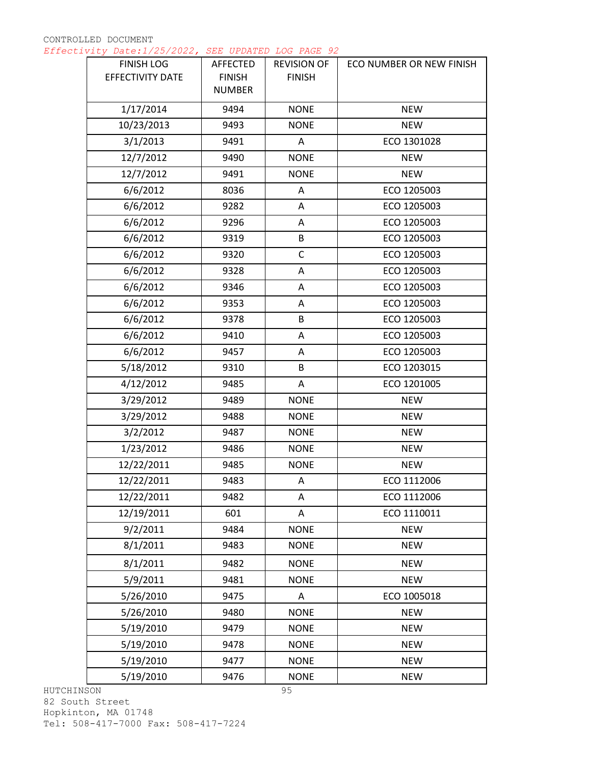| <b>FINISH LOG</b><br>EFFECTIVITY DATE | AFFECTED<br><b>FINISH</b><br><b>NUMBER</b> | <b>REVISION OF</b><br><b>FINISH</b> | ECO NUMBER OR NEW FINISH |
|---------------------------------------|--------------------------------------------|-------------------------------------|--------------------------|
| 1/17/2014                             | 9494                                       | <b>NONE</b>                         | <b>NEW</b>               |
| 10/23/2013                            | 9493                                       | <b>NONE</b>                         | <b>NEW</b>               |
| 3/1/2013                              | 9491                                       | Α                                   | ECO 1301028              |
| 12/7/2012                             | 9490                                       | <b>NONE</b>                         | <b>NEW</b>               |
| 12/7/2012                             | 9491                                       | <b>NONE</b>                         | <b>NEW</b>               |
| 6/6/2012                              | 8036                                       | A                                   | ECO 1205003              |
| 6/6/2012                              | 9282                                       | A                                   | ECO 1205003              |
| 6/6/2012                              | 9296                                       | Α                                   | ECO 1205003              |
| 6/6/2012                              | 9319                                       | B                                   | ECO 1205003              |
| 6/6/2012                              | 9320                                       | $\mathsf C$                         | ECO 1205003              |
| 6/6/2012                              | 9328                                       | Α                                   | ECO 1205003              |
| 6/6/2012                              | 9346                                       | Α                                   | ECO 1205003              |
| 6/6/2012                              | 9353                                       | Α                                   | ECO 1205003              |
| 6/6/2012                              | 9378                                       | B                                   | ECO 1205003              |
| 6/6/2012                              | 9410                                       | A                                   | ECO 1205003              |
| 6/6/2012                              | 9457                                       | Α                                   | ECO 1205003              |
| 5/18/2012                             | 9310                                       | B                                   | ECO 1203015              |
| 4/12/2012                             | 9485                                       | Α                                   | ECO 1201005              |
| 3/29/2012                             | 9489                                       | <b>NONE</b>                         | <b>NEW</b>               |
| 3/29/2012                             | 9488                                       | <b>NONE</b>                         | <b>NEW</b>               |
| 3/2/2012                              | 9487                                       | <b>NONE</b>                         | <b>NEW</b>               |
| 1/23/2012                             | 9486                                       | <b>NONE</b>                         | <b>NEW</b>               |
| 12/22/2011                            | 9485                                       | <b>NONE</b>                         | <b>NEW</b>               |
| 12/22/2011                            | 9483                                       | Α                                   | ECO 1112006              |
| 12/22/2011                            | 9482                                       | Α                                   | ECO 1112006              |
| 12/19/2011                            | 601                                        | Α                                   | ECO 1110011              |
| 9/2/2011                              | 9484                                       | <b>NONE</b>                         | <b>NEW</b>               |
| 8/1/2011                              | 9483                                       | <b>NONE</b>                         | <b>NEW</b>               |
| 8/1/2011                              | 9482                                       | <b>NONE</b>                         | <b>NEW</b>               |
| 5/9/2011                              | 9481                                       | <b>NONE</b>                         | <b>NEW</b>               |
| 5/26/2010                             | 9475                                       | Α                                   | ECO 1005018              |
| 5/26/2010                             | 9480                                       | <b>NONE</b>                         | <b>NEW</b>               |
| 5/19/2010                             | 9479                                       | <b>NONE</b>                         | <b>NEW</b>               |
| 5/19/2010                             | 9478                                       | <b>NONE</b>                         | <b>NEW</b>               |
| 5/19/2010                             | 9477                                       | <b>NONE</b>                         | <b>NEW</b>               |
| 5/19/2010                             | 9476                                       | <b>NONE</b>                         | <b>NEW</b>               |

HUTCHINSON 82 South Street Hopkinton, MA 01748 Tel: 508-417-7000 Fax: 508-417-7224